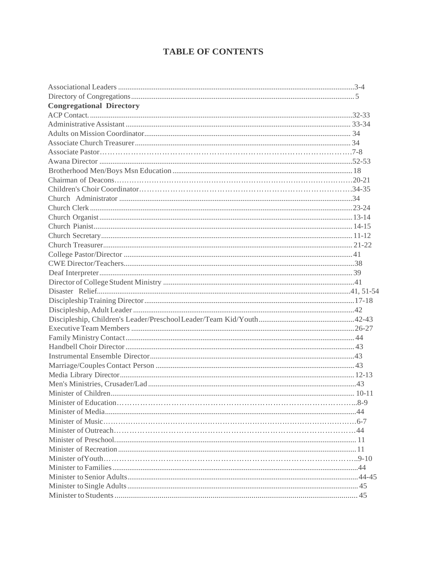### **TABLE OF CONTENTS**

| <b>Congregational Directory</b> |  |
|---------------------------------|--|
|                                 |  |
|                                 |  |
|                                 |  |
|                                 |  |
|                                 |  |
|                                 |  |
|                                 |  |
|                                 |  |
|                                 |  |
|                                 |  |
|                                 |  |
|                                 |  |
|                                 |  |
|                                 |  |
|                                 |  |
|                                 |  |
|                                 |  |
|                                 |  |
|                                 |  |
|                                 |  |
|                                 |  |
|                                 |  |
|                                 |  |
|                                 |  |
|                                 |  |
|                                 |  |
|                                 |  |
|                                 |  |
|                                 |  |
|                                 |  |
|                                 |  |
|                                 |  |
|                                 |  |
|                                 |  |
|                                 |  |
|                                 |  |
|                                 |  |
|                                 |  |
|                                 |  |
|                                 |  |
|                                 |  |
|                                 |  |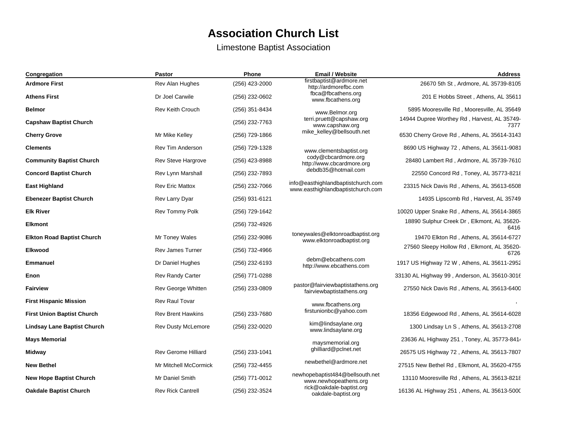## **Association Church List**

Limestone Baptist Association

| Congregation                       | <b>Pastor</b>              | <b>Phone</b>   | <b>Email / Website</b>                                                  | <b>Address</b>                                      |
|------------------------------------|----------------------------|----------------|-------------------------------------------------------------------------|-----------------------------------------------------|
| <b>Ardmore First</b>               | Rev Alan Hughes            | (256) 423-2000 | firstbaptist@ardmore.net<br>http://ardmorefbc.com                       | 26670 5th St, Ardmore, AL 35739-8105                |
| <b>Athens First</b>                | Dr Joel Carwile            | (256) 232-0602 | fbca@fbcathens.org<br>www.fbcathens.org                                 | 201 E Hobbs Street, Athens, AL 35611                |
| <b>Belmor</b>                      | <b>Rev Keith Crouch</b>    | (256) 351-8434 | www.Belmor.org                                                          | 5895 Mooresville Rd, Mooresville, AL 35649          |
| <b>Capshaw Baptist Church</b>      |                            | (256) 232-7763 | terri.pruett@capshaw.org<br>www.capshaw.org                             | 14944 Dupree Worthey Rd, Harvest, AL 35749-<br>7377 |
| <b>Cherry Grove</b>                | Mr Mike Kelley             | (256) 729-1866 | mike kelley@bellsouth.net                                               | 6530 Cherry Grove Rd, Athens, AL 35614-3143         |
| <b>Clements</b>                    | <b>Rev Tim Anderson</b>    | (256) 729-1328 | www.clementsbaptist.org                                                 | 8690 US Highway 72, Athens, AL 35611-9081           |
| <b>Community Baptist Church</b>    | Rev Steve Hargrove         | (256) 423-8988 | cody@cbcardmore.org<br>http://www.cbcardmore.org                        | 28480 Lambert Rd, Ardmore, AL 35739-7610            |
| <b>Concord Baptist Church</b>      | Rev Lynn Marshall          | (256) 232-7893 | debdb35@hotmail.com                                                     | 22550 Concord Rd, Toney, AL 35773-8218              |
| <b>East Highland</b>               | <b>Rev Eric Mattox</b>     | (256) 232-7066 | info@easthighlandbaptistchurch.com<br>www.easthighlandbaptistchurch.com | 23315 Nick Davis Rd, Athens, AL 35613-6508          |
| <b>Ebenezer Baptist Church</b>     | <b>Rev Larry Dyar</b>      | (256) 931-6121 |                                                                         | 14935 Lipscomb Rd, Harvest, AL 35749                |
| <b>Elk River</b>                   | Rev Tommy Polk             | (256) 729-1642 |                                                                         | 10020 Upper Snake Rd, Athens, AL 35614-3865         |
| <b>Elkmont</b>                     |                            | (256) 732-4926 |                                                                         | 18890 Sulphur Creek Dr, Elkmont, AL 35620-<br>6416  |
| <b>Elkton Road Baptist Church</b>  | Mr Toney Wales             | (256) 232-9086 | toneywales@elktonroadbaptist.org<br>www.elktonroadbaptist.org           | 19470 Elkton Rd, Athens, AL 35614-6727              |
| <b>Elkwood</b>                     | <b>Rev James Turner</b>    | (256) 732-4966 |                                                                         | 27560 Sleepy Hollow Rd, Elkmont, AL 35620-<br>6726  |
| <b>Emmanuel</b>                    | Dr Daniel Hughes           | (256) 232-6193 | debm@ebcathens.com<br>http://www.ebcathens.com                          | 1917 US Highway 72 W, Athens, AL 35611-2952         |
| Enon                               | <b>Rev Randy Carter</b>    | (256) 771-0288 |                                                                         | 33130 AL Highway 99, Anderson, AL 35610-3016        |
| <b>Fairview</b>                    | Rev George Whitten         | (256) 233-0809 | pastor@fairviewbaptistathens.org<br>fairviewbaptistathens.org           | 27550 Nick Davis Rd, Athens, AL 35613-6400          |
| <b>First Hispanic Mission</b>      | <b>Rev Raul Tovar</b>      |                | www.fbcathens.org                                                       |                                                     |
| <b>First Union Baptist Church</b>  | <b>Rev Brent Hawkins</b>   | (256) 233-7680 | firstunionbc@yahoo.com                                                  | 18356 Edgewood Rd, Athens, AL 35614-6028            |
| <b>Lindsay Lane Baptist Church</b> | <b>Rev Dusty McLemore</b>  | (256) 232-0020 | kim@lindsaylane.org<br>www.lindsaylane.org                              | 1300 Lindsay Ln S, Athens, AL 35613-2708            |
| <b>Mays Memorial</b>               |                            |                | maysmemorial.org                                                        | 23636 AL Highway 251, Toney, AL 35773-841.          |
| Midway                             | <b>Rev Gerome Hilliard</b> | (256) 233-1041 | ghilliard@pclnet.net                                                    | 26575 US Highway 72, Athens, AL 35613-7807          |
| <b>New Bethel</b>                  | Mr Mitchell McCormick      | (256) 732-4455 | newbethel@ardmore.net                                                   | 27515 New Bethel Rd, Elkmont, AL 35620-4755         |
| <b>New Hope Baptist Church</b>     | Mr Daniel Smith            | (256) 771-0012 | newhopebaptist484@bellsouth.net<br>www.newhopeathens.org                | 13110 Mooresville Rd, Athens, AL 35613-8218         |
| <b>Oakdale Baptist Church</b>      | <b>Rev Rick Cantrell</b>   | (256) 232-3524 | rick@oakdale-baptist.org<br>oakdale-baptist.org                         | 16136 AL Highway 251, Athens, AL 35613-5000         |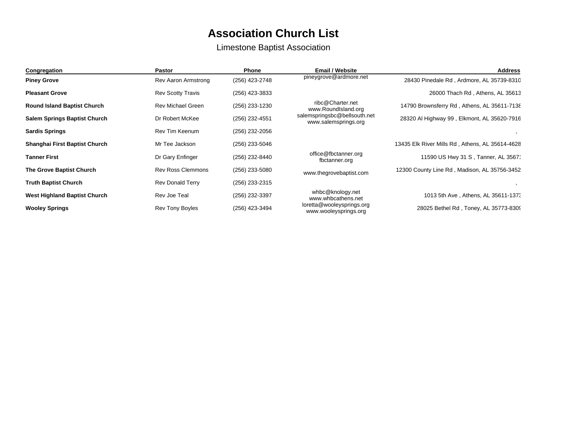# **Association Church List**

### Limestone Baptist Association

| Congregation                        | <b>Pastor</b>            | <b>Phone</b>   | <b>Email / Website</b>                               | <b>Address</b>                                  |
|-------------------------------------|--------------------------|----------------|------------------------------------------------------|-------------------------------------------------|
| <b>Piney Grove</b>                  | Rev Aaron Armstrong      | (256) 423-2748 | pineygrove@ardmore.net                               | 28430 Pinedale Rd, Ardmore, AL 35739-8310       |
| <b>Pleasant Grove</b>               | <b>Rev Scotty Travis</b> | (256) 423-3833 |                                                      | 26000 Thach Rd, Athens, AL 35613                |
| <b>Round Island Baptist Church</b>  | <b>Rev Michael Green</b> | (256) 233-1230 | ribc@Charter.net<br>www.RoundIsland.org              | 14790 Brownsferry Rd, Athens, AL 35611-7138     |
| <b>Salem Springs Baptist Church</b> | Dr Robert McKee          | (256) 232-4551 | salemspringsbc@bellsouth.net<br>www.salemsprings.org | 28320 Al Highway 99, Elkmont, AL 35620-7916     |
| <b>Sardis Springs</b>               | Rev Tim Keenum           | (256) 232-2056 |                                                      |                                                 |
| Shanghai First Baptist Church       | Mr Tee Jackson           | (256) 233-5046 |                                                      | 13435 Elk River Mills Rd, Athens, AL 35614-4628 |
| <b>Tanner First</b>                 | Dr Gary Enfinger         | (256) 232-8440 | office@fbctanner.org<br>fbctanner.org                | 11590 US Hwy 31 S, Tanner, AL 3567'             |
| The Grove Baptist Church            | <b>Rev Ross Clemmons</b> | (256) 233-5080 | www.thegrovebaptist.com                              | 12300 County Line Rd, Madison, AL 35756-3452    |
| <b>Truth Baptist Church</b>         | <b>Rev Donald Terry</b>  | (256) 233-2315 |                                                      |                                                 |
| West Highland Baptist Church        | Rev Joe Teal             | (256) 232-3397 | whbc@knology.net<br>www.whbcathens.net               | 1013 5th Ave, Athens, AL 35611-137.             |
| <b>Wooley Springs</b>               | Rev Tony Boyles          | (256) 423-3494 | loretta@wooleysprings.org<br>www.wooleysprings.org   | 28025 Bethel Rd, Toney, AL 35773-8309           |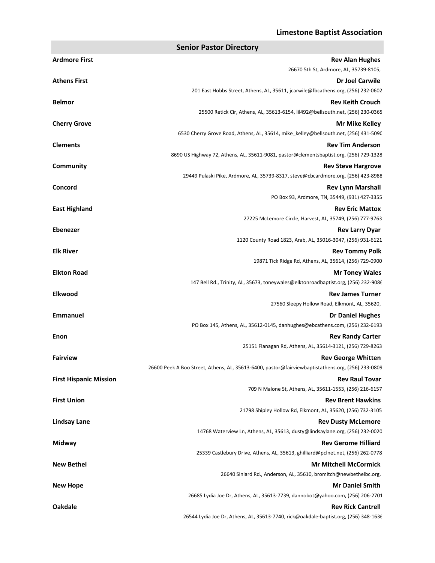#### **Limestone Baptist Association**

**Senior Pastor Directory**

| <b>Ardmore First</b>          | <b>Rev Alan Hughes</b>                                                                                         |
|-------------------------------|----------------------------------------------------------------------------------------------------------------|
|                               | 26670 5th St, Ardmore, AL, 35739-8105,                                                                         |
| <b>Athens First</b>           | <b>Dr Joel Carwile</b>                                                                                         |
|                               | 201 East Hobbs Street, Athens, AL, 35611, jcarwile@fbcathens.org, (256) 232-0602                               |
| <b>Belmor</b>                 | <b>Rev Keith Crouch</b>                                                                                        |
|                               | 25500 Retick Cir, Athens, AL, 35613-6154, lil492@bellsouth.net, (256) 230-0365                                 |
| <b>Cherry Grove</b>           | Mr Mike Kelley                                                                                                 |
|                               | 6530 Cherry Grove Road, Athens, AL, 35614, mike kelley@bellsouth.net, (256) 431-5090                           |
| <b>Clements</b>               | <b>Rev Tim Anderson</b>                                                                                        |
|                               | 8690 US Highway 72, Athens, AL, 35611-9081, pastor@clementsbaptist.org, (256) 729-1328                         |
| Community                     | <b>Rev Steve Hargrove</b><br>29449 Pulaski Pike, Ardmore, AL, 35739-8317, steve@cbcardmore.org, (256) 423-8988 |
| Concord                       | <b>Rev Lynn Marshall</b>                                                                                       |
|                               | PO Box 93, Ardmore, TN, 35449, (931) 427-3355                                                                  |
| <b>East Highland</b>          | <b>Rev Eric Mattox</b>                                                                                         |
|                               | 27225 McLemore Circle, Harvest, AL, 35749, (256) 777-9763                                                      |
| <b>Ebenezer</b>               | <b>Rev Larry Dyar</b>                                                                                          |
|                               | 1120 County Road 1823, Arab, AL, 35016-3047, (256) 931-6121                                                    |
| <b>Elk River</b>              | <b>Rev Tommy Polk</b>                                                                                          |
|                               | 19871 Tick Ridge Rd, Athens, AL, 35614, (256) 729-0900                                                         |
| <b>Elkton Road</b>            | <b>Mr Toney Wales</b>                                                                                          |
|                               | 147 Bell Rd., Trinity, AL, 35673, toneywales@elktonroadbaptist.org, (256) 232-9086                             |
| <b>Elkwood</b>                | <b>Rev James Turner</b>                                                                                        |
|                               | 27560 Sleepy Hollow Road, Elkmont, AL, 35620,                                                                  |
| <b>Emmanuel</b>               | <b>Dr Daniel Hughes</b>                                                                                        |
|                               | PO Box 145, Athens, AL, 35612-0145, danhughes@ebcathens.com, (256) 232-6193                                    |
| Enon                          | <b>Rev Randy Carter</b>                                                                                        |
|                               | 25151 Flanagan Rd, Athens, AL, 35614-3121, (256) 729-8263                                                      |
| <b>Fairview</b>               | <b>Rev George Whitten</b>                                                                                      |
|                               | 26600 Peek A Boo Street, Athens, AL, 35613-6400, pastor@fairviewbaptistathens.org, (256) 233-0809              |
| <b>First Hispanic Mission</b> | <b>Rev Raul Tovar</b>                                                                                          |
|                               | 709 N Malone St, Athens, AL, 35611-1553, (256) 216-6157                                                        |
| <b>First Union</b>            | <b>Rev Brent Hawkins</b>                                                                                       |
|                               | 21798 Shipley Hollow Rd, Elkmont, AL, 35620, (256) 732-3105                                                    |
| <b>Lindsay Lane</b>           | <b>Rev Dusty McLemore</b>                                                                                      |
|                               | 14768 Waterview Ln, Athens, AL, 35613, dusty@lindsaylane.org, (256) 232-0020                                   |
| <b>Midway</b>                 | <b>Rev Gerome Hilliard</b>                                                                                     |
|                               | 25339 Castlebury Drive, Athens, AL, 35613, ghilliard@pclnet.net, (256) 262-0778                                |
| <b>New Bethel</b>             | <b>Mr Mitchell McCormick</b><br>26640 Siniard Rd., Anderson, AL, 35610, bromitch@newbethelbc.org,              |
|                               |                                                                                                                |
| <b>New Hope</b>               | <b>Mr Daniel Smith</b><br>26685 Lydia Joe Dr, Athens, AL, 35613-7739, dannobot@yahoo.com, (256) 206-2701       |
| <b>Oakdale</b>                | <b>Rev Rick Cantrell</b>                                                                                       |
|                               | 26544 Lydia Joe Dr, Athens, AL, 35613-7740, rick@oakdale-baptist.org, (256) 348-1636                           |
|                               |                                                                                                                |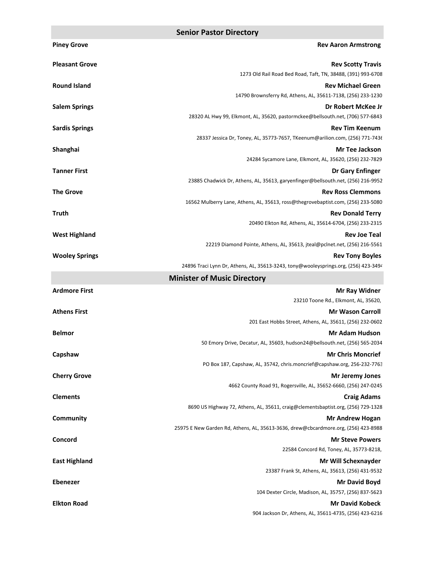| <b>Piney Grove</b>    | <b>Rev Aaron Armstrong</b>                                                                                    |
|-----------------------|---------------------------------------------------------------------------------------------------------------|
| <b>Pleasant Grove</b> | <b>Rev Scotty Travis</b>                                                                                      |
|                       | 1273 Old Rail Road Bed Road, Taft, TN, 38488, (391) 993-6708                                                  |
| <b>Round Island</b>   | <b>Rev Michael Green</b>                                                                                      |
|                       | 14790 Brownsferry Rd, Athens, AL, 35611-7138, (256) 233-1230                                                  |
| <b>Salem Springs</b>  | Dr Robert McKee Jr                                                                                            |
|                       | 28320 AL Hwy 99, Elkmont, AL, 35620, pastormckee@bellsouth.net, (706) 577-6843                                |
| <b>Sardis Springs</b> | <b>Rev Tim Keenum</b><br>28337 Jessica Dr, Toney, AL, 35773-7657, TKeenum@arilion.com, (256) 771-7436         |
| Shanghai              | <b>Mr Tee Jackson</b>                                                                                         |
|                       | 24284 Sycamore Lane, Elkmont, AL, 35620, (256) 232-7829                                                       |
| <b>Tanner First</b>   | Dr Gary Enfinger                                                                                              |
|                       | 23885 Chadwick Dr, Athens, AL, 35613, garyenfinger@bellsouth.net, (256) 216-9952                              |
| <b>The Grove</b>      | <b>Rev Ross Clemmons</b>                                                                                      |
|                       | 16562 Mulberry Lane, Athens, AL, 35613, ross@thegrovebaptist.com, (256) 233-5080                              |
| <b>Truth</b>          | <b>Rev Donald Terry</b>                                                                                       |
|                       | 20490 Elkton Rd, Athens, AL, 35614-6704, (256) 233-2315                                                       |
| <b>West Highland</b>  | <b>Rev Joe Teal</b>                                                                                           |
|                       | 22219 Diamond Pointe, Athens, AL, 35613, jteal@pclnet.net, (256) 216-5561                                     |
| <b>Wooley Springs</b> | <b>Rev Tony Boyles</b><br>24896 Traci Lynn Dr, Athens, AL, 35613-3243, tony@wooleysprings.org, (256) 423-3494 |
|                       |                                                                                                               |
|                       | <b>Minister of Music Directory</b>                                                                            |
| <b>Ardmore First</b>  | <b>Mr Ray Widner</b><br>23210 Toone Rd., Elkmont, AL, 35620,                                                  |
| <b>Athens First</b>   | <b>Mr Wason Carroll</b>                                                                                       |
|                       | 201 East Hobbs Street, Athens, AL, 35611, (256) 232-0602                                                      |
| <b>Belmor</b>         | <b>Mr Adam Hudson</b>                                                                                         |
|                       | 50 Emory Drive, Decatur, AL, 35603, hudson24@bellsouth.net, (256) 565-2034                                    |
| Capshaw               | <b>Mr Chris Moncrief</b>                                                                                      |
|                       | PO Box 187, Capshaw, AL, 35742, chris.moncrief@capshaw.org, 256-232-7763                                      |
| <b>Cherry Grove</b>   | <b>Mr Jeremy Jones</b>                                                                                        |
|                       | 4662 County Road 91, Rogersville, AL, 35652-6660, (256) 247-0245                                              |
| <b>Clements</b>       | <b>Craig Adams</b>                                                                                            |
|                       | 8690 US Highway 72, Athens, AL, 35611, craig@clementsbaptist.org, (256) 729-1328                              |
| Community             | <b>Mr Andrew Hogan</b>                                                                                        |
|                       | 25975 E New Garden Rd, Athens, AL, 35613-3636, drew@cbcardmore.org, (256) 423-8988                            |
| Concord               | <b>Mr Steve Powers</b><br>22584 Concord Rd, Toney, AL, 35773-8218,                                            |
| <b>East Highland</b>  | Mr Will Schexnayder                                                                                           |
|                       | 23387 Frank St, Athens, AL, 35613, (256) 431-9532                                                             |
| <b>Ebenezer</b>       | Mr David Boyd                                                                                                 |
|                       | 104 Dexter Circle, Madison, AL, 35757, (256) 837-5623                                                         |
| <b>Elkton Road</b>    | <b>Mr David Kobeck</b>                                                                                        |
|                       | 904 Jackson Dr, Athens, AL, 35611-4735, (256) 423-6216                                                        |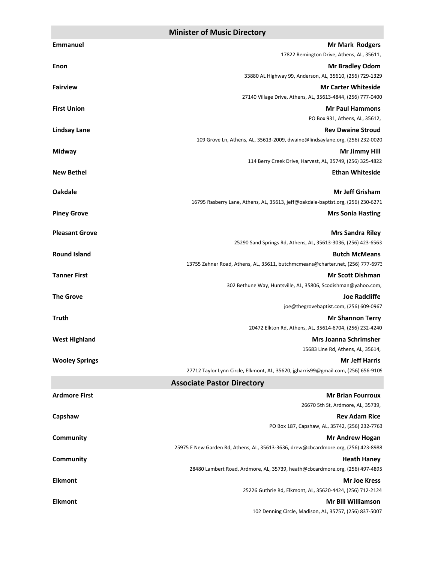#### **Minister of Music Directory**

| <b>Emmanuel</b>       | <b>Mr Mark Rodgers</b>                                                                                 |
|-----------------------|--------------------------------------------------------------------------------------------------------|
|                       | 17822 Remington Drive, Athens, AL, 35611,                                                              |
| Enon                  | <b>Mr Bradley Odom</b>                                                                                 |
|                       | 33880 AL Highway 99, Anderson, AL, 35610, (256) 729-1329                                               |
| <b>Fairview</b>       | <b>Mr Carter Whiteside</b>                                                                             |
|                       | 27140 Village Drive, Athens, AL, 35613-4844, (256) 777-0400                                            |
| <b>First Union</b>    | <b>Mr Paul Hammons</b>                                                                                 |
|                       | PO Box 931, Athens, AL, 35612,                                                                         |
| <b>Lindsay Lane</b>   | <b>Rev Dwaine Stroud</b>                                                                               |
|                       | 109 Grove Ln, Athens, AL, 35613-2009, dwaine@lindsaylane.org, (256) 232-0020                           |
| Midway                | Mr Jimmy Hill                                                                                          |
|                       | 114 Berry Creek Drive, Harvest, AL, 35749, (256) 325-4822                                              |
| <b>New Bethel</b>     | <b>Ethan Whiteside</b>                                                                                 |
| <b>Oakdale</b>        | <b>Mr Jeff Grisham</b>                                                                                 |
|                       | 16795 Rasberry Lane, Athens, AL, 35613, jeff@oakdale-baptist.org, (256) 230-6271                       |
| <b>Piney Grove</b>    | <b>Mrs Sonia Hasting</b>                                                                               |
|                       |                                                                                                        |
| <b>Pleasant Grove</b> | <b>Mrs Sandra Riley</b>                                                                                |
|                       | 25290 Sand Springs Rd, Athens, AL, 35613-3036, (256) 423-6563                                          |
| <b>Round Island</b>   | <b>Butch McMeans</b><br>13755 Zehner Road, Athens, AL, 35611, butchmcmeans@charter.net, (256) 777-6973 |
|                       |                                                                                                        |
| <b>Tanner First</b>   | <b>Mr Scott Dishman</b><br>302 Bethune Way, Huntsville, AL, 35806, Scodishman@yahoo.com,               |
| <b>The Grove</b>      | <b>Joe Radcliffe</b>                                                                                   |
|                       | joe@thegrovebaptist.com, (256) 609-0967                                                                |
| <b>Truth</b>          | <b>Mr Shannon Terry</b>                                                                                |
|                       | 20472 Elkton Rd, Athens, AL, 35614-6704, (256) 232-4240                                                |
| <b>West Highland</b>  | <b>Mrs Joanna Schrimsher</b>                                                                           |
|                       | 15683 Line Rd, Athens, AL, 35614,                                                                      |
| <b>Wooley Springs</b> | <b>Mr Jeff Harris</b>                                                                                  |
|                       | 27712 Taylor Lynn Circle, Elkmont, AL, 35620, jgharris99@gmail.com, (256) 656-9109                     |
|                       | <b>Associate Pastor Directory</b>                                                                      |
| <b>Ardmore First</b>  | <b>Mr Brian Fourroux</b>                                                                               |
|                       | 26670 5th St, Ardmore, AL, 35739,                                                                      |
| Capshaw               | <b>Rev Adam Rice</b>                                                                                   |
|                       | PO Box 187, Capshaw, AL, 35742, (256) 232-7763                                                         |
| <b>Community</b>      | <b>Mr Andrew Hogan</b>                                                                                 |
|                       | 25975 E New Garden Rd, Athens, AL, 35613-3636, drew@cbcardmore.org, (256) 423-8988                     |
| <b>Community</b>      | <b>Heath Haney</b>                                                                                     |
|                       | 28480 Lambert Road, Ardmore, AL, 35739, heath@cbcardmore.org, (256) 497-4895                           |
| <b>Elkmont</b>        | <b>Mr Joe Kress</b>                                                                                    |
|                       | 25226 Guthrie Rd, Elkmont, AL, 35620-4424, (256) 712-2124                                              |
| <b>Elkmont</b>        | <b>Mr Bill Williamson</b>                                                                              |
|                       | 102 Denning Circle, Madison, AL, 35757, (256) 837-5007                                                 |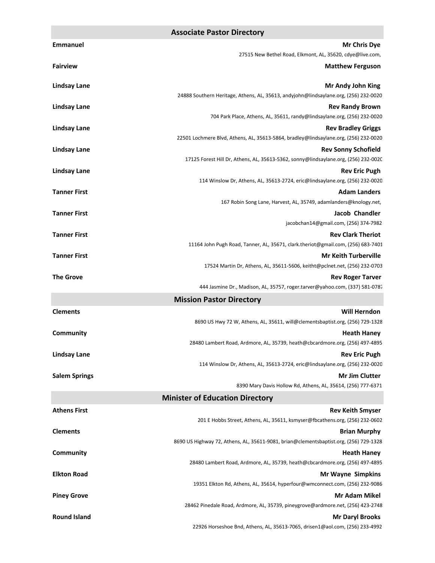#### **Associate Pastor Directory**

| <b>Emmanuel</b>      | <b>Mr Chris Dye</b>                                                                                          |
|----------------------|--------------------------------------------------------------------------------------------------------------|
|                      | 27515 New Bethel Road, Elkmont, AL, 35620, cdye@live.com,                                                    |
| <b>Fairview</b>      | <b>Matthew Ferguson</b>                                                                                      |
| <b>Lindsay Lane</b>  | Mr Andy John King                                                                                            |
|                      | 24888 Southern Heritage, Athens, AL, 35613, andyjohn@lindsaylane.org, (256) 232-0020                         |
| <b>Lindsay Lane</b>  | <b>Rev Randy Brown</b>                                                                                       |
|                      | 704 Park Place, Athens, AL, 35611, randy@lindsaylane.org, (256) 232-0020                                     |
| <b>Lindsay Lane</b>  | <b>Rev Bradley Griggs</b>                                                                                    |
|                      | 22501 Lochmere Blvd, Athens, AL, 35613-5864, bradley@lindsaylane.org, (256) 232-0020                         |
| <b>Lindsay Lane</b>  | <b>Rev Sonny Schofield</b>                                                                                   |
|                      | 17125 Forest Hill Dr, Athens, AL, 35613-5362, sonny@lindsaylane.org, (256) 232-0020                          |
| <b>Lindsay Lane</b>  | <b>Rev Eric Pugh</b><br>114 Winslow Dr, Athens, AL, 35613-2724, eric@lindsaylane.org, (256) 232-0020         |
| <b>Tanner First</b>  | <b>Adam Landers</b>                                                                                          |
|                      | 167 Robin Song Lane, Harvest, AL, 35749, adamlanders@knology.net,                                            |
| <b>Tanner First</b>  | <b>Jacob Chandler</b>                                                                                        |
|                      | jacobchan14@gmail.com, (256) 374-7982                                                                        |
| <b>Tanner First</b>  | <b>Rev Clark Theriot</b>                                                                                     |
|                      | 11164 John Pugh Road, Tanner, AL, 35671, clark.theriot@gmail.com, (256) 683-7401                             |
| <b>Tanner First</b>  | <b>Mr Keith Turberville</b>                                                                                  |
|                      | 17524 Martin Dr, Athens, AL, 35611-5606, keitht@pclnet.net, (256) 232-0703                                   |
| <b>The Grove</b>     | <b>Rev Roger Tarver</b><br>444 Jasmine Dr., Madison, AL, 35757, roger.tarver@yahoo.com, (337) 581-0787       |
|                      | <b>Mission Pastor Directory</b>                                                                              |
| <b>Clements</b>      | <b>Will Herndon</b>                                                                                          |
|                      | 8690 US Hwy 72 W, Athens, AL, 35611, will@clementsbaptist.org, (256) 729-1328                                |
| Community            | <b>Heath Haney</b>                                                                                           |
|                      | 28480 Lambert Road, Ardmore, AL, 35739, heath@cbcardmore.org, (256) 497-4895                                 |
| <b>Lindsay Lane</b>  | <b>Rev Eric Pugh</b>                                                                                         |
|                      | 114 Winslow Dr, Athens, AL, 35613-2724, eric@lindsaylane.org, (256) 232-0020                                 |
| <b>Salem Springs</b> | <b>Mr Jim Clutter</b>                                                                                        |
|                      | 8390 Mary Davis Hollow Rd, Athens, AL, 35614, (256) 777-6371                                                 |
|                      | <b>Minister of Education Directory</b>                                                                       |
| <b>Athens First</b>  | <b>Rev Keith Smyser</b>                                                                                      |
|                      | 201 E Hobbs Street, Athens, AL, 35611, ksmyser@fbcathens.org, (256) 232-0602                                 |
| <b>Clements</b>      | <b>Brian Murphy</b><br>8690 US Highway 72, Athens, AL, 35611-9081, brian@clementsbaptist.org, (256) 729-1328 |
| Community            | <b>Heath Haney</b>                                                                                           |
|                      | 28480 Lambert Road, Ardmore, AL, 35739, heath@cbcardmore.org, (256) 497-4895                                 |
| <b>Elkton Road</b>   | <b>Mr Wayne Simpkins</b>                                                                                     |
|                      | 19351 Elkton Rd, Athens, AL, 35614, hyperfour@wmconnect.com, (256) 232-9086                                  |
| <b>Piney Grove</b>   | <b>Mr Adam Mikel</b>                                                                                         |
|                      | 28462 Pinedale Road, Ardmore, AL, 35739, pineygrove@ardmore.net, (256) 423-2748                              |
| <b>Round Island</b>  | <b>Mr Daryl Brooks</b>                                                                                       |
|                      | 22926 Horseshoe Bnd, Athens, AL, 35613-7065, drisen1@aol.com, (256) 233-4992                                 |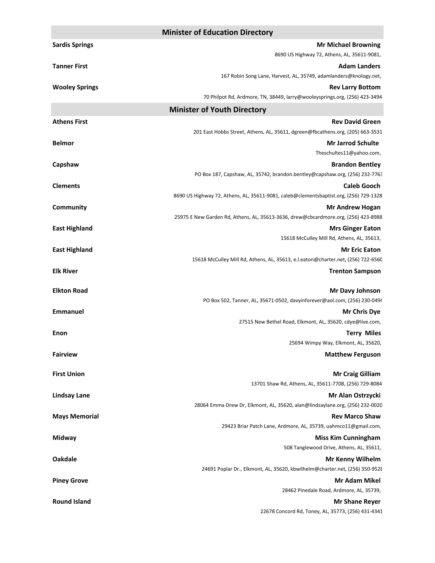| <b>Sardis Springs</b><br><b>Mr Michael Browning</b><br>8690 US Highway 72, Athens, AL, 35611-9081,<br><b>Tanner First</b><br>167 Robin Song Lane, Harvest, AL, 35749, adamlanders@knology.net,<br><b>Wooley Springs</b><br><b>Rev Larry Bottom</b><br>70 Philpot Rd, Ardmore, TN, 38449, larry@wooleysprings.org, (256) 423-3494 | <b>Adam Landers</b>  |
|----------------------------------------------------------------------------------------------------------------------------------------------------------------------------------------------------------------------------------------------------------------------------------------------------------------------------------|----------------------|
|                                                                                                                                                                                                                                                                                                                                  |                      |
|                                                                                                                                                                                                                                                                                                                                  |                      |
|                                                                                                                                                                                                                                                                                                                                  |                      |
|                                                                                                                                                                                                                                                                                                                                  |                      |
|                                                                                                                                                                                                                                                                                                                                  |                      |
|                                                                                                                                                                                                                                                                                                                                  |                      |
| <b>Minister of Youth Directory</b>                                                                                                                                                                                                                                                                                               |                      |
| <b>Athens First</b><br><b>Rev David Green</b><br>201 East Hobbs Street, Athens, AL, 35611, dgreen@fbcathens.org, (205) 663-3531                                                                                                                                                                                                  |                      |
| <b>Mr Jarrod Schulte</b><br><b>Belmor</b>                                                                                                                                                                                                                                                                                        |                      |
| Theschultes11@yahoo.com,                                                                                                                                                                                                                                                                                                         |                      |
| Capshaw<br><b>Brandon Bentley</b>                                                                                                                                                                                                                                                                                                |                      |
| PO Box 187, Capshaw, AL, 35742, brandon.bentley@capshaw.org, (256) 232-7763                                                                                                                                                                                                                                                      |                      |
| <b>Clements</b>                                                                                                                                                                                                                                                                                                                  | <b>Caleb Gooch</b>   |
| 8690 US Highway 72, Athens, AL, 35611-9081, caleb@clementsbaptist.org, (256) 729-1328                                                                                                                                                                                                                                            |                      |
| Community<br><b>Mr Andrew Hogan</b>                                                                                                                                                                                                                                                                                              |                      |
| 25975 E New Garden Rd, Athens, AL, 35613-3636, drew@cbcardmore.org, (256) 423-8988                                                                                                                                                                                                                                               |                      |
| <b>East Highland</b><br><b>Mrs Ginger Eaton</b>                                                                                                                                                                                                                                                                                  |                      |
| 15618 McCulley Mill Rd, Athens, AL, 35613,                                                                                                                                                                                                                                                                                       |                      |
| <b>East Highland</b>                                                                                                                                                                                                                                                                                                             | <b>Mr Eric Eaton</b> |
| 15618 McCulley Mill Rd, Athens, AL, 35613, e.l.eaton@charter.net, (256) 722-6560                                                                                                                                                                                                                                                 |                      |
| <b>Elk River</b><br><b>Trenton Sampson</b>                                                                                                                                                                                                                                                                                       |                      |
| <b>Elkton Road</b><br><b>Mr Davy Johnson</b>                                                                                                                                                                                                                                                                                     |                      |
| PO Box 502, Tanner, AL, 35671-0502, davyinforever@aol.com, (256) 230-0494                                                                                                                                                                                                                                                        |                      |
| <b>Emmanuel</b>                                                                                                                                                                                                                                                                                                                  | <b>Mr Chris Dye</b>  |
| 27515 New Bethel Road, Elkmont, AL, 35620, cdye@live.com,                                                                                                                                                                                                                                                                        |                      |
| Enon                                                                                                                                                                                                                                                                                                                             | <b>Terry Miles</b>   |
| 25694 Wimpy Way, Elkmont, AL, 35620,                                                                                                                                                                                                                                                                                             |                      |
| <b>Fairview</b><br><b>Matthew Ferguson</b>                                                                                                                                                                                                                                                                                       |                      |
| <b>First Union</b><br><b>Mr Craig Gilliam</b>                                                                                                                                                                                                                                                                                    |                      |
| 13701 Shaw Rd, Athens, AL, 35611-7708, (256) 729-8084                                                                                                                                                                                                                                                                            |                      |
| <b>Lindsay Lane</b><br>Mr Alan Ostrzycki                                                                                                                                                                                                                                                                                         |                      |
| 28064 Emma Drew Dr, Elkmont, AL, 35620, alan@lindsaylane.org, (256) 232-0020                                                                                                                                                                                                                                                     |                      |
| <b>Mays Memorial</b><br><b>Rev Marco Shaw</b>                                                                                                                                                                                                                                                                                    |                      |
| 29423 Briar Patch Lane, Ardmore, AL, 35739, uahmco11@gmail.com,                                                                                                                                                                                                                                                                  |                      |
| Midway<br><b>Miss Kim Cunningham</b>                                                                                                                                                                                                                                                                                             |                      |
| 508 Tanglewood Drive, Athens, AL, 35611,                                                                                                                                                                                                                                                                                         |                      |
| Oakdale<br><b>Mr Kenny Wilhelm</b>                                                                                                                                                                                                                                                                                               |                      |
| 24691 Poplar Dr., Elkmont, AL, 35620, kbwilhelm@charter.net, (256) 350-9528                                                                                                                                                                                                                                                      |                      |
|                                                                                                                                                                                                                                                                                                                                  |                      |
| <b>Mr Adam Mikel</b><br><b>Piney Grove</b>                                                                                                                                                                                                                                                                                       |                      |
| 28462 Pinedale Road, Ardmore, AL, 35739,<br><b>Round Island</b><br><b>Mr Shane Reyer</b>                                                                                                                                                                                                                                         |                      |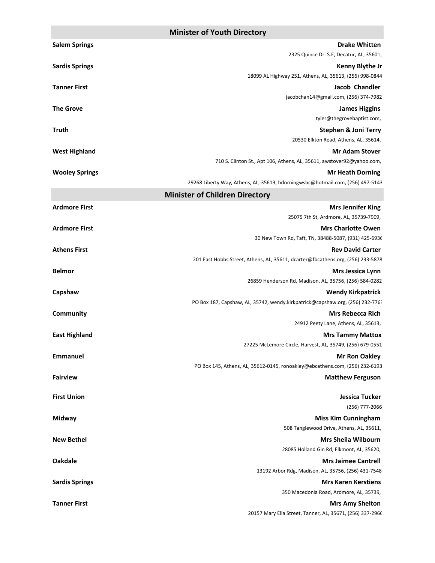|                       | <b>UTHISTER OF FOULH DRECTORY</b>                                                 |
|-----------------------|-----------------------------------------------------------------------------------|
| <b>Salem Springs</b>  | <b>Drake Whitten</b>                                                              |
|                       | 2325 Quince Dr. S.E, Decatur, AL, 35601,                                          |
| <b>Sardis Springs</b> | <b>Kenny Blythe Jr</b><br>18099 AL Highway 251, Athens, AL, 35613, (256) 998-0844 |
| <b>Tanner First</b>   | <b>Jacob Chandler</b>                                                             |
|                       | jacobchan14@gmail.com, (256) 374-7982                                             |
| <b>The Grove</b>      | <b>James Higgins</b>                                                              |
|                       | tyler@thegrovebaptist.com,                                                        |
| <b>Truth</b>          | <b>Stephen &amp; Joni Terry</b>                                                   |
| <b>West Highland</b>  | 20530 Elkton Read, Athens, AL, 35614,<br><b>Mr Adam Stover</b>                    |
|                       | 710 S. Clinton St., Apt 106, Athens, AL, 35611, awstover92@yahoo.com,             |
| <b>Wooley Springs</b> | <b>Mr Heath Dorning</b>                                                           |
|                       | 29268 Liberty Way, Athens, AL, 35613, hdorningwsbc@hotmail.com, (256) 497-5143    |
|                       | <b>Minister of Children Directory</b>                                             |
| <b>Ardmore First</b>  | <b>Mrs Jennifer King</b>                                                          |
|                       | 25075 7th St, Ardmore, AL, 35739-7909,                                            |
| <b>Ardmore First</b>  | <b>Mrs Charlotte Owen</b>                                                         |
| <b>Athens First</b>   | 30 New Town Rd, Taft, TN, 38488-5087, (931) 425-6936<br><b>Rev David Carter</b>   |
|                       | 201 East Hobbs Street, Athens, AL, 35611, dcarter@fbcathens.org, (256) 233-5878   |
| <b>Belmor</b>         | <b>Mrs Jessica Lynn</b>                                                           |
|                       | 26859 Henderson Rd, Madison, AL, 35756, (256) 584-0282                            |
| Capshaw               | <b>Wendy Kirkpatrick</b>                                                          |
|                       | PO Box 187, Capshaw, AL, 35742, wendy.kirkpatrick@capshaw.org, (256) 232-7763     |
| Community             | <b>Mrs Rebecca Rich</b><br>24912 Peety Lane, Athens, AL, 35613,                   |
| <b>East Highland</b>  | <b>Mrs Tammy Mattox</b>                                                           |
|                       | 27225 McLemore Circle, Harvest, AL, 35749, (256) 679-0551                         |
| <b>Emmanuel</b>       | <b>Mr Ron Oakley</b>                                                              |
|                       | PO Box 145, Athens, AL, 35612-0145, ronoakley@ebcathens.com, (256) 232-6193       |
| <b>Fairview</b>       | <b>Matthew Ferguson</b>                                                           |
| <b>First Union</b>    | Jessica Tucker                                                                    |
|                       | (256) 777-2066                                                                    |
| Midway                | <b>Miss Kim Cunningham</b>                                                        |
|                       | 508 Tanglewood Drive, Athens, AL, 35611,                                          |
| <b>New Bethel</b>     | <b>Mrs Sheila Wilbourn</b>                                                        |
|                       | 28085 Holland Gin Rd, Elkmont, AL, 35620,                                         |
| <b>Oakdale</b>        | <b>Mrs Jaimee Cantrell</b><br>13192 Arbor Rdg, Madison, AL, 35756, (256) 431-7548 |
| <b>Sardis Springs</b> | <b>Mrs Karen Kerstiens</b>                                                        |
|                       | 350 Macedonia Road, Ardmore, AL, 35739,                                           |
| <b>Tanner First</b>   | <b>Mrs Amy Shelton</b>                                                            |
|                       | 20157 Mary Ella Street, Tanner, AL, 35671, (256) 337-2966                         |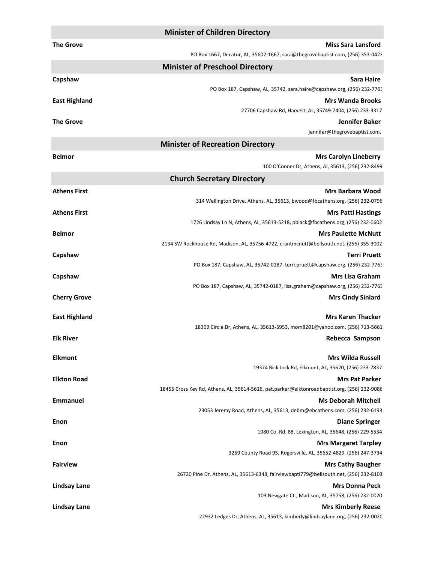|                      | <b>Minister of Children Directory</b>                                                                                 |
|----------------------|-----------------------------------------------------------------------------------------------------------------------|
| <b>The Grove</b>     | <b>Miss Sara Lansford</b>                                                                                             |
|                      | PO Box 1667, Decatur, AL, 35602-1667, sara@thegrovebaptist.com, (256) 353-0423                                        |
|                      | <b>Minister of Preschool Directory</b>                                                                                |
| Capshaw              | <b>Sara Haire</b>                                                                                                     |
|                      | PO Box 187, Capshaw, AL, 35742, sara.haire@capshaw.org, (256) 232-7763                                                |
| <b>East Highland</b> | <b>Mrs Wanda Brooks</b><br>27706 Capshaw Rd, Harvest, AL, 35749-7404, (256) 233-3317                                  |
| <b>The Grove</b>     | Jennifer Baker                                                                                                        |
|                      | jennifer@thegrovebaptist.com,                                                                                         |
|                      | <b>Minister of Recreation Directory</b>                                                                               |
| <b>Belmor</b>        | <b>Mrs Carolyn Lineberry</b>                                                                                          |
|                      | 100 O'Conner Dr, Athens, Al, 35613, (256) 232-8499                                                                    |
|                      | <b>Church Secretary Directory</b>                                                                                     |
| <b>Athens First</b>  | <b>Mrs Barbara Wood</b>                                                                                               |
|                      | 314 Wellington Drive, Athens, AL, 35613, bwood@fbcathens.org, (256) 232-0796                                          |
| <b>Athens First</b>  | <b>Mrs Patti Hastings</b>                                                                                             |
|                      | 1726 Lindsay Ln N, Athens, AL, 35613-5218, pblack@fbcathens.org, (256) 232-0602                                       |
| <b>Belmor</b>        | <b>Mrs Paulette McNutt</b>                                                                                            |
|                      | 2134 SW Rockhouse Rd, Madison, AL, 35756-4722, crantmcnutt@bellsouth.net, (256) 355-3002                              |
| Capshaw              | <b>Terri Pruett</b><br>PO Box 187, Capshaw, AL, 35742-0187, terri.pruett@capshaw.org, (256) 232-7763                  |
| Capshaw              | <b>Mrs Lisa Graham</b>                                                                                                |
|                      | PO Box 187, Capshaw, AL, 35742-0187, lisa.graham@capshaw.org, (256) 232-7763                                          |
| <b>Cherry Grove</b>  | <b>Mrs Cindy Siniard</b>                                                                                              |
|                      |                                                                                                                       |
| <b>East Highland</b> | <b>Mrs Karen Thacker</b><br>18309 Circle Dr, Athens, AL, 35613-5953, mom8201@yahoo.com, (256) 713-5661                |
| <b>Elk River</b>     | Rebecca Sampson                                                                                                       |
|                      |                                                                                                                       |
| <b>Elkmont</b>       | <b>Mrs Wilda Russell</b>                                                                                              |
|                      | 19374 Bick Jock Rd, Elkmont, AL, 35620, (256) 233-7837                                                                |
| <b>Elkton Road</b>   | <b>Mrs Pat Parker</b><br>18455 Cross Key Rd, Athens, AL, 35614-5616, pat.parker@elktonroadbaptist.org, (256) 232-9086 |
| <b>Emmanuel</b>      | <b>Ms Deborah Mitchell</b>                                                                                            |
|                      | 23053 Jeremy Road, Athens, AL, 35613, debm@ebcathens.com, (256) 232-6193                                              |
| Enon                 | <b>Diane Springer</b>                                                                                                 |
|                      | 1080 Co. Rd. 88, Lexington, AL, 35648, (256) 229-5534                                                                 |
| <b>Enon</b>          | <b>Mrs Margaret Tarpley</b>                                                                                           |
|                      | 3259 County Road 95, Rogersville, AL, 35652-4829, (256) 247-3734                                                      |
| <b>Fairview</b>      | <b>Mrs Cathy Baugher</b>                                                                                              |
|                      | 26720 Pine Dr, Athens, AL, 35613-6348, fairviewbapti779@bellsouth.net, (256) 232-8103                                 |
| <b>Lindsay Lane</b>  | <b>Mrs Donna Peck</b>                                                                                                 |
|                      | 103 Newgate Ct., Madison, AL, 35758, (256) 232-0020                                                                   |
| <b>Lindsay Lane</b>  | <b>Mrs Kimberly Reese</b>                                                                                             |
|                      | 22932 Ledges Dr, Athens, AL, 35613, kimberly@lindsaylane.org, (256) 232-0020                                          |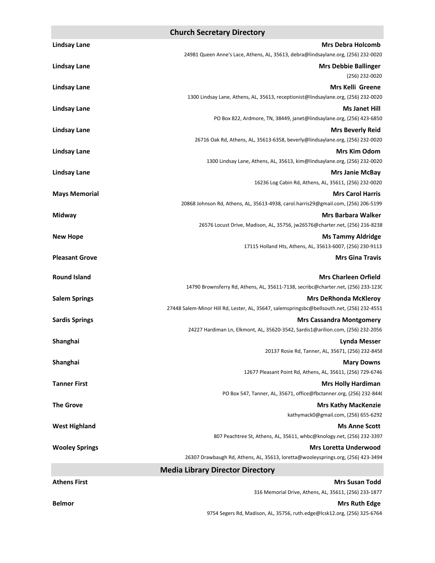### **Church Secretary Directory**

| <b>Lindsay Lane</b>   | <b>Mrs Debra Holcomb</b>                                                                   |
|-----------------------|--------------------------------------------------------------------------------------------|
|                       | 24981 Queen Anne's Lace, Athens, AL, 35613, debra@lindsaylane.org, (256) 232-0020          |
| <b>Lindsay Lane</b>   | <b>Mrs Debbie Ballinger</b>                                                                |
|                       | $(256)$ 232-0020                                                                           |
| <b>Lindsay Lane</b>   | Mrs Kelli Greene                                                                           |
|                       | 1300 Lindsay Lane, Athens, AL, 35613, receptionist@lindsaylane.org, (256) 232-0020         |
| <b>Lindsay Lane</b>   | <b>Ms Janet Hill</b>                                                                       |
|                       | PO Box 822, Ardmore, TN, 38449, janet@lindsaylane.org, (256) 423-6850                      |
| <b>Lindsay Lane</b>   | <b>Mrs Beverly Reid</b>                                                                    |
|                       | 26716 Oak Rd, Athens, AL, 35613-6358, beverly@lindsaylane.org, (256) 232-0020              |
| <b>Lindsay Lane</b>   | <b>Mrs Kim Odom</b>                                                                        |
|                       | 1300 Lindsay Lane, Athens, AL, 35613, kim@lindsaylane.org, (256) 232-0020                  |
| <b>Lindsay Lane</b>   | <b>Mrs Janie McBay</b>                                                                     |
|                       | 16236 Log Cabin Rd, Athens, AL, 35611, (256) 232-0020                                      |
| <b>Mays Memorial</b>  | <b>Mrs Carol Harris</b>                                                                    |
|                       | 20868 Johnson Rd, Athens, AL, 35613-4938, carol.harris29@gmail.com, (256) 206-5199         |
| Midway                | <b>Mrs Barbara Walker</b>                                                                  |
|                       | 26576 Locust Drive, Madison, AL, 35756, jw26576@charter.net, (256) 216-8238                |
| <b>New Hope</b>       | <b>Ms Tammy Aldridge</b>                                                                   |
|                       | 17115 Holland Hts, Athens, AL, 35613-6007, (256) 230-9113                                  |
| <b>Pleasant Grove</b> | <b>Mrs Gina Travis</b>                                                                     |
| <b>Round Island</b>   | <b>Mrs Charleen Orfield</b>                                                                |
|                       | 14790 Brownsferry Rd, Athens, AL, 35611-7138, secribc@charter.net, (256) 233-1230          |
| <b>Salem Springs</b>  | <b>Mrs DeRhonda McKleroy</b>                                                               |
|                       | 27448 Salem-Minor Hill Rd, Lester, AL, 35647, salemspringsbc@bellsouth.net, (256) 232-4551 |
| <b>Sardis Springs</b> | <b>Mrs Cassandra Montgomery</b>                                                            |
|                       | 24227 Hardiman Ln, Elkmont, AL, 35620-3542, Sardis1@arilion.com, (256) 232-2056            |
| Shanghai              | <b>Lynda Messer</b>                                                                        |
|                       | 20137 Rosie Rd, Tanner, AL, 35671, (256) 232-8458                                          |
| Shanghai              | <b>Mary Downs</b>                                                                          |
|                       | 12677 Pleasant Point Rd, Athens, AL, 35611, (256) 729-6746                                 |
| <b>Tanner First</b>   | <b>Mrs Holly Hardiman</b>                                                                  |
|                       | PO Box 547, Tanner, AL, 35671, office@fbctanner.org, (256) 232-8440                        |
| <b>The Grove</b>      | <b>Mrs Kathy MacKenzie</b>                                                                 |
|                       | kathymack0@gmail.com, (256) 655-6292                                                       |
| <b>West Highland</b>  | <b>Ms Anne Scott</b>                                                                       |
|                       | 807 Peachtree St, Athens, AL, 35611, whbc@knology.net, (256) 232-3397                      |
| <b>Wooley Springs</b> | <b>Mrs Loretta Underwood</b>                                                               |
|                       | 26307 Drawbaugh Rd, Athens, AL, 35613, loretta@wooleysprings.org, (256) 423-3494           |
|                       | <b>Media Library Director Directory</b>                                                    |
| <b>Athens First</b>   | <b>Mrs Susan Todd</b>                                                                      |
|                       | 316 Memorial Drive, Athens, AL, 35611, (256) 233-1877                                      |
|                       |                                                                                            |

**Belmor Mrs Ruth Edge** 

9754 Segers Rd, Madison, AL, 35756, ruth.edge@lcsk12.org, (256) 325-6764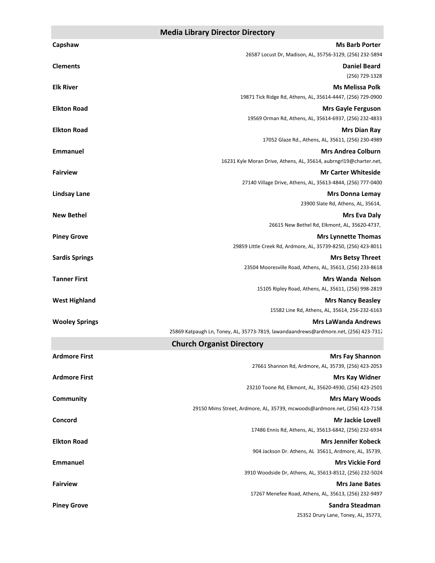#### **Media Library Director Directory**

| Capshaw               | <b>Ms Barb Porter</b>                                                                           |
|-----------------------|-------------------------------------------------------------------------------------------------|
|                       | 26587 Locust Dr, Madison, AL, 35756-3129, (256) 232-5894                                        |
| <b>Clements</b>       | <b>Daniel Beard</b>                                                                             |
|                       | (256) 729-1328                                                                                  |
| <b>Elk River</b>      | <b>Ms Melissa Polk</b>                                                                          |
|                       | 19871 Tick Ridge Rd, Athens, AL, 35614-4447, (256) 729-0900                                     |
| <b>Elkton Road</b>    | <b>Mrs Gayle Ferguson</b>                                                                       |
|                       | 19569 Orman Rd, Athens, AL, 35614-6937, (256) 232-4833                                          |
| <b>Elkton Road</b>    | <b>Mrs Dian Ray</b>                                                                             |
|                       | 17052 Glaze Rd., Athens, AL, 35611, (256) 230-4989                                              |
| <b>Emmanuel</b>       | <b>Mrs Andrea Colburn</b><br>16231 Kyle Moran Drive, Athens, AL, 35614, aubrngrl19@charter.net, |
| <b>Fairview</b>       | <b>Mr Carter Whiteside</b>                                                                      |
|                       | 27140 Village Drive, Athens, AL, 35613-4844, (256) 777-0400                                     |
| <b>Lindsay Lane</b>   | <b>Mrs Donna Lemay</b>                                                                          |
|                       | 23900 Slate Rd, Athens, AL, 35614,                                                              |
| <b>New Bethel</b>     | <b>Mrs Eva Daly</b>                                                                             |
|                       | 26615 New Bethel Rd, Elkmont, AL, 35620-4737,                                                   |
| <b>Piney Grove</b>    | <b>Mrs Lynnette Thomas</b>                                                                      |
|                       | 29859 Little Creek Rd, Ardmore, AL, 35739-8250, (256) 423-8011                                  |
| <b>Sardis Springs</b> | <b>Mrs Betsy Threet</b>                                                                         |
|                       | 23504 Mooresville Road, Athens, AL, 35613, (256) 233-8618                                       |
| <b>Tanner First</b>   | <b>Mrs Wanda Nelson</b>                                                                         |
| <b>West Highland</b>  | 15105 Ripley Road, Athens, AL, 35611, (256) 998-2819<br><b>Mrs Nancy Beasley</b>                |
|                       | 15582 Line Rd, Athens, AL, 35614, 256-232-6163                                                  |
| <b>Wooley Springs</b> | <b>Mrs LaWanda Andrews</b>                                                                      |
|                       | 25869 Katpaugh Ln, Toney, AL, 35773-7819, lawandaandrews@ardmore.net, (256) 423-7312            |
|                       | <b>Church Organist Directory</b>                                                                |
| <b>Ardmore First</b>  | <b>Mrs Fay Shannon</b>                                                                          |
|                       | 27661 Shannon Rd, Ardmore, AL, 35739, (256) 423-2053                                            |
| <b>Ardmore First</b>  | <b>Mrs Kay Widner</b>                                                                           |
|                       | 23210 Toone Rd, Elkmont, AL, 35620-4930, (256) 423-2501                                         |
| <b>Community</b>      | <b>Mrs Mary Woods</b>                                                                           |
|                       | 29150 Mims Street, Ardmore, AL, 35739, mcwoods@ardmore.net, (256) 423-7158                      |
| Concord               | <b>Mr Jackie Lovell</b>                                                                         |
|                       | 17486 Ennis Rd, Athens, AL, 35613-6842, (256) 232-6934                                          |
| <b>Elkton Road</b>    | <b>Mrs Jennifer Kobeck</b>                                                                      |
| <b>Emmanuel</b>       | 904 Jackson Dr. Athens, AL 35611, Ardmore, AL, 35739,<br><b>Mrs Vickie Ford</b>                 |
|                       | 3910 Woodside Dr, Athens, AL, 35613-8512, (256) 232-5024                                        |
| <b>Fairview</b>       | <b>Mrs Jane Bates</b>                                                                           |
|                       | 17267 Menefee Road, Athens, AL, 35613, (256) 232-9497                                           |
| <b>Piney Grove</b>    | Sandra Steadman                                                                                 |
|                       | 25352 Drury Lane, Toney, AL, 35773,                                                             |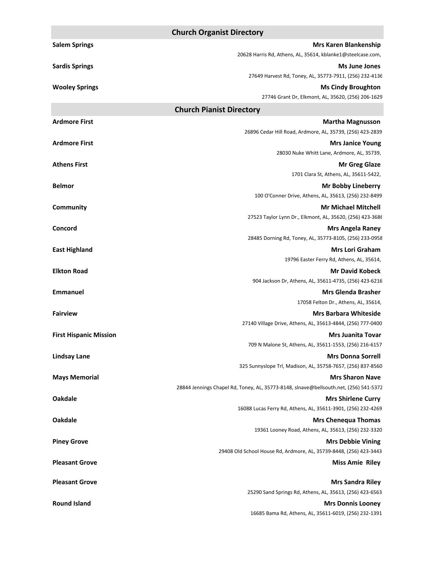|                               | <b>Church Organist Directory</b>                                                        |
|-------------------------------|-----------------------------------------------------------------------------------------|
| <b>Salem Springs</b>          | <b>Mrs Karen Blankenship</b>                                                            |
|                               | 20628 Harris Rd, Athens, AL, 35614, kblanke1@steelcase.com,                             |
| <b>Sardis Springs</b>         | <b>Ms June Jones</b>                                                                    |
|                               | 27649 Harvest Rd, Toney, AL, 35773-7911, (256) 232-4136                                 |
| <b>Wooley Springs</b>         | <b>Ms Cindy Broughton</b>                                                               |
|                               | 27746 Grant Dr, Elkmont, AL, 35620, (256) 206-1629                                      |
|                               | <b>Church Pianist Directory</b>                                                         |
| <b>Ardmore First</b>          | <b>Martha Magnusson</b>                                                                 |
|                               | 26896 Cedar Hill Road, Ardmore, AL, 35739, (256) 423-2839                               |
| <b>Ardmore First</b>          | <b>Mrs Janice Young</b>                                                                 |
|                               | 28030 Nuke Whitt Lane, Ardmore, AL, 35739,                                              |
| <b>Athens First</b>           | <b>Mr Greg Glaze</b>                                                                    |
|                               | 1701 Clara St, Athens, AL, 35611-5422,                                                  |
| <b>Belmor</b>                 | <b>Mr Bobby Lineberry</b>                                                               |
|                               | 100 O'Conner Drive, Athens, AL, 35613, (256) 232-8499                                   |
| <b>Community</b>              | <b>Mr Michael Mitchell</b>                                                              |
|                               | 27523 Taylor Lynn Dr., Elkmont, AL, 35620, (256) 423-3686                               |
| Concord                       | <b>Mrs Angela Raney</b>                                                                 |
|                               | 28485 Dorning Rd, Toney, AL, 35773-8105, (256) 233-0958                                 |
| <b>East Highland</b>          | <b>Mrs Lori Graham</b>                                                                  |
|                               | 19796 Easter Ferry Rd, Athens, AL, 35614,                                               |
| <b>Elkton Road</b>            | <b>Mr David Kobeck</b>                                                                  |
|                               | 904 Jackson Dr, Athens, AL, 35611-4735, (256) 423-6216                                  |
| Emmanuel                      | <b>Mrs Glenda Brasher</b>                                                               |
|                               | 17058 Felton Dr., Athens, AL, 35614,                                                    |
| <b>Fairview</b>               | <b>Mrs Barbara Whiteside</b>                                                            |
|                               | 27140 Village Drive, Athens, AL, 35613-4844, (256) 777-0400                             |
| <b>First Hispanic Mission</b> | <b>Mrs Juanita Tovar</b><br>709 N Malone St, Athens, AL, 35611-1553, (256) 216-6157     |
|                               |                                                                                         |
| <b>Lindsay Lane</b>           | <b>Mrs Donna Sorrell</b><br>325 Sunnyslope Trl, Madison, AL, 35758-7657, (256) 837-8560 |
|                               | <b>Mrs Sharon Nave</b>                                                                  |
| <b>Mays Memorial</b>          | 28844 Jennings Chapel Rd, Toney, AL, 35773-8148, slnave@bellsouth.net, (256) 541-5372   |
| <b>Oakdale</b>                | <b>Mrs Shirlene Curry</b>                                                               |
|                               | 16088 Lucas Ferry Rd, Athens, AL, 35611-3901, (256) 232-4269                            |
| <b>Oakdale</b>                | <b>Mrs Chenequa Thomas</b>                                                              |
|                               | 19361 Looney Road, Athens, AL, 35613, (256) 232-3320                                    |
| <b>Piney Grove</b>            | <b>Mrs Debbie Vining</b>                                                                |
|                               | 29408 Old School House Rd, Ardmore, AL, 35739-8448, (256) 423-3443                      |
| <b>Pleasant Grove</b>         | <b>Miss Amie Riley</b>                                                                  |
|                               |                                                                                         |
| <b>Pleasant Grove</b>         | <b>Mrs Sandra Riley</b>                                                                 |
|                               | 25290 Sand Springs Rd, Athens, AL, 35613, (256) 423-6563                                |
| <b>Round Island</b>           | <b>Mrs Donnis Looney</b>                                                                |
|                               | 16685 Bama Rd, Athens, AL, 35611-6019, (256) 232-1391                                   |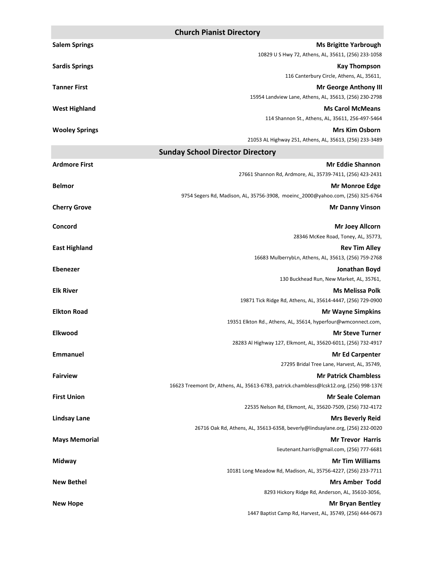|                                         | <b>Church Pianist Directory</b>                                                         |
|-----------------------------------------|-----------------------------------------------------------------------------------------|
| <b>Salem Springs</b>                    | <b>Ms Brigitte Yarbrough</b>                                                            |
|                                         | 10829 U S Hwy 72, Athens, AL, 35611, (256) 233-1058                                     |
| <b>Sardis Springs</b>                   | <b>Kay Thompson</b>                                                                     |
|                                         | 116 Canterbury Circle, Athens, AL, 35611,                                               |
| <b>Tanner First</b>                     | <b>Mr George Anthony III</b><br>15954 Landview Lane, Athens, AL, 35613, (256) 230-2798  |
|                                         | <b>Ms Carol McMeans</b>                                                                 |
| <b>West Highland</b>                    | 114 Shannon St., Athens, AL, 35611, 256-497-5464                                        |
| <b>Wooley Springs</b>                   | <b>Mrs Kim Osborn</b>                                                                   |
|                                         | 21053 AL Highway 251, Athens, AL, 35613, (256) 233-3489                                 |
| <b>Sunday School Director Directory</b> |                                                                                         |
| <b>Ardmore First</b>                    | <b>Mr Eddie Shannon</b>                                                                 |
|                                         | 27661 Shannon Rd, Ardmore, AL, 35739-7411, (256) 423-2431                               |
| <b>Belmor</b>                           | <b>Mr Monroe Edge</b>                                                                   |
|                                         | 9754 Segers Rd, Madison, AL, 35756-3908, moeinc_2000@yahoo.com, (256) 325-6764          |
| <b>Cherry Grove</b>                     | <b>Mr Danny Vinson</b>                                                                  |
|                                         |                                                                                         |
| Concord                                 | <b>Mr Joey Allcorn</b>                                                                  |
|                                         | 28346 McKee Road, Toney, AL, 35773,                                                     |
| <b>East Highland</b>                    | <b>Rev Tim Alley</b><br>16683 MulberrybLn, Athens, AL, 35613, (256) 759-2768            |
| <b>Ebenezer</b>                         | Jonathan Boyd                                                                           |
|                                         | 130 Buckhead Run, New Market, AL, 35761,                                                |
| <b>Elk River</b>                        | <b>Ms Melissa Polk</b>                                                                  |
|                                         | 19871 Tick Ridge Rd, Athens, AL, 35614-4447, (256) 729-0900                             |
| <b>Elkton Road</b>                      | <b>Mr Wayne Simpkins</b>                                                                |
|                                         | 19351 Elkton Rd., Athens, AL, 35614, hyperfour@wmconnect.com,                           |
| <b>Elkwood</b>                          | <b>Mr Steve Turner</b>                                                                  |
|                                         | 28283 Al Highway 127, Elkmont, AL, 35620-6011, (256) 732-4917                           |
| <b>Emmanuel</b>                         | <b>Mr Ed Carpenter</b>                                                                  |
|                                         | 27295 Bridal Tree Lane, Harvest, AL, 35749,                                             |
| <b>Fairview</b>                         | <b>Mr Patrick Chambless</b>                                                             |
|                                         | 16623 Treemont Dr, Athens, AL, 35613-6783, patrick.chambless@lcsk12.org, (256) 998-1376 |
| <b>First Union</b>                      | <b>Mr Seale Coleman</b>                                                                 |
|                                         | 22535 Nelson Rd, Elkmont, AL, 35620-7509, (256) 732-4172                                |
| <b>Lindsay Lane</b>                     | <b>Mrs Beverly Reid</b>                                                                 |
|                                         | 26716 Oak Rd, Athens, AL, 35613-6358, beverly@lindsaylane.org, (256) 232-0020           |
| <b>Mays Memorial</b>                    | <b>Mr Trevor Harris</b>                                                                 |
|                                         | lieutenant.harris@gmail.com, (256) 777-6681                                             |
| Midway                                  | <b>Mr Tim Williams</b><br>10181 Long Meadow Rd, Madison, AL, 35756-4227, (256) 233-7711 |
| <b>New Bethel</b>                       | <b>Mrs Amber Todd</b>                                                                   |
|                                         | 8293 Hickory Ridge Rd, Anderson, AL, 35610-3056,                                        |
| <b>New Hope</b>                         | <b>Mr Bryan Bentley</b>                                                                 |
|                                         | 1447 Baptist Camp Rd, Harvest, AL, 35749, (256) 444-0673                                |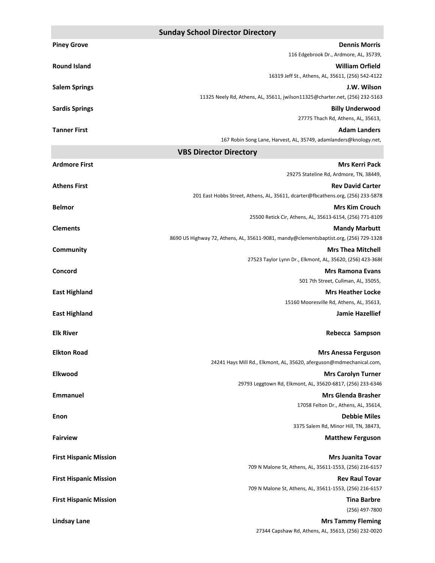|                               | <b>Sunday School Director Directory</b>                                                  |
|-------------------------------|------------------------------------------------------------------------------------------|
| <b>Piney Grove</b>            | <b>Dennis Morris</b>                                                                     |
|                               | 116 Edgebrook Dr., Ardmore, AL, 35739,                                                   |
| <b>Round Island</b>           | <b>William Orfield</b>                                                                   |
|                               | 16319 Jeff St., Athens, AL, 35611, (256) 542-4122                                        |
| <b>Salem Springs</b>          | J.W. Wilson                                                                              |
|                               | 11325 Neely Rd, Athens, AL, 35611, jwilson11325@charter.net, (256) 232-5163              |
| <b>Sardis Springs</b>         | <b>Billy Underwood</b>                                                                   |
|                               | 27775 Thach Rd, Athens, AL, 35613,                                                       |
| <b>Tanner First</b>           | <b>Adam Landers</b><br>167 Robin Song Lane, Harvest, AL, 35749, adamlanders@knology.net, |
|                               | <b>VBS Director Directory</b>                                                            |
| <b>Ardmore First</b>          | <b>Mrs Kerri Pack</b>                                                                    |
|                               | 29275 Stateline Rd, Ardmore, TN, 38449,                                                  |
| <b>Athens First</b>           | <b>Rev David Carter</b>                                                                  |
|                               | 201 East Hobbs Street, Athens, AL, 35611, dcarter@fbcathens.org, (256) 233-5878          |
| <b>Belmor</b>                 | <b>Mrs Kim Crouch</b>                                                                    |
|                               | 25500 Retick Cir, Athens, AL, 35613-6154, (256) 771-8109                                 |
| <b>Clements</b>               | <b>Mandy Marbutt</b>                                                                     |
|                               | 8690 US Highway 72, Athens, AL, 35611-9081, mandy@clementsbaptist.org, (256) 729-1328    |
| Community                     | <b>Mrs Thea Mitchell</b>                                                                 |
|                               | 27523 Taylor Lynn Dr., Elkmont, AL, 35620, (256) 423-3686                                |
| Concord                       | <b>Mrs Ramona Evans</b>                                                                  |
|                               | 501 7th Street, Cullman, AL, 35055,                                                      |
| <b>East Highland</b>          | <b>Mrs Heather Locke</b><br>15160 Mooresville Rd, Athens, AL, 35613,                     |
|                               | <b>Jamie Hazellief</b>                                                                   |
| <b>East Highland</b>          |                                                                                          |
| <b>Elk River</b>              | Rebecca Sampson                                                                          |
|                               |                                                                                          |
| <b>Elkton Road</b>            | <b>Mrs Anessa Ferguson</b>                                                               |
|                               | 24241 Hays Mill Rd., Elkmont, AL, 35620, aferguson@mdmechanical.com,                     |
| Elkwood                       | <b>Mrs Carolyn Turner</b><br>29793 Leggtown Rd, Elkmont, AL, 35620-6817, (256) 233-6346  |
| <b>Emmanuel</b>               | <b>Mrs Glenda Brasher</b>                                                                |
|                               | 17058 Felton Dr., Athens, AL, 35614,                                                     |
| Enon                          | <b>Debbie Miles</b>                                                                      |
|                               | 3375 Salem Rd, Minor Hill, TN, 38473,                                                    |
| <b>Fairview</b>               | <b>Matthew Ferguson</b>                                                                  |
|                               |                                                                                          |
| <b>First Hispanic Mission</b> | <b>Mrs Juanita Tovar</b><br>709 N Malone St, Athens, AL, 35611-1553, (256) 216-6157      |
|                               |                                                                                          |

**First Hispanic Mission Rev Raul Tovar**  709 N Malone St, Athens, AL, 35611-1553, (256) 216-6157

**First Hispanic Mission Tina Barbre**  (256) 497-7800

**Lindsay Lane Mrs Tammy Fleming**  27344 Capshaw Rd, Athens, AL, 35613, (256) 232-0020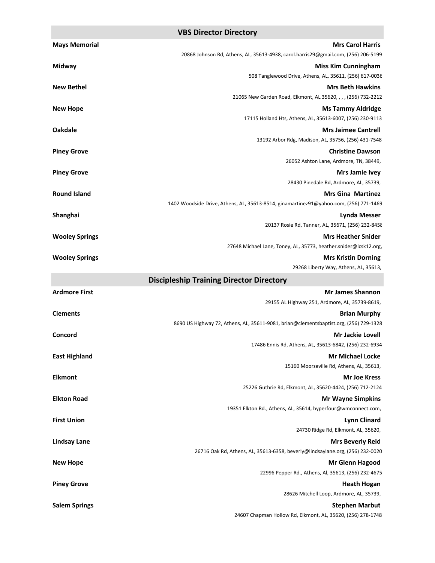#### **VBS Director Directory**

| <b>Mays Memorial</b>  | <b>Mrs Carol Harris</b>                                                                   |
|-----------------------|-------------------------------------------------------------------------------------------|
|                       | 20868 Johnson Rd, Athens, AL, 35613-4938, carol.harris29@gmail.com, (256) 206-5199        |
| Midway                | <b>Miss Kim Cunningham</b>                                                                |
|                       | 508 Tanglewood Drive, Athens, AL, 35611, (256) 617-0036                                   |
| <b>New Bethel</b>     | <b>Mrs Beth Hawkins</b>                                                                   |
|                       | 21065 New Garden Road, Elkmont, AL 35620, , , , (256) 732-2212                            |
| <b>New Hope</b>       | <b>Ms Tammy Aldridge</b>                                                                  |
|                       | 17115 Holland Hts, Athens, AL, 35613-6007, (256) 230-9113                                 |
| <b>Oakdale</b>        | <b>Mrs Jaimee Cantrell</b><br>13192 Arbor Rdg, Madison, AL, 35756, (256) 431-7548         |
| <b>Piney Grove</b>    | <b>Christine Dawson</b>                                                                   |
|                       | 26052 Ashton Lane, Ardmore, TN, 38449,                                                    |
| <b>Piney Grove</b>    | <b>Mrs Jamie Ivey</b>                                                                     |
|                       | 28430 Pinedale Rd, Ardmore, AL, 35739,                                                    |
| <b>Round Island</b>   | <b>Mrs Gina Martinez</b>                                                                  |
|                       | 1402 Woodside Drive, Athens, AL, 35613-8514, ginamartinez91@yahoo.com, (256) 771-1469     |
| Shanghai              | Lynda Messer                                                                              |
|                       | 20137 Rosie Rd, Tanner, AL, 35671, (256) 232-8458                                         |
| <b>Wooley Springs</b> | <b>Mrs Heather Snider</b>                                                                 |
|                       | 27648 Michael Lane, Toney, AL, 35773, heather.snider@lcsk12.org,                          |
| <b>Wooley Springs</b> | <b>Mrs Kristin Dorning</b><br>29268 Liberty Way, Athens, AL, 35613,                       |
|                       | <b>Discipleship Training Director Directory</b>                                           |
| <b>Ardmore First</b>  | <b>Mr James Shannon</b>                                                                   |
|                       | 29155 AL Highway 251, Ardmore, AL, 35739-8619,                                            |
| <b>Clements</b>       | <b>Brian Murphy</b>                                                                       |
|                       | 8690 US Highway 72, Athens, AL, 35611-9081, brian@clementsbaptist.org, (256) 729-1328     |
| Concord               | <b>Mr Jackie Lovell</b>                                                                   |
|                       | 17486 Ennis Rd, Athens, AL, 35613-6842, (256) 232-6934                                    |
| <b>East Highland</b>  | <b>Mr Michael Locke</b>                                                                   |
|                       | 15160 Moorseville Rd, Athens, AL, 35613,                                                  |
| <b>Elkmont</b>        | Mr Joe Kress                                                                              |
|                       | 25226 Guthrie Rd, Elkmont, AL, 35620-4424, (256) 712-2124                                 |
| <b>Elkton Road</b>    | <b>Mr Wayne Simpkins</b><br>19351 Elkton Rd., Athens, AL, 35614, hyperfour@wmconnect.com, |
| <b>First Union</b>    | <b>Lynn Clinard</b>                                                                       |
|                       | 24730 Ridge Rd, Elkmont, AL, 35620,                                                       |
| <b>Lindsay Lane</b>   | <b>Mrs Beverly Reid</b>                                                                   |
|                       | 26716 Oak Rd, Athens, AL, 35613-6358, beverly@lindsaylane.org, (256) 232-0020             |
| <b>New Hope</b>       | <b>Mr Glenn Hagood</b>                                                                    |
|                       | 22996 Pepper Rd., Athens, Al, 35613, (256) 232-4675                                       |
| <b>Piney Grove</b>    | <b>Heath Hogan</b>                                                                        |
|                       | 28626 Mitchell Loop, Ardmore, AL, 35739,                                                  |
| <b>Salem Springs</b>  | <b>Stephen Marbut</b>                                                                     |
|                       | 24607 Chapman Hollow Rd, Elkmont, AL, 35620, (256) 278-1748                               |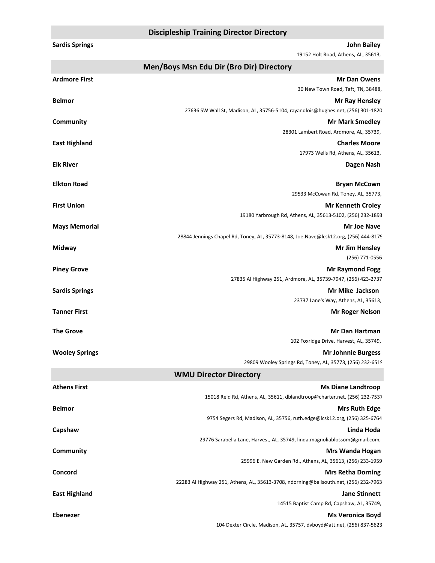#### **Discipleship Training Director Directory**

| <b>Sardis Springs</b> | <b>John Bailey</b><br>19152 Holt Road, Athens, AL, 35613,                                                        |
|-----------------------|------------------------------------------------------------------------------------------------------------------|
|                       | Men/Boys Msn Edu Dir (Bro Dir) Directory                                                                         |
| <b>Ardmore First</b>  | <b>Mr Dan Owens</b>                                                                                              |
|                       | 30 New Town Road, Taft, TN, 38488,                                                                               |
| <b>Belmor</b>         | <b>Mr Ray Hensley</b>                                                                                            |
|                       | 27636 SW Wall St, Madison, AL, 35756-5104, rayandlois@hughes.net, (256) 301-1820                                 |
| Community             | <b>Mr Mark Smedley</b>                                                                                           |
|                       | 28301 Lambert Road, Ardmore, AL, 35739,                                                                          |
| <b>East Highland</b>  | <b>Charles Moore</b>                                                                                             |
|                       | 17973 Wells Rd, Athens, AL, 35613,                                                                               |
| <b>Elk River</b>      | Dagen Nash                                                                                                       |
| <b>Elkton Road</b>    | <b>Bryan McCown</b>                                                                                              |
|                       | 29533 McCowan Rd, Toney, AL, 35773,                                                                              |
| <b>First Union</b>    | <b>Mr Kenneth Croley</b>                                                                                         |
|                       | 19180 Yarbrough Rd, Athens, AL, 35613-5102, (256) 232-1893                                                       |
| <b>Mays Memorial</b>  | <b>Mr Joe Nave</b>                                                                                               |
|                       | 28844 Jennings Chapel Rd, Toney, AL, 35773-8148, Joe.Nave@lcsk12.org, (256) 444-8179                             |
| Midway                | Mr Jim Hensley                                                                                                   |
|                       | (256) 771-0556                                                                                                   |
| <b>Piney Grove</b>    | <b>Mr Raymond Fogg</b>                                                                                           |
|                       | 27835 Al Highway 251, Ardmore, AL, 35739-7947, (256) 423-2737                                                    |
| <b>Sardis Springs</b> | Mr Mike Jackson                                                                                                  |
|                       | 23737 Lane's Way, Athens, AL, 35613,                                                                             |
| <b>Tanner First</b>   | <b>Mr Roger Nelson</b>                                                                                           |
| <b>The Grove</b>      | Mr Dan Hartman                                                                                                   |
|                       | 102 Foxridge Drive, Harvest, AL, 35749,                                                                          |
| <b>Wooley Springs</b> | <b>Mr Johnnie Burgess</b>                                                                                        |
|                       | 29809 Wooley Springs Rd, Toney, AL, 35773, (256) 232-6519                                                        |
|                       | <b>WMU Director Directory</b>                                                                                    |
| <b>Athens First</b>   | <b>Ms Diane Landtroop</b>                                                                                        |
|                       | 15018 Reid Rd, Athens, AL, 35611, dblandtroop@charter.net, (256) 232-7537                                        |
| <b>Belmor</b>         | <b>Mrs Ruth Edge</b>                                                                                             |
|                       | 9754 Segers Rd, Madison, AL, 35756, ruth.edge@lcsk12.org, (256) 325-6764                                         |
| Capshaw               | Linda Hoda                                                                                                       |
|                       | 29776 Sarabella Lane, Harvest, AL, 35749, linda.magnoliablossom@gmail.com,                                       |
| <b>Community</b>      | Mrs Wanda Hogan                                                                                                  |
|                       | 25996 E. New Garden Rd., Athens, AL, 35613, (256) 233-1959                                                       |
| Concord               | <b>Mrs Retha Dorning</b><br>22283 Al Highway 251, Athens, AL, 35613-3708, ndorning@bellsouth.net, (256) 232-7963 |
|                       |                                                                                                                  |

**East Highland Jane Stinnett**  14515 Baptist Camp Rd, Capshaw, AL, 35749,

**Ebenezer Ms Veronica Boyd**  104 Dexter Circle, Madison, AL, 35757, dvboyd@att.net, (256) 837-5623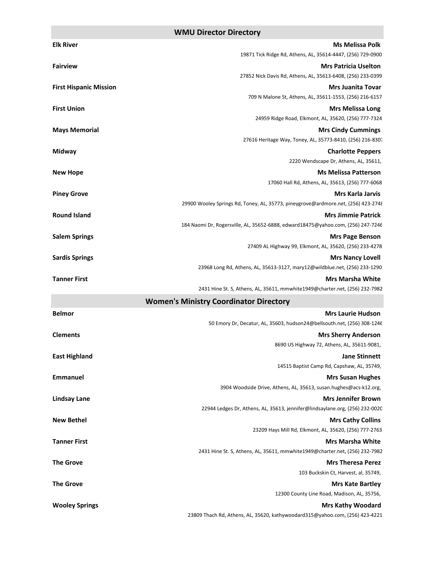### **WMU Director Directory**

|                               | ע וטוסי וטוכענטו שווכענטו א                                                                               |
|-------------------------------|-----------------------------------------------------------------------------------------------------------|
| <b>Elk River</b>              | <b>Ms Melissa Polk</b>                                                                                    |
|                               | 19871 Tick Ridge Rd, Athens, AL, 35614-4447, (256) 729-0900                                               |
| <b>Fairview</b>               | <b>Mrs Patricia Uselton</b><br>27852 Nick Davis Rd, Athens, AL, 35613-6408, (256) 233-0399                |
| <b>First Hispanic Mission</b> | <b>Mrs Juanita Tovar</b>                                                                                  |
|                               | 709 N Malone St, Athens, AL, 35611-1553, (256) 216-6157                                                   |
| <b>First Union</b>            | <b>Mrs Melissa Long</b>                                                                                   |
|                               | 24959 Ridge Road, Elkmont, AL, 35620, (256) 777-7324                                                      |
| <b>Mays Memorial</b>          | <b>Mrs Cindy Cummings</b>                                                                                 |
|                               | 27616 Heritage Way, Toney, AL, 35773-8410, (256) 216-8307                                                 |
| Midway                        | <b>Charlotte Peppers</b>                                                                                  |
|                               | 2220 Wendscape Dr, Athens, AL, 35611,                                                                     |
| <b>New Hope</b>               | <b>Ms Melissa Patterson</b>                                                                               |
|                               | 17060 Hall Rd, Athens, AL, 35613, (256) 777-6068                                                          |
| <b>Piney Grove</b>            | <b>Mrs Karla Jarvis</b>                                                                                   |
|                               | 29900 Wooley Springs Rd, Toney, AL, 35773, pineygrove@ardmore.net, (256) 423-2748                         |
| <b>Round Island</b>           | <b>Mrs Jimmie Patrick</b>                                                                                 |
|                               | 184 Naomi Dr, Rogersville, AL, 35652-6888, edward18475@yahoo.com, (256) 247-7246                          |
| <b>Salem Springs</b>          | <b>Mrs Page Benson</b>                                                                                    |
|                               | 27409 AL Highway 99, Elkmont, AL, 35620, (256) 233-4278                                                   |
| <b>Sardis Springs</b>         | <b>Mrs Nancy Lovell</b>                                                                                   |
|                               | 23968 Long Rd, Athens, AL, 35613-3127, mary12@wildblue.net, (256) 233-1290                                |
| <b>Tanner First</b>           | <b>Mrs Marsha White</b>                                                                                   |
|                               | 2431 Hine St. S, Athens, AL, 35611, mmwhite1949@charter.net, (256) 232-7982                               |
|                               | <b>Women's Ministry Coordinator Directory</b>                                                             |
| <b>Belmor</b>                 | <b>Mrs Laurie Hudson</b>                                                                                  |
|                               | 50 Emory Dr, Decatur, AL, 35603, hudson24@bellsouth.net, (256) 308-1246                                   |
| <b>Clements</b>               | <b>Mrs Sherry Anderson</b>                                                                                |
|                               | 8690 US Highway 72, Athens, AL, 35611-9081,                                                               |
| <b>East Highland</b>          | <b>Jane Stinnett</b>                                                                                      |
|                               | 14515 Baptist Camp Rd, Capshaw, AL, 35749,                                                                |
| <b>Emmanuel</b>               | <b>Mrs Susan Hughes</b>                                                                                   |
|                               | 3904 Woodside Drive, Athens, AL, 35613, susan.hughes@acs-k12.org,                                         |
| <b>Lindsay Lane</b>           | <b>Mrs Jennifer Brown</b><br>22944 Ledges Dr, Athens, AL, 35613, jennifer@lindsaylane.org, (256) 232-0020 |
| <b>New Bethel</b>             |                                                                                                           |
|                               | <b>Mrs Cathy Collins</b><br>23209 Hays Mill Rd, Elkmont, AL, 35620, (256) 777-2763                        |
| <b>Tanner First</b>           | <b>Mrs Marsha White</b>                                                                                   |
|                               | 2431 Hine St. S, Athens, AL, 35611, mmwhite1949@charter.net, (256) 232-7982                               |
| <b>The Grove</b>              | <b>Mrs Theresa Perez</b>                                                                                  |
|                               | 103 Buckskin Ct, Harvest, al, 35749,                                                                      |
| <b>The Grove</b>              | <b>Mrs Kate Bartley</b>                                                                                   |
|                               | 12300 County Line Road, Madison, AL, 35756,                                                               |
| <b>Wooley Springs</b>         | <b>Mrs Kathy Woodard</b>                                                                                  |
|                               |                                                                                                           |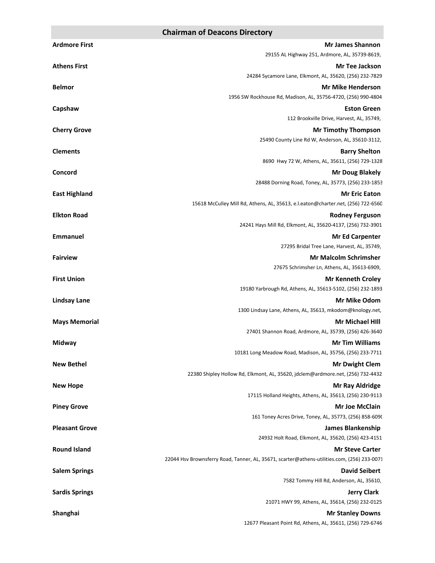#### **Chairman of Deacons Directory**

| <b>Ardmore First</b>  | <b>Mr James Shannon</b>                                                                                               |
|-----------------------|-----------------------------------------------------------------------------------------------------------------------|
|                       | 29155 AL Highway 251, Ardmore, AL, 35739-8619,                                                                        |
| <b>Athens First</b>   | <b>Mr Tee Jackson</b>                                                                                                 |
|                       | 24284 Sycamore Lane, Elkmont, AL, 35620, (256) 232-7829                                                               |
| <b>Belmor</b>         | <b>Mr Mike Henderson</b><br>1956 SW Rockhouse Rd, Madison, AL, 35756-4720, (256) 990-4804                             |
| Capshaw               | <b>Eston Green</b>                                                                                                    |
|                       | 112 Brookville Drive, Harvest, AL, 35749,                                                                             |
| <b>Cherry Grove</b>   | <b>Mr Timothy Thompson</b>                                                                                            |
|                       | 25490 County Line Rd W, Anderson, AL, 35610-3112,                                                                     |
| <b>Clements</b>       | <b>Barry Shelton</b>                                                                                                  |
|                       | 8690 Hwy 72 W, Athens, AL, 35611, (256) 729-1328                                                                      |
| Concord               | <b>Mr Doug Blakely</b>                                                                                                |
|                       | 28488 Dorning Road, Toney, AL, 35773, (256) 233-1853                                                                  |
| <b>East Highland</b>  | <b>Mr Eric Eaton</b>                                                                                                  |
|                       | 15618 McCulley Mill Rd, Athens, AL, 35613, e.l.eaton@charter.net, (256) 722-6560                                      |
| <b>Elkton Road</b>    | <b>Rodney Ferguson</b><br>24241 Hays Mill Rd, Elkmont, AL, 35620-4137, (256) 732-3901                                 |
| <b>Emmanuel</b>       | <b>Mr Ed Carpenter</b>                                                                                                |
|                       | 27295 Bridal Tree Lane, Harvest, AL, 35749,                                                                           |
| <b>Fairview</b>       | <b>Mr Malcolm Schrimsher</b>                                                                                          |
|                       | 27675 Schrimsher Ln, Athens, AL, 35613-6909,                                                                          |
| <b>First Union</b>    | <b>Mr Kenneth Croley</b>                                                                                              |
|                       | 19180 Yarbrough Rd, Athens, AL, 35613-5102, (256) 232-1893                                                            |
| <b>Lindsay Lane</b>   | <b>Mr Mike Odom</b>                                                                                                   |
|                       | 1300 Lindsay Lane, Athens, AL, 35613, mkodom@knology.net,                                                             |
| <b>Mays Memorial</b>  | <b>Mr Michael HIII</b>                                                                                                |
|                       | 27401 Shannon Road, Ardmore, AL, 35739, (256) 426-3640<br><b>Mr Tim Williams</b>                                      |
| Midway                | 10181 Long Meadow Road, Madison, AL, 35756, (256) 233-7711                                                            |
| <b>New Bethel</b>     | <b>Mr Dwight Clem</b>                                                                                                 |
|                       | 22380 Shipley Hollow Rd, Elkmont, AL, 35620, jdclem@ardmore.net, (256) 732-4432                                       |
| <b>New Hope</b>       | <b>Mr Ray Aldridge</b>                                                                                                |
|                       | 17115 Holland Heights, Athens, AL, 35613, (256) 230-9113                                                              |
| <b>Piney Grove</b>    | <b>Mr Joe McClain</b>                                                                                                 |
|                       | 161 Toney Acres Drive, Toney, AL, 35773, (256) 858-6090                                                               |
| <b>Pleasant Grove</b> | <b>James Blankenship</b>                                                                                              |
|                       | 24932 Holt Road, Elkmont, AL, 35620, (256) 423-4151                                                                   |
| <b>Round Island</b>   | <b>Mr Steve Carter</b><br>22044 Hsv Brownsferry Road, Tanner, AL, 35671, scarter@athens-utilities.com, (256) 233-0071 |
| <b>Salem Springs</b>  | <b>David Seibert</b>                                                                                                  |
|                       | 7582 Tommy Hill Rd, Anderson, AL, 35610,                                                                              |
| <b>Sardis Springs</b> | <b>Jerry Clark</b>                                                                                                    |
|                       | 21071 HWY 99, Athens, AL, 35614, (256) 232-0125                                                                       |
| Shanghai              | <b>Mr Stanley Downs</b>                                                                                               |
|                       | 12677 Pleasant Point Rd, Athens, AL, 35611, (256) 729-6746                                                            |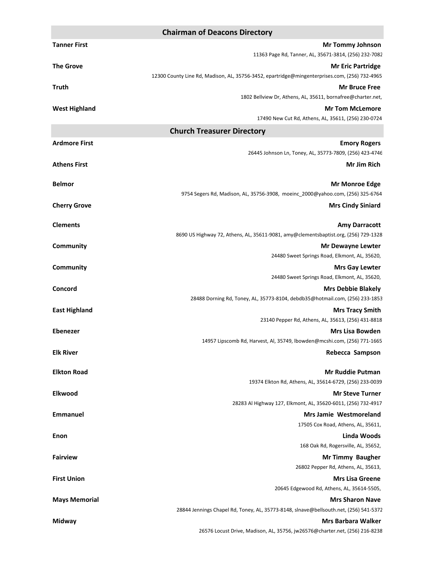#### **Chairman of Deacons Directory**

| <b>Tanner First</b>  | <b>Mr Tommy Johnson</b>                                                                                 |
|----------------------|---------------------------------------------------------------------------------------------------------|
| <b>The Grove</b>     | 11363 Page Rd, Tanner, AL, 35671-3814, (256) 232-7082<br><b>Mr Eric Partridge</b>                       |
|                      | 12300 County Line Rd, Madison, AL, 35756-3452, epartridge@mingenterprises.com, (256) 732-4965           |
| Truth                | <b>Mr Bruce Free</b>                                                                                    |
|                      | 1802 Bellview Dr, Athens, AL, 35611, bornafree@charter.net,                                             |
| <b>West Highland</b> | <b>Mr Tom McLemore</b>                                                                                  |
|                      | 17490 New Cut Rd, Athens, AL, 35611, (256) 230-0724                                                     |
|                      | <b>Church Treasurer Directory</b>                                                                       |
| <b>Ardmore First</b> | <b>Emory Rogers</b>                                                                                     |
|                      | 26445 Johnson Ln, Toney, AL, 35773-7809, (256) 423-4746                                                 |
| <b>Athens First</b>  | Mr Jim Rich                                                                                             |
|                      |                                                                                                         |
| <b>Belmor</b>        | <b>Mr Monroe Edge</b><br>9754 Segers Rd, Madison, AL, 35756-3908, moeinc_2000@yahoo.com, (256) 325-6764 |
|                      |                                                                                                         |
| <b>Cherry Grove</b>  | <b>Mrs Cindy Siniard</b>                                                                                |
| <b>Clements</b>      | <b>Amy Darracott</b>                                                                                    |
|                      | 8690 US Highway 72, Athens, AL, 35611-9081, amy@clementsbaptist.org, (256) 729-1328                     |
| <b>Community</b>     | <b>Mr Dewayne Lewter</b>                                                                                |
|                      | 24480 Sweet Springs Road, Elkmont, AL, 35620,                                                           |
| <b>Community</b>     | <b>Mrs Gay Lewter</b>                                                                                   |
|                      | 24480 Sweet Springs Road, Elkmont, AL, 35620,                                                           |
| Concord              | <b>Mrs Debbie Blakely</b>                                                                               |
|                      | 28488 Dorning Rd, Toney, AL, 35773-8104, debdb35@hotmail.com, (256) 233-1853                            |
| <b>East Highland</b> | <b>Mrs Tracy Smith</b>                                                                                  |
|                      | 23140 Pepper Rd, Athens, AL, 35613, (256) 431-8818                                                      |
| <b>Ebenezer</b>      | Mrs Lisa Bowden<br>14957 Lipscomb Rd, Harvest, Al, 35749, Ibowden@mcshi.com, (256) 771-1665             |
| <b>Elk River</b>     | Rebecca Sampson                                                                                         |
|                      |                                                                                                         |
| <b>Elkton Road</b>   | <b>Mr Ruddie Putman</b>                                                                                 |
|                      | 19374 Elkton Rd, Athens, AL, 35614-6729, (256) 233-0039                                                 |
| Elkwood              | <b>Mr Steve Turner</b>                                                                                  |
|                      | 28283 Al Highway 127, Elkmont, AL, 35620-6011, (256) 732-4917                                           |
| <b>Emmanuel</b>      | <b>Mrs Jamie Westmoreland</b>                                                                           |
|                      | 17505 Cox Road, Athens, AL, 35611,                                                                      |
| Enon                 | Linda Woods                                                                                             |
|                      | 168 Oak Rd, Rogersville, AL, 35652,                                                                     |
| <b>Fairview</b>      | <b>Mr Timmy Baugher</b>                                                                                 |
|                      | 26802 Pepper Rd, Athens, AL, 35613,<br><b>Mrs Lisa Greene</b>                                           |
| <b>First Union</b>   | 20645 Edgewood Rd, Athens, AL, 35614-5505,                                                              |
| <b>Mays Memorial</b> | <b>Mrs Sharon Nave</b>                                                                                  |
|                      | 28844 Jennings Chapel Rd, Toney, AL, 35773-8148, slnave@bellsouth.net, (256) 541-5372                   |
| Midway               | <b>Mrs Barbara Walker</b>                                                                               |
|                      | 26576 Locust Drive, Madison, AL, 35756, jw26576@charter.net, (256) 216-8238                             |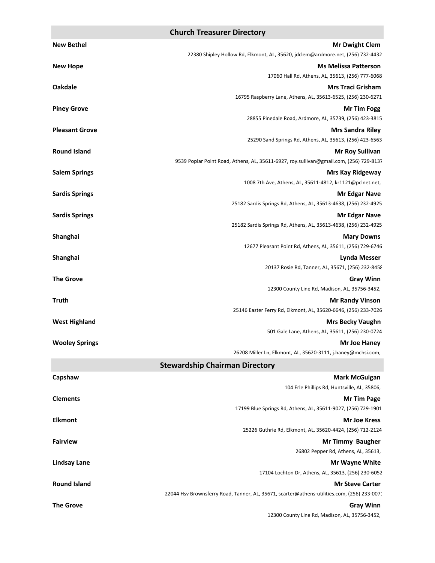#### **Church Treasurer Directory**

| <b>New Bethel</b>     | <b>Mr Dwight Clem</b>                                                                    |
|-----------------------|------------------------------------------------------------------------------------------|
|                       | 22380 Shipley Hollow Rd, Elkmont, AL, 35620, jdclem@ardmore.net, (256) 732-4432          |
| <b>New Hope</b>       | <b>Ms Melissa Patterson</b>                                                              |
|                       | 17060 Hall Rd, Athens, AL, 35613, (256) 777-6068                                         |
| <b>Oakdale</b>        | <b>Mrs Traci Grisham</b>                                                                 |
|                       | 16795 Raspberry Lane, Athens, AL, 35613-6525, (256) 230-6271                             |
| <b>Piney Grove</b>    | <b>Mr Tim Fogg</b>                                                                       |
|                       | 28855 Pinedale Road, Ardmore, AL, 35739, (256) 423-3815                                  |
| <b>Pleasant Grove</b> | <b>Mrs Sandra Riley</b>                                                                  |
|                       | 25290 Sand Springs Rd, Athens, AL, 35613, (256) 423-6563                                 |
| <b>Round Island</b>   | <b>Mr Roy Sullivan</b>                                                                   |
|                       | 9539 Poplar Point Road, Athens, AL, 35611-6927, roy.sullivan@gmail.com, (256) 729-8137   |
| <b>Salem Springs</b>  | <b>Mrs Kay Ridgeway</b>                                                                  |
|                       | 1008 7th Ave, Athens, AL, 35611-4812, kr1121@pclnet.net,                                 |
| <b>Sardis Springs</b> | <b>Mr Edgar Nave</b>                                                                     |
|                       | 25182 Sardis Springs Rd, Athens, AL, 35613-4638, (256) 232-4925                          |
| <b>Sardis Springs</b> | <b>Mr Edgar Nave</b>                                                                     |
|                       | 25182 Sardis Springs Rd, Athens, AL, 35613-4638, (256) 232-4925                          |
| Shanghai              | <b>Mary Downs</b>                                                                        |
|                       | 12677 Pleasant Point Rd, Athens, AL, 35611, (256) 729-6746                               |
| Shanghai              | <b>Lynda Messer</b><br>20137 Rosie Rd, Tanner, AL, 35671, (256) 232-8458                 |
|                       |                                                                                          |
| <b>The Grove</b>      | <b>Gray Winn</b><br>12300 County Line Rd, Madison, AL, 35756-3452,                       |
| <b>Truth</b>          |                                                                                          |
|                       | <b>Mr Randy Vinson</b><br>25146 Easter Ferry Rd, Elkmont, AL, 35620-6646, (256) 233-7026 |
| <b>West Highland</b>  | <b>Mrs Becky Vaughn</b>                                                                  |
|                       | 501 Gale Lane, Athens, AL, 35611, (256) 230-0724                                         |
| <b>Wooley Springs</b> | Mr Joe Haney                                                                             |
|                       | 26208 Miller Ln, Elkmont, AL, 35620-3111, j.haney@mchsi.com,                             |
|                       | <b>Stewardship Chairman Directory</b>                                                    |
| Capshaw               | <b>Mark McGuigan</b>                                                                     |
|                       | 104 Erle Phillips Rd, Huntsville, AL, 35806,                                             |
| <b>Clements</b>       | <b>Mr Tim Page</b>                                                                       |
|                       | 17199 Blue Springs Rd, Athens, AL, 35611-9027, (256) 729-1901                            |

**Elkmont Mr Joe Kress** 

**Fairview Mr Timmy Baugher Mr Timmy Baugher Mr Timmy Baugher** 

**Lindsay Lane Mr Wayne White** 

**Round Island Mr Steve Carter Mr Steve Carter Mr Steve Carter Mr Steve Carter** 

22044 Hsv Brownsferry Road, Tanner, AL, 35671, scarter@athens-utilities.com, (256) 233-0071

**The Grove Gray Winn** 

12300 County Line Rd, Madison, AL, 35756-3452,

17104 Lochton Dr, Athens, AL, 35613, (256) 230-6052

26802 Pepper Rd, Athens, AL, 35613,

25226 Guthrie Rd, Elkmont, AL, 35620-4424, (256) 712-2124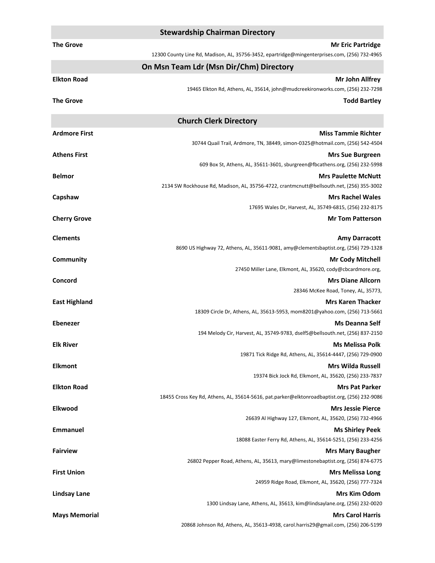|                      | <b>Stewardship Chairman Directory</b>                                                         |
|----------------------|-----------------------------------------------------------------------------------------------|
| <b>The Grove</b>     | <b>Mr Eric Partridge</b>                                                                      |
|                      | 12300 County Line Rd, Madison, AL, 35756-3452, epartridge@mingenterprises.com, (256) 732-4965 |
|                      | On Msn Team Ldr (Msn Dir/Chm) Directory                                                       |
| <b>Elkton Road</b>   | Mr John Allfrey                                                                               |
|                      | 19465 Elkton Rd, Athens, AL, 35614, john@mudcreekironworks.com, (256) 232-7298                |
| <b>The Grove</b>     | <b>Todd Bartley</b>                                                                           |
|                      | <b>Church Clerk Directory</b>                                                                 |
| <b>Ardmore First</b> | <b>Miss Tammie Richter</b>                                                                    |
|                      | 30744 Quail Trail, Ardmore, TN, 38449, simon-0325@hotmail.com, (256) 542-4504                 |
| <b>Athens First</b>  | <b>Mrs Sue Burgreen</b>                                                                       |
|                      | 609 Box St, Athens, AL, 35611-3601, sburgreen@fbcathens.org, (256) 232-5998                   |
| <b>Belmor</b>        | <b>Mrs Paulette McNutt</b>                                                                    |
|                      | 2134 SW Rockhouse Rd, Madison, AL, 35756-4722, crantmcnutt@bellsouth.net, (256) 355-3002      |
| Capshaw              | <b>Mrs Rachel Wales</b><br>17695 Wales Dr, Harvest, AL, 35749-6815, (256) 232-8175            |
| <b>Cherry Grove</b>  | <b>Mr Tom Patterson</b>                                                                       |
|                      |                                                                                               |
| <b>Clements</b>      | <b>Amy Darracott</b>                                                                          |
|                      | 8690 US Highway 72, Athens, AL, 35611-9081, amy@clementsbaptist.org, (256) 729-1328           |
| Community            | <b>Mr Cody Mitchell</b><br>27450 Miller Lane, Elkmont, AL, 35620, cody@cbcardmore.org,        |
| Concord              | <b>Mrs Diane Allcorn</b>                                                                      |
|                      | 28346 McKee Road, Toney, AL, 35773,                                                           |
| <b>East Highland</b> | <b>Mrs Karen Thacker</b>                                                                      |
|                      | 18309 Circle Dr, Athens, AL, 35613-5953, mom8201@yahoo.com, (256) 713-5661                    |
| <b>Ebenezer</b>      | <b>Ms Deanna Self</b>                                                                         |
|                      | 194 Melody Cir, Harvest, AL, 35749-9783, dself5@bellsouth.net, (256) 837-2150                 |
| <b>Elk River</b>     | Ms Melissa Polk                                                                               |
|                      | 19871 Tick Ridge Rd, Athens, AL, 35614-4447, (256) 729-0900                                   |
| <b>Elkmont</b>       | <b>Mrs Wilda Russell</b>                                                                      |
|                      | 19374 Bick Jock Rd, Elkmont, AL, 35620, (256) 233-7837                                        |
| <b>Elkton Road</b>   | <b>Mrs Pat Parker</b>                                                                         |
|                      | 18455 Cross Key Rd, Athens, AL, 35614-5616, pat.parker@elktonroadbaptist.org, (256) 232-9086  |
| Elkwood              | <b>Mrs Jessie Pierce</b><br>26639 Al Highway 127, Elkmont, AL, 35620, (256) 732-4966          |
| <b>Emmanuel</b>      | <b>Ms Shirley Peek</b>                                                                        |
|                      | 18088 Easter Ferry Rd, Athens, AL, 35614-5251, (256) 233-4256                                 |
| <b>Fairview</b>      | <b>Mrs Mary Baugher</b>                                                                       |
|                      | 26802 Pepper Road, Athens, AL, 35613, mary@limestonebaptist.org, (256) 874-6775               |
| <b>First Union</b>   | <b>Mrs Melissa Long</b>                                                                       |
|                      | 24959 Ridge Road, Elkmont, AL, 35620, (256) 777-7324                                          |
| <b>Lindsay Lane</b>  | <b>Mrs Kim Odom</b>                                                                           |
|                      | 1300 Lindsay Lane, Athens, AL, 35613, kim@lindsaylane.org, (256) 232-0020                     |
| <b>Mays Memorial</b> | <b>Mrs Carol Harris</b>                                                                       |
|                      | 20868 Johnson Rd, Athens, AL, 35613-4938, carol.harris29@gmail.com, (256) 206-5199            |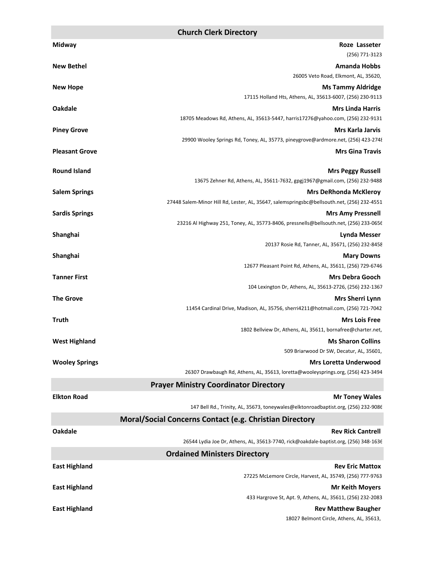| Midway                | Roze Lasseter                                                                                                    |
|-----------------------|------------------------------------------------------------------------------------------------------------------|
|                       | (256) 771-3123                                                                                                   |
| <b>New Bethel</b>     | <b>Amanda Hobbs</b>                                                                                              |
|                       | 26005 Veto Road, Elkmont, AL, 35620,                                                                             |
| <b>New Hope</b>       | <b>Ms Tammy Aldridge</b><br>17115 Holland Hts, Athens, AL, 35613-6007, (256) 230-9113                            |
| <b>Oakdale</b>        | <b>Mrs Linda Harris</b>                                                                                          |
|                       | 18705 Meadows Rd, Athens, AL, 35613-5447, harris17276@yahoo.com, (256) 232-9131                                  |
| <b>Piney Grove</b>    | Mrs Karla Jarvis                                                                                                 |
|                       | 29900 Wooley Springs Rd, Toney, AL, 35773, pineygrove@ardmore.net, (256) 423-2748                                |
| <b>Pleasant Grove</b> | <b>Mrs Gina Travis</b>                                                                                           |
| <b>Round Island</b>   |                                                                                                                  |
|                       | <b>Mrs Peggy Russell</b><br>13675 Zehner Rd, Athens, AL, 35611-7632, gpgj1967@gmail.com, (256) 232-9488          |
| <b>Salem Springs</b>  | <b>Mrs DeRhonda McKleroy</b>                                                                                     |
|                       | 27448 Salem-Minor Hill Rd, Lester, AL, 35647, salemspringsbc@bellsouth.net, (256) 232-4551                       |
| <b>Sardis Springs</b> | <b>Mrs Amy Pressnell</b>                                                                                         |
|                       | 23216 Al Highway 251, Toney, AL, 35773-8406, pressnells@bellsouth.net, (256) 233-0656                            |
| Shanghai              | <b>Lynda Messer</b>                                                                                              |
|                       | 20137 Rosie Rd, Tanner, AL, 35671, (256) 232-8458                                                                |
| Shanghai              | <b>Mary Downs</b><br>12677 Pleasant Point Rd, Athens, AL, 35611, (256) 729-6746                                  |
| <b>Tanner First</b>   | <b>Mrs Debra Gooch</b>                                                                                           |
|                       | 104 Lexington Dr, Athens, AL, 35613-2726, (256) 232-1367                                                         |
| <b>The Grove</b>      | Mrs Sherri Lynn                                                                                                  |
|                       | 11454 Cardinal Drive, Madison, AL, 35756, sherri4211@hotmail.com, (256) 721-7042                                 |
| <b>Truth</b>          | <b>Mrs Lois Free</b>                                                                                             |
|                       | 1802 Bellview Dr, Athens, AL, 35611, bornafree@charter.net,                                                      |
| <b>West Highland</b>  | <b>Ms Sharon Collins</b>                                                                                         |
|                       | 509 Briarwood Dr SW, Decatur, AL, 35601,                                                                         |
| <b>Wooley Springs</b> | <b>Mrs Loretta Underwood</b><br>26307 Drawbaugh Rd, Athens, AL, 35613, loretta@wooleysprings.org, (256) 423-3494 |
|                       | <b>Prayer Ministry Coordinator Directory</b>                                                                     |
| <b>Elkton Road</b>    | <b>Mr Toney Wales</b>                                                                                            |
|                       | 147 Bell Rd., Trinity, AL, 35673, toneywales@elktonroadbaptist.org, (256) 232-9086                               |
|                       | Moral/Social Concerns Contact (e.g. Christian Directory                                                          |
| <b>Oakdale</b>        | <b>Rev Rick Cantrell</b>                                                                                         |
|                       | 26544 Lydia Joe Dr, Athens, AL, 35613-7740, rick@oakdale-baptist.org, (256) 348-1636                             |
|                       | <b>Ordained Ministers Directory</b>                                                                              |
| <b>East Highland</b>  | <b>Rev Eric Mattox</b>                                                                                           |
|                       | 27225 McLemore Circle, Harvest, AL, 35749, (256) 777-9763                                                        |
| <b>East Highland</b>  | <b>Mr Keith Moyers</b>                                                                                           |
|                       | 433 Hargrove St, Apt. 9, Athens, AL, 35611, (256) 232-2083                                                       |
| <b>East Highland</b>  | <b>Rev Matthew Baugher</b>                                                                                       |
|                       | 18027 Belmont Circle, Athens, AL, 35613,                                                                         |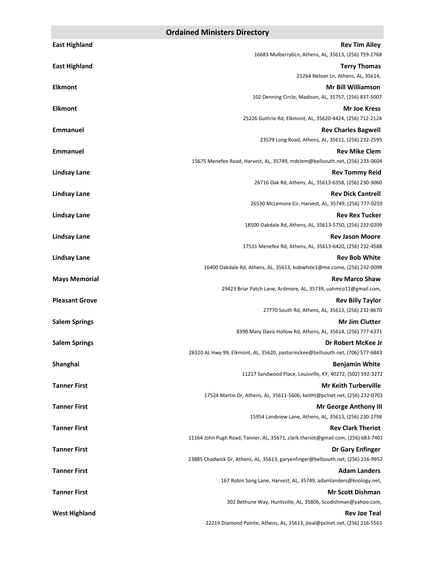| <b>East Highland</b>  | <b>Rev Tim Alley</b>                                                                 |
|-----------------------|--------------------------------------------------------------------------------------|
|                       | 16683 MulberrybLn, Athens, AL, 35613, (256) 759-2768                                 |
| <b>East Highland</b>  | <b>Terry Thomas</b>                                                                  |
|                       | 21264 Nelson Ln, Athens, AL, 35614,                                                  |
| <b>Elkmont</b>        | <b>Mr Bill Williamson</b><br>102 Denning Circle, Madison, AL, 35757, (256) 837-5007  |
| <b>Elkmont</b>        | <b>Mr Joe Kress</b>                                                                  |
|                       | 25226 Guthrie Rd, Elkmont, AL, 35620-4424, (256) 712-2124                            |
| <b>Emmanuel</b>       | <b>Rev Charles Bagwell</b>                                                           |
|                       | 23579 Long Road, Athens, AL, 35611, (256) 232-2595                                   |
| <b>Emmanuel</b>       | <b>Rev Mike Clem</b>                                                                 |
|                       | 15675 Menefee Road, Harvest, AL, 35749, mdclem@bellsouth.net, (256) 233-0604         |
| <b>Lindsay Lane</b>   | <b>Rev Tommy Reid</b>                                                                |
|                       | 26716 Oak Rd, Athens, AL, 35613-6358, (256) 230-3060                                 |
| <b>Lindsay Lane</b>   | <b>Rev Dick Cantrell</b>                                                             |
|                       | 26530 McLemore Cir, Harvest, AL, 35749, (256) 777-0259                               |
| <b>Lindsay Lane</b>   | <b>Rev Rex Tucker</b><br>18500 Oakdale Rd, Athens, AL, 35613-5750, (256) 232-0209    |
|                       | <b>Rev Jason Moore</b>                                                               |
| <b>Lindsay Lane</b>   | 17531 Menefee Rd, Athens, AL, 35613-6420, (256) 232-4588                             |
| <b>Lindsay Lane</b>   | <b>Rev Bob White</b>                                                                 |
|                       | 16400 Oakdale Rd, Athens, AL, 35613, bobwhite1@me.come, (256) 232-0098               |
| <b>Mays Memorial</b>  | <b>Rev Marco Shaw</b>                                                                |
|                       | 29423 Briar Patch Lane, Ardmore, AL, 35739, uahmco11@gmail.com,                      |
| <b>Pleasant Grove</b> | <b>Rev Billy Taylor</b>                                                              |
|                       | 27770 South Rd, Athens, AL, 35613, (256) 232-8670                                    |
| <b>Salem Springs</b>  | <b>Mr Jim Clutter</b>                                                                |
|                       | 8390 Mary Davis Hollow Rd, Athens, AL, 35614, (256) 777-6371                         |
| <b>Salem Springs</b>  | Dr Robert McKee Jr                                                                   |
|                       | 28320 AL Hwy 99, Elkmont, AL, 35620, pastormckee@bellsouth.net, (706) 577-6843       |
| Shanghai              | <b>Benjamin White</b><br>11217 Sandwood Place, Louisville, KY, 40272, (502) 592-3272 |
| <b>Tanner First</b>   | <b>Mr Keith Turberville</b>                                                          |
|                       | 17524 Martin Dr, Athens, AL, 35611-5606, keitht@pclnet.net, (256) 232-0703           |
| <b>Tanner First</b>   | <b>Mr George Anthony III</b>                                                         |
|                       | 15954 Landview Lane, Athens, AL, 35613, (256) 230-2798                               |
| <b>Tanner First</b>   | <b>Rev Clark Theriot</b>                                                             |
|                       | 11164 John Pugh Road, Tanner, AL, 35671, clark.theriot@gmail.com, (256) 683-7401     |
| <b>Tanner First</b>   | Dr Gary Enfinger                                                                     |
|                       | 23885 Chadwick Dr, Athens, AL, 35613, garyenfinger@bellsouth.net, (256) 216-9952     |
| <b>Tanner First</b>   | <b>Adam Landers</b>                                                                  |
|                       | 167 Robin Song Lane, Harvest, AL, 35749, adamlanders@knology.net,                    |
| <b>Tanner First</b>   | <b>Mr Scott Dishman</b>                                                              |
|                       | 302 Bethune Way, Huntsville, AL, 35806, Scodishman@yahoo.com,<br><b>Rev Joe Teal</b> |
| <b>West Highland</b>  | 22219 Diamond Pointe, Athens, AL, 35613, jteal@pclnet.net, (256) 216-5561            |
|                       |                                                                                      |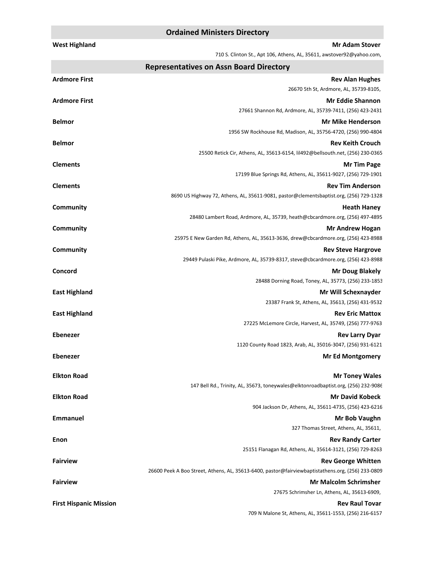#### **Ordained Ministers Directory**

| <b>West Highland</b> | <b>Mr Adam Stover</b>                                                                                                          |
|----------------------|--------------------------------------------------------------------------------------------------------------------------------|
|                      | 710 S. Clinton St., Apt 106, Athens, AL, 35611, awstover92@yahoo.com,                                                          |
|                      | <b>Representatives on Assn Board Directory</b>                                                                                 |
| <b>Ardmore First</b> | <b>Rev Alan Hughes</b><br>26670 5th St, Ardmore, AL, 35739-8105,                                                               |
| Ardmore First        | <b>Mr Eddie Shannon</b>                                                                                                        |
|                      | 27661 Shannon Rd, Ardmore, AL, 35739-7411, (256) 423-2431                                                                      |
| <b>Belmor</b>        | <b>Mr Mike Henderson</b>                                                                                                       |
|                      | 1956 SW Rockhouse Rd, Madison, AL, 35756-4720, (256) 990-4804                                                                  |
| <b>Belmor</b>        | <b>Rev Keith Crouch</b>                                                                                                        |
|                      | 25500 Retick Cir, Athens, AL, 35613-6154, lil492@bellsouth.net, (256) 230-0365                                                 |
| <b>Clements</b>      | <b>Mr Tim Page</b>                                                                                                             |
|                      | 17199 Blue Springs Rd, Athens, AL, 35611-9027, (256) 729-1901                                                                  |
| <b>Clements</b>      | <b>Rev Tim Anderson</b>                                                                                                        |
|                      | 8690 US Highway 72, Athens, AL, 35611-9081, pastor@clementsbaptist.org, (256) 729-1328                                         |
| Community            | <b>Heath Haney</b>                                                                                                             |
|                      | 28480 Lambert Road, Ardmore, AL, 35739, heath@cbcardmore.org, (256) 497-4895                                                   |
| Community            | <b>Mr Andrew Hogan</b><br>25975 E New Garden Rd, Athens, AL, 35613-3636, drew@cbcardmore.org, (256) 423-8988                   |
| Community            | <b>Rev Steve Hargrove</b>                                                                                                      |
|                      | 29449 Pulaski Pike, Ardmore, AL, 35739-8317, steve@cbcardmore.org, (256) 423-8988                                              |
| Concord              | <b>Mr Doug Blakely</b>                                                                                                         |
|                      | 28488 Dorning Road, Toney, AL, 35773, (256) 233-1853                                                                           |
| <b>East Highland</b> | Mr Will Schexnayder                                                                                                            |
|                      | 23387 Frank St, Athens, AL, 35613, (256) 431-9532                                                                              |
| <b>East Highland</b> | <b>Rev Eric Mattox</b>                                                                                                         |
|                      | 27225 McLemore Circle, Harvest, AL, 35749, (256) 777-9763                                                                      |
| <b>Ebenezer</b>      | <b>Rev Larry Dyar</b>                                                                                                          |
|                      | 1120 County Road 1823, Arab, AL, 35016-3047, (256) 931-6121                                                                    |
| <b>Ebenezer</b>      | <b>Mr Ed Montgomery</b>                                                                                                        |
| <b>Elkton Road</b>   | <b>Mr Toney Wales</b>                                                                                                          |
|                      | 147 Bell Rd., Trinity, AL, 35673, toneywales@elktonroadbaptist.org, (256) 232-9086                                             |
| <b>Elkton Road</b>   | <b>Mr David Kobeck</b>                                                                                                         |
|                      | 904 Jackson Dr, Athens, AL, 35611-4735, (256) 423-6216                                                                         |
| <b>Emmanuel</b>      | Mr Bob Vaughn                                                                                                                  |
|                      | 327 Thomas Street, Athens, AL, 35611,                                                                                          |
| Enon                 | <b>Rev Randy Carter</b>                                                                                                        |
|                      | 25151 Flanagan Rd, Athens, AL, 35614-3121, (256) 729-8263                                                                      |
| <b>Fairview</b>      | <b>Rev George Whitten</b><br>26600 Peek A Boo Street, Athens, AL, 35613-6400, pastor@fairviewbaptistathens.org, (256) 233-0809 |
| <b>Fairview</b>      | <b>Mr Malcolm Schrimsher</b>                                                                                                   |
|                      | 27675 Schrimsher Ln, Athens, AL, 35613-6909,                                                                                   |

**First Hispanic Mission Rev Raul Tovar** 

709 N Malone St, Athens, AL, 35611-1553, (256) 216-6157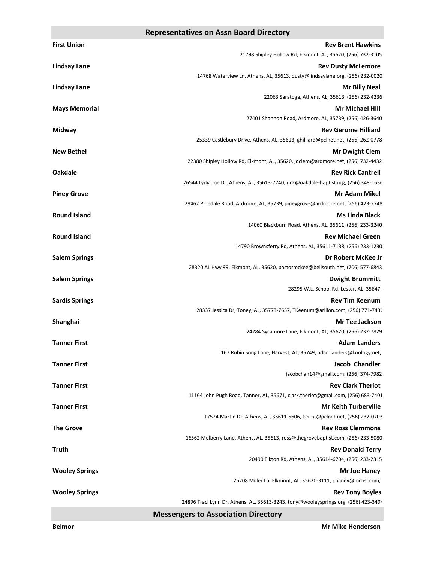#### **Representatives on Assn Board Directory**

| <b>First Union</b>    | <b>Rev Brent Hawkins</b>                                                                                     |
|-----------------------|--------------------------------------------------------------------------------------------------------------|
|                       | 21798 Shipley Hollow Rd, Elkmont, AL, 35620, (256) 732-3105                                                  |
| <b>Lindsay Lane</b>   | <b>Rev Dusty McLemore</b>                                                                                    |
|                       | 14768 Waterview Ln, Athens, AL, 35613, dusty@lindsaylane.org, (256) 232-0020                                 |
| <b>Lindsay Lane</b>   | <b>Mr Billy Neal</b>                                                                                         |
|                       | 22063 Saratoga, Athens, AL, 35613, (256) 232-4236                                                            |
| <b>Mays Memorial</b>  | <b>Mr Michael Hill</b>                                                                                       |
|                       | 27401 Shannon Road, Ardmore, AL, 35739, (256) 426-3640<br><b>Rev Gerome Hilliard</b>                         |
| Midway                | 25339 Castlebury Drive, Athens, AL, 35613, ghilliard@pclnet.net, (256) 262-0778                              |
| <b>New Bethel</b>     | <b>Mr Dwight Clem</b>                                                                                        |
|                       | 22380 Shipley Hollow Rd, Elkmont, AL, 35620, jdclem@ardmore.net, (256) 732-4432                              |
| <b>Oakdale</b>        | <b>Rev Rick Cantrell</b>                                                                                     |
|                       | 26544 Lydia Joe Dr, Athens, AL, 35613-7740, rick@oakdale-baptist.org, (256) 348-1636                         |
| <b>Piney Grove</b>    | <b>Mr Adam Mikel</b>                                                                                         |
|                       | 28462 Pinedale Road, Ardmore, AL, 35739, pineygrove@ardmore.net, (256) 423-2748                              |
| <b>Round Island</b>   | <b>Ms Linda Black</b>                                                                                        |
|                       | 14060 Blackburn Road, Athens, AL, 35611, (256) 233-3240                                                      |
| <b>Round Island</b>   | <b>Rev Michael Green</b>                                                                                     |
|                       | 14790 Brownsferry Rd, Athens, AL, 35611-7138, (256) 233-1230                                                 |
| <b>Salem Springs</b>  | Dr Robert McKee Jr<br>28320 AL Hwy 99, Elkmont, AL, 35620, pastormckee@bellsouth.net, (706) 577-6843         |
| <b>Salem Springs</b>  | <b>Dwight Brummitt</b>                                                                                       |
|                       | 28295 W.L. School Rd, Lester, AL, 35647,                                                                     |
| <b>Sardis Springs</b> | <b>Rev Tim Keenum</b>                                                                                        |
|                       | 28337 Jessica Dr, Toney, AL, 35773-7657, TKeenum@arilion.com, (256) 771-7436                                 |
| Shanghai              | Mr Tee Jackson                                                                                               |
|                       | 24284 Sycamore Lane, Elkmont, AL, 35620, (256) 232-7829                                                      |
| <b>Tanner First</b>   | <b>Adam Landers</b>                                                                                          |
|                       | 167 Robin Song Lane, Harvest, AL, 35749, adamlanders@knology.net,                                            |
| <b>Tanner First</b>   | <b>Jacob Chandler</b>                                                                                        |
|                       | jacobchan14@gmail.com, (256) 374-7982                                                                        |
| <b>Tanner First</b>   | <b>Rev Clark Theriot</b><br>11164 John Pugh Road, Tanner, AL, 35671, clark.theriot@gmail.com, (256) 683-7401 |
| <b>Tanner First</b>   | <b>Mr Keith Turberville</b>                                                                                  |
|                       | 17524 Martin Dr, Athens, AL, 35611-5606, keitht@pclnet.net, (256) 232-0703                                   |
| <b>The Grove</b>      | <b>Rev Ross Clemmons</b>                                                                                     |
|                       | 16562 Mulberry Lane, Athens, AL, 35613, ross@thegrovebaptist.com, (256) 233-5080                             |
| Truth                 | <b>Rev Donald Terry</b>                                                                                      |
|                       | 20490 Elkton Rd, Athens, AL, 35614-6704, (256) 233-2315                                                      |
| <b>Wooley Springs</b> | Mr Joe Haney                                                                                                 |
|                       | 26208 Miller Ln, Elkmont, AL, 35620-3111, j.haney@mchsi.com,                                                 |
| <b>Wooley Springs</b> | <b>Rev Tony Boyles</b>                                                                                       |
|                       | 24896 Traci Lynn Dr, Athens, AL, 35613-3243, tony@wooleysprings.org, (256) 423-3494                          |
|                       | <b>Messengers to Association Directory</b>                                                                   |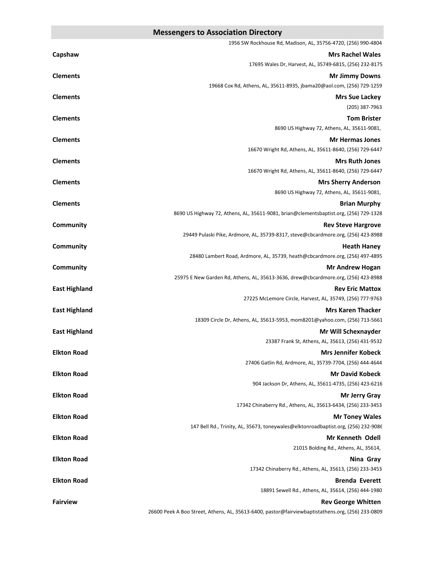|                      | 1956 SW Rockhouse Rd, Madison, AL, 35756-4720, (256) 990-4804                                     |
|----------------------|---------------------------------------------------------------------------------------------------|
| Capshaw              | <b>Mrs Rachel Wales</b>                                                                           |
|                      | 17695 Wales Dr, Harvest, AL, 35749-6815, (256) 232-8175                                           |
| <b>Clements</b>      | <b>Mr Jimmy Downs</b>                                                                             |
|                      | 19668 Cox Rd, Athens, AL, 35611-8935, jbama20@aol.com, (256) 729-1259                             |
| <b>Clements</b>      | <b>Mrs Sue Lackey</b>                                                                             |
|                      | (205) 387-7963                                                                                    |
| <b>Clements</b>      | <b>Tom Brister</b>                                                                                |
|                      | 8690 US Highway 72, Athens, AL, 35611-9081,                                                       |
| <b>Clements</b>      | <b>Mr Hermas Jones</b>                                                                            |
|                      | 16670 Wright Rd, Athens, AL, 35611-8640, (256) 729-6447                                           |
| <b>Clements</b>      | <b>Mrs Ruth Jones</b>                                                                             |
|                      | 16670 Wright Rd, Athens, AL, 35611-8640, (256) 729-6447                                           |
| <b>Clements</b>      | <b>Mrs Sherry Anderson</b>                                                                        |
|                      | 8690 US Highway 72, Athens, AL, 35611-9081,                                                       |
| <b>Clements</b>      | <b>Brian Murphy</b>                                                                               |
|                      | 8690 US Highway 72, Athens, AL, 35611-9081, brian@clementsbaptist.org, (256) 729-1328             |
| Community            | <b>Rev Steve Hargrove</b>                                                                         |
|                      | 29449 Pulaski Pike, Ardmore, AL, 35739-8317, steve@cbcardmore.org, (256) 423-8988                 |
| <b>Community</b>     | <b>Heath Haney</b>                                                                                |
|                      | 28480 Lambert Road, Ardmore, AL, 35739, heath@cbcardmore.org, (256) 497-4895                      |
| Community            | <b>Mr Andrew Hogan</b>                                                                            |
|                      | 25975 E New Garden Rd, Athens, AL, 35613-3636, drew@cbcardmore.org, (256) 423-8988                |
| <b>East Highland</b> | <b>Rev Eric Mattox</b>                                                                            |
|                      | 27225 McLemore Circle, Harvest, AL, 35749, (256) 777-9763                                         |
| <b>East Highland</b> | <b>Mrs Karen Thacker</b>                                                                          |
|                      | 18309 Circle Dr, Athens, AL, 35613-5953, mom8201@yahoo.com, (256) 713-5661                        |
| <b>East Highland</b> | Mr Will Schexnayder                                                                               |
|                      | 23387 Frank St, Athens, AL, 35613, (256) 431-9532                                                 |
| <b>Elkton Road</b>   | <b>Mrs Jennifer Kobeck</b>                                                                        |
|                      | 27406 Gatlin Rd, Ardmore, AL, 35739-7704, (256) 444-4644                                          |
| <b>Elkton Road</b>   | <b>Mr David Kobeck</b>                                                                            |
|                      | 904 Jackson Dr, Athens, AL, 35611-4735, (256) 423-6216                                            |
| <b>Elkton Road</b>   | <b>Mr Jerry Gray</b>                                                                              |
|                      | 17342 Chinaberry Rd., Athens, AL, 35613-6434, (256) 233-3453                                      |
| <b>Elkton Road</b>   | <b>Mr Toney Wales</b>                                                                             |
|                      | 147 Bell Rd., Trinity, AL, 35673, toneywales@elktonroadbaptist.org, (256) 232-9086                |
| <b>Elkton Road</b>   | <b>Mr Kenneth Odell</b>                                                                           |
|                      | 21015 Bolding Rd., Athens, AL, 35614,                                                             |
| <b>Elkton Road</b>   | Nina Gray                                                                                         |
|                      | 17342 Chinaberry Rd., Athens, AL, 35613, (256) 233-3453                                           |
| <b>Elkton Road</b>   | <b>Brenda Everett</b>                                                                             |
|                      | 18891 Sewell Rd., Athens, AL, 35614, (256) 444-1980                                               |
| <b>Fairview</b>      | <b>Rev George Whitten</b>                                                                         |
|                      | 26600 Peek A Boo Street, Athens, AL, 35613-6400, pastor@fairviewbaptistathens.org, (256) 233-0809 |
|                      |                                                                                                   |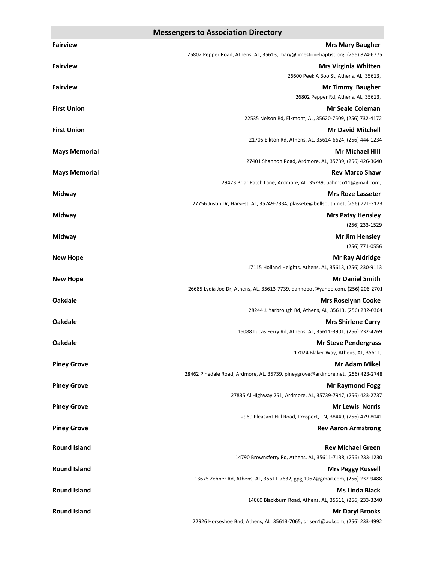| <b>Fairview</b>      | <b>Mrs Mary Baugher</b>                                                                                 |
|----------------------|---------------------------------------------------------------------------------------------------------|
|                      | 26802 Pepper Road, Athens, AL, 35613, mary@limestonebaptist.org, (256) 874-6775                         |
| <b>Fairview</b>      | <b>Mrs Virginia Whitten</b>                                                                             |
|                      | 26600 Peek A Boo St, Athens, AL, 35613,                                                                 |
| <b>Fairview</b>      | <b>Mr Timmy Baugher</b>                                                                                 |
|                      | 26802 Pepper Rd, Athens, AL, 35613,                                                                     |
| <b>First Union</b>   | <b>Mr Seale Coleman</b>                                                                                 |
|                      | 22535 Nelson Rd, Elkmont, AL, 35620-7509, (256) 732-4172                                                |
| <b>First Union</b>   | <b>Mr David Mitchell</b>                                                                                |
|                      | 21705 Elkton Rd, Athens, AL, 35614-6624, (256) 444-1234                                                 |
| <b>Mays Memorial</b> | <b>Mr Michael Hill</b><br>27401 Shannon Road, Ardmore, AL, 35739, (256) 426-3640                        |
| <b>Mays Memorial</b> | <b>Rev Marco Shaw</b>                                                                                   |
|                      | 29423 Briar Patch Lane, Ardmore, AL, 35739, uahmco11@gmail.com,                                         |
| Midway               | <b>Mrs Roze Lasseter</b>                                                                                |
|                      | 27756 Justin Dr, Harvest, AL, 35749-7334, plassete@bellsouth.net, (256) 771-3123                        |
| Midway               | <b>Mrs Patsy Hensley</b>                                                                                |
|                      | (256) 233-1529                                                                                          |
| Midway               | <b>Mr Jim Hensley</b>                                                                                   |
|                      | (256) 771-0556                                                                                          |
| <b>New Hope</b>      | <b>Mr Ray Aldridge</b>                                                                                  |
|                      | 17115 Holland Heights, Athens, AL, 35613, (256) 230-9113                                                |
| <b>New Hope</b>      | <b>Mr Daniel Smith</b>                                                                                  |
|                      | 26685 Lydia Joe Dr, Athens, AL, 35613-7739, dannobot@yahoo.com, (256) 206-2701                          |
| <b>Oakdale</b>       | <b>Mrs Roselynn Cooke</b>                                                                               |
|                      | 28244 J. Yarbrough Rd, Athens, AL, 35613, (256) 232-0364                                                |
| <b>Oakdale</b>       | <b>Mrs Shirlene Curry</b>                                                                               |
| <b>Oakdale</b>       | 16088 Lucas Ferry Rd, Athens, AL, 35611-3901, (256) 232-4269<br><b>Mr Steve Pendergrass</b>             |
|                      | 17024 Blaker Way, Athens, AL, 35611,                                                                    |
| <b>Piney Grove</b>   | <b>Mr Adam Mikel</b>                                                                                    |
|                      | 28462 Pinedale Road, Ardmore, AL, 35739, pineygrove@ardmore.net, (256) 423-2748                         |
| <b>Piney Grove</b>   | <b>Mr Raymond Fogg</b>                                                                                  |
|                      | 27835 Al Highway 251, Ardmore, AL, 35739-7947, (256) 423-2737                                           |
| <b>Piney Grove</b>   | <b>Mr Lewis Norris</b>                                                                                  |
|                      | 2960 Pleasant Hill Road, Prospect, TN, 38449, (256) 479-8041                                            |
| <b>Piney Grove</b>   | <b>Rev Aaron Armstrong</b>                                                                              |
|                      |                                                                                                         |
| <b>Round Island</b>  | <b>Rev Michael Green</b>                                                                                |
|                      | 14790 Brownsferry Rd, Athens, AL, 35611-7138, (256) 233-1230                                            |
| <b>Round Island</b>  | <b>Mrs Peggy Russell</b><br>13675 Zehner Rd, Athens, AL, 35611-7632, gpgj1967@gmail.com, (256) 232-9488 |
| <b>Round Island</b>  | <b>Ms Linda Black</b>                                                                                   |
|                      | 14060 Blackburn Road, Athens, AL, 35611, (256) 233-3240                                                 |
| <b>Round Island</b>  | <b>Mr Daryl Brooks</b>                                                                                  |
|                      | 22926 Horseshoe Bnd, Athens, AL, 35613-7065, drisen1@aol.com, (256) 233-4992                            |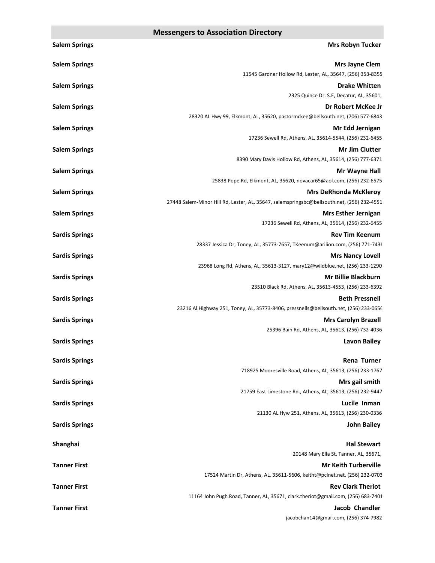| <b>Salem Springs</b>  | <b>Mrs Robyn Tucker</b>                                                                                   |
|-----------------------|-----------------------------------------------------------------------------------------------------------|
| <b>Salem Springs</b>  | Mrs Jayne Clem                                                                                            |
|                       | 11545 Gardner Hollow Rd, Lester, AL, 35647, (256) 353-8355                                                |
| <b>Salem Springs</b>  | <b>Drake Whitten</b>                                                                                      |
|                       | 2325 Quince Dr. S.E, Decatur, AL, 35601,                                                                  |
| <b>Salem Springs</b>  | Dr Robert McKee Jr<br>28320 AL Hwy 99, Elkmont, AL, 35620, pastormckee@bellsouth.net, (706) 577-6843      |
| <b>Salem Springs</b>  | Mr Edd Jernigan                                                                                           |
|                       | 17236 Sewell Rd, Athens, AL, 35614-5544, (256) 232-6455                                                   |
| <b>Salem Springs</b>  | <b>Mr Jim Clutter</b>                                                                                     |
|                       | 8390 Mary Davis Hollow Rd, Athens, AL, 35614, (256) 777-6371                                              |
| <b>Salem Springs</b>  | Mr Wayne Hall                                                                                             |
|                       | 25838 Pope Rd, Elkmont, AL, 35620, novacar65@aol.com, (256) 232-6575                                      |
| <b>Salem Springs</b>  | <b>Mrs DeRhonda McKleroy</b>                                                                              |
|                       | 27448 Salem-Minor Hill Rd, Lester, AL, 35647, salemspringsbc@bellsouth.net, (256) 232-4551                |
| <b>Salem Springs</b>  | <b>Mrs Esther Jernigan</b><br>17236 Sewell Rd, Athens, AL, 35614, (256) 232-6455                          |
| <b>Sardis Springs</b> | <b>Rev Tim Keenum</b>                                                                                     |
|                       | 28337 Jessica Dr, Toney, AL, 35773-7657, TKeenum@arilion.com, (256) 771-7436                              |
| <b>Sardis Springs</b> | <b>Mrs Nancy Lovell</b>                                                                                   |
|                       | 23968 Long Rd, Athens, AL, 35613-3127, mary12@wildblue.net, (256) 233-1290                                |
| <b>Sardis Springs</b> | Mr Billie Blackburn                                                                                       |
|                       | 23510 Black Rd, Athens, AL, 35613-4553, (256) 233-6392                                                    |
| <b>Sardis Springs</b> | <b>Beth Pressnell</b>                                                                                     |
|                       | 23216 Al Highway 251, Toney, AL, 35773-8406, pressnells@bellsouth.net, (256) 233-0656                     |
| <b>Sardis Springs</b> | <b>Mrs Carolyn Brazell</b><br>25396 Bain Rd, Athens, AL, 35613, (256) 732-4036                            |
| <b>Sardis Springs</b> | <b>Lavon Bailey</b>                                                                                       |
|                       |                                                                                                           |
| <b>Sardis Springs</b> | Rena Turner                                                                                               |
|                       | 718925 Mooresville Road, Athens, AL, 35613, (256) 233-1767                                                |
| <b>Sardis Springs</b> | Mrs gail smith                                                                                            |
|                       | 21759 East Limestone Rd., Athens, AL, 35613, (256) 232-9447<br>Lucile Inman                               |
| <b>Sardis Springs</b> | 21130 AL Hyw 251, Athens, AL, 35613, (256) 230-0336                                                       |
| <b>Sardis Springs</b> | <b>John Bailey</b>                                                                                        |
|                       |                                                                                                           |
| Shanghai              | <b>Hal Stewart</b>                                                                                        |
|                       | 20148 Mary Ella St, Tanner, AL, 35671,                                                                    |
| <b>Tanner First</b>   | <b>Mr Keith Turberville</b><br>17524 Martin Dr, Athens, AL, 35611-5606, keitht@pclnet.net, (256) 232-0703 |
| <b>Tanner First</b>   | <b>Rev Clark Theriot</b>                                                                                  |
|                       | 11164 John Pugh Road, Tanner, AL, 35671, clark.theriot@gmail.com, (256) 683-7401                          |
| <b>Tanner First</b>   | <b>Jacob Chandler</b>                                                                                     |
|                       | jacobchan14@gmail.com, (256) 374-7982                                                                     |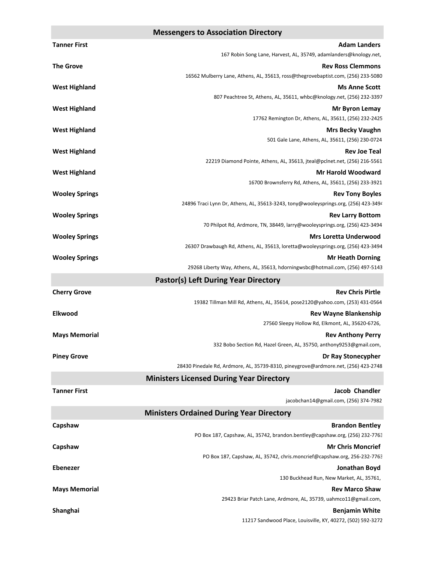| <b>Tanner First</b>   | <b>Adam Landers</b>                                                                                   |
|-----------------------|-------------------------------------------------------------------------------------------------------|
|                       | 167 Robin Song Lane, Harvest, AL, 35749, adamlanders@knology.net,                                     |
| <b>The Grove</b>      | <b>Rev Ross Clemmons</b>                                                                              |
|                       | 16562 Mulberry Lane, Athens, AL, 35613, ross@thegrovebaptist.com, (256) 233-5080                      |
| <b>West Highland</b>  | <b>Ms Anne Scott</b>                                                                                  |
|                       | 807 Peachtree St, Athens, AL, 35611, whbc@knology.net, (256) 232-3397                                 |
| <b>West Highland</b>  | <b>Mr Byron Lemay</b><br>17762 Remington Dr, Athens, AL, 35611, (256) 232-2425                        |
| <b>West Highland</b>  | <b>Mrs Becky Vaughn</b>                                                                               |
|                       | 501 Gale Lane, Athens, AL, 35611, (256) 230-0724                                                      |
| <b>West Highland</b>  | <b>Rev Joe Teal</b>                                                                                   |
|                       | 22219 Diamond Pointe, Athens, AL, 35613, jteal@pclnet.net, (256) 216-5561                             |
| <b>West Highland</b>  | <b>Mr Harold Woodward</b>                                                                             |
|                       | 16700 Brownsferry Rd, Athens, AL, 35611, (256) 233-3921                                               |
| <b>Wooley Springs</b> | <b>Rev Tony Boyles</b>                                                                                |
|                       | 24896 Traci Lynn Dr, Athens, AL, 35613-3243, tony@wooleysprings.org, (256) 423-3494                   |
| <b>Wooley Springs</b> | <b>Rev Larry Bottom</b><br>70 Philpot Rd, Ardmore, TN, 38449, larry@wooleysprings.org, (256) 423-3494 |
| <b>Wooley Springs</b> | <b>Mrs Loretta Underwood</b>                                                                          |
|                       | 26307 Drawbaugh Rd, Athens, AL, 35613, loretta@wooleysprings.org, (256) 423-3494                      |
| <b>Wooley Springs</b> | <b>Mr Heath Dorning</b>                                                                               |
|                       | 29268 Liberty Way, Athens, AL, 35613, hdorningwsbc@hotmail.com, (256) 497-5143                        |
|                       | <b>Pastor(s) Left During Year Directory</b>                                                           |
| <b>Cherry Grove</b>   | <b>Rev Chris Pirtle</b>                                                                               |
|                       | 19382 Tillman Mill Rd, Athens, AL, 35614, pose2120@yahoo.com, (253) 431-0564                          |
| Elkwood               | <b>Rev Wayne Blankenship</b><br>27560 Sleepy Hollow Rd, Elkmont, AL, 35620-6726,                      |
| <b>Mays Memorial</b>  | <b>Rev Anthony Perry</b>                                                                              |
|                       | 332 Bobo Section Rd, Hazel Green, AL, 35750, anthony9253@gmail.com,                                   |
| <b>Piney Grove</b>    | Dr Ray Stonecypher                                                                                    |
|                       | 28430 Pinedale Rd, Ardmore, AL, 35739-8310, pineygrove@ardmore.net, (256) 423-2748                    |
|                       | <b>Ministers Licensed During Year Directory</b>                                                       |
| <b>Tanner First</b>   | Jacob Chandler                                                                                        |
|                       | jacobchan14@gmail.com, (256) 374-7982                                                                 |
|                       | <b>Ministers Ordained During Year Directory</b>                                                       |
| Capshaw               | <b>Brandon Bentley</b>                                                                                |
|                       | PO Box 187, Capshaw, AL, 35742, brandon.bentley@capshaw.org, (256) 232-7763                           |
| Capshaw               | <b>Mr Chris Moncrief</b><br>PO Box 187, Capshaw, AL, 35742, chris.moncrief@capshaw.org, 256-232-7763  |
| <b>Ebenezer</b>       | Jonathan Boyd                                                                                         |
|                       | 130 Buckhead Run, New Market, AL, 35761,                                                              |
| <b>Mays Memorial</b>  | <b>Rev Marco Shaw</b>                                                                                 |
|                       | 29423 Briar Patch Lane, Ardmore, AL, 35739, uahmco11@gmail.com,                                       |
| Shanghai              | <b>Benjamin White</b>                                                                                 |
|                       | 11217 Sandwood Place, Louisville, KY, 40272, (502) 592-3272                                           |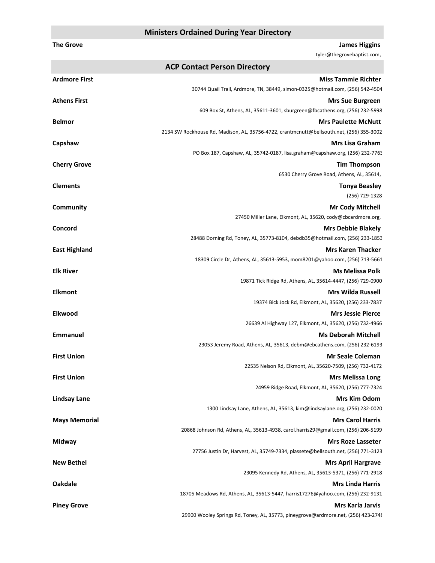### **Ministers Ordained During Year Directory**

| <b>The Grove</b>     | <b>James Higgins</b><br>tyler@thegrovebaptist.com,                                       |
|----------------------|------------------------------------------------------------------------------------------|
|                      | <b>ACP Contact Person Directory</b>                                                      |
| Ardmore First        | <b>Miss Tammie Richter</b>                                                               |
|                      | 30744 Quail Trail, Ardmore, TN, 38449, simon-0325@hotmail.com, (256) 542-4504            |
| <b>Athens First</b>  | <b>Mrs Sue Burgreen</b>                                                                  |
|                      | 609 Box St, Athens, AL, 35611-3601, sburgreen@fbcathens.org, (256) 232-5998              |
| <b>Belmor</b>        | <b>Mrs Paulette McNutt</b>                                                               |
|                      | 2134 SW Rockhouse Rd, Madison, AL, 35756-4722, crantmcnutt@bellsouth.net, (256) 355-3002 |
| Capshaw              | <b>Mrs Lisa Graham</b>                                                                   |
|                      | PO Box 187, Capshaw, AL, 35742-0187, lisa.graham@capshaw.org, (256) 232-7763             |
| <b>Cherry Grove</b>  | <b>Tim Thompson</b>                                                                      |
|                      | 6530 Cherry Grove Road, Athens, AL, 35614,                                               |
| <b>Clements</b>      | <b>Tonya Beasley</b>                                                                     |
|                      | (256) 729-1328                                                                           |
| Community            | <b>Mr Cody Mitchell</b>                                                                  |
|                      | 27450 Miller Lane, Elkmont, AL, 35620, cody@cbcardmore.org,                              |
| Concord              | <b>Mrs Debbie Blakely</b>                                                                |
|                      | 28488 Dorning Rd, Toney, AL, 35773-8104, debdb35@hotmail.com, (256) 233-1853             |
| <b>East Highland</b> | <b>Mrs Karen Thacker</b>                                                                 |
|                      | 18309 Circle Dr, Athens, AL, 35613-5953, mom8201@yahoo.com, (256) 713-5661               |
| <b>Elk River</b>     | <b>Ms Melissa Polk</b>                                                                   |
|                      | 19871 Tick Ridge Rd, Athens, AL, 35614-4447, (256) 729-0900                              |
| <b>Elkmont</b>       | <b>Mrs Wilda Russell</b>                                                                 |
|                      | 19374 Bick Jock Rd, Elkmont, AL, 35620, (256) 233-7837                                   |
| <b>Elkwood</b>       | <b>Mrs Jessie Pierce</b>                                                                 |
|                      | 26639 Al Highway 127, Elkmont, AL, 35620, (256) 732-4966                                 |
| <b>Emmanuel</b>      | <b>Ms Deborah Mitchell</b>                                                               |
|                      | 23053 Jeremy Road, Athens, AL, 35613, debm@ebcathens.com, (256) 232-6193                 |
| First Union          | <b>Mr Seale Coleman</b>                                                                  |
|                      | 22535 Nelson Rd, Elkmont, AL, 35620-7509, (256) 732-4172                                 |
| <b>First Union</b>   | <b>Mrs Melissa Long</b>                                                                  |
|                      | 24959 Ridge Road, Elkmont, AL, 35620, (256) 777-7324                                     |
| <b>Lindsay Lane</b>  | <b>Mrs Kim Odom</b>                                                                      |
|                      | 1300 Lindsay Lane, Athens, AL, 35613, kim@lindsaylane.org, (256) 232-0020                |
| <b>Mays Memorial</b> | <b>Mrs Carol Harris</b>                                                                  |
|                      | 20868 Johnson Rd, Athens, AL, 35613-4938, carol.harris29@gmail.com, (256) 206-5199       |
| Midway               | <b>Mrs Roze Lasseter</b>                                                                 |
|                      | 27756 Justin Dr, Harvest, AL, 35749-7334, plassete@bellsouth.net, (256) 771-3123         |
| <b>New Bethel</b>    | <b>Mrs April Hargrave</b>                                                                |
|                      | 23095 Kennedy Rd, Athens, AL, 35613-5371, (256) 771-2918                                 |
| <b>Oakdale</b>       | <b>Mrs Linda Harris</b>                                                                  |
|                      | 18705 Meadows Rd, Athens, AL, 35613-5447, harris17276@yahoo.com, (256) 232-9131          |
| <b>Piney Grove</b>   | <b>Mrs Karla Jarvis</b>                                                                  |
|                      | 29900 Wooley Springs Rd, Toney, AL, 35773, pineygrove@ardmore.net, (256) 423-2748        |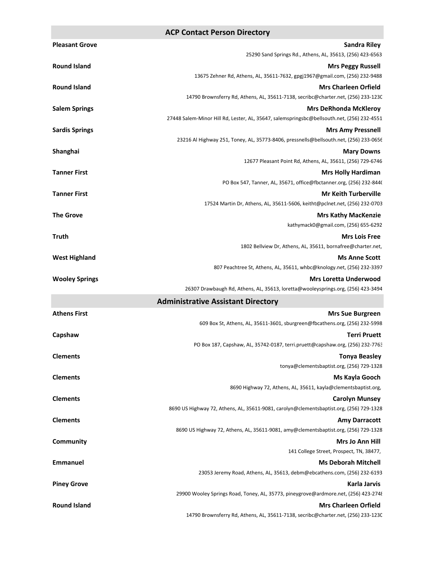#### **ACP Contact Person Directory**

| <b>Pleasant Grove</b> | <b>Sandra Riley</b>                                                                        |
|-----------------------|--------------------------------------------------------------------------------------------|
|                       | 25290 Sand Springs Rd., Athens, AL, 35613, (256) 423-6563                                  |
| <b>Round Island</b>   | <b>Mrs Peggy Russell</b>                                                                   |
|                       | 13675 Zehner Rd, Athens, AL, 35611-7632, gpgj1967@gmail.com, (256) 232-9488                |
| <b>Round Island</b>   | <b>Mrs Charleen Orfield</b>                                                                |
|                       | 14790 Brownsferry Rd, Athens, AL, 35611-7138, secribc@charter.net, (256) 233-1230          |
| <b>Salem Springs</b>  | <b>Mrs DeRhonda McKleroy</b>                                                               |
|                       | 27448 Salem-Minor Hill Rd, Lester, AL, 35647, salemspringsbc@bellsouth.net, (256) 232-4551 |
| <b>Sardis Springs</b> | <b>Mrs Amy Pressnell</b>                                                                   |
|                       | 23216 Al Highway 251, Toney, AL, 35773-8406, pressnells@bellsouth.net, (256) 233-0656      |
| Shanghai              | <b>Mary Downs</b><br>12677 Pleasant Point Rd, Athens, AL, 35611, (256) 729-6746            |
| <b>Tanner First</b>   | <b>Mrs Holly Hardiman</b>                                                                  |
|                       | PO Box 547, Tanner, AL, 35671, office@fbctanner.org, (256) 232-844(                        |
| <b>Tanner First</b>   | <b>Mr Keith Turberville</b>                                                                |
|                       | 17524 Martin Dr, Athens, AL, 35611-5606, keitht@pclnet.net, (256) 232-0703                 |
| <b>The Grove</b>      | <b>Mrs Kathy MacKenzie</b>                                                                 |
|                       | kathymack0@gmail.com, (256) 655-6292                                                       |
| <b>Truth</b>          | <b>Mrs Lois Free</b>                                                                       |
|                       | 1802 Bellview Dr, Athens, AL, 35611, bornafree@charter.net,                                |
| <b>West Highland</b>  | <b>Ms Anne Scott</b>                                                                       |
|                       | 807 Peachtree St, Athens, AL, 35611, whbc@knology.net, (256) 232-3397                      |
| <b>Wooley Springs</b> | <b>Mrs Loretta Underwood</b>                                                               |
|                       | 26307 Drawbaugh Rd, Athens, AL, 35613, loretta@wooleysprings.org, (256) 423-3494           |
|                       | <b>Administrative Assistant Directory</b>                                                  |
| <b>Athens First</b>   | <b>Mrs Sue Burgreen</b>                                                                    |
|                       | 609 Box St, Athens, AL, 35611-3601, sburgreen@fbcathens.org, (256) 232-5998                |
| Capshaw               | <b>Terri Pruett</b>                                                                        |
|                       | PO Box 187, Capshaw, AL, 35742-0187, terri.pruett@capshaw.org, (256) 232-7763              |
| <b>Clements</b>       | <b>Tonya Beasley</b>                                                                       |
|                       | tonya@clementsbaptist.org, (256) 729-1328                                                  |
| <b>Clements</b>       | Ms Kayla Gooch<br>8690 Highway 72, Athens, AL, 35611, kayla@clementsbaptist.org,           |
| <b>Clements</b>       | <b>Carolyn Munsey</b>                                                                      |
|                       | 8690 US Highway 72, Athens, AL, 35611-9081, carolyn@clementsbaptist.org, (256) 729-1328    |
| <b>Clements</b>       | <b>Amy Darracott</b>                                                                       |
|                       | 8690 US Highway 72, Athens, AL, 35611-9081, amy@clementsbaptist.org, (256) 729-1328        |
| <b>Community</b>      | Mrs Jo Ann Hill                                                                            |
|                       | 141 College Street, Prospect, TN, 38477,                                                   |
| <b>Emmanuel</b>       | <b>Ms Deborah Mitchell</b>                                                                 |
|                       | 23053 Jeremy Road, Athens, AL, 35613, debm@ebcathens.com, (256) 232-6193                   |
| <b>Piney Grove</b>    | <b>Karla Jarvis</b>                                                                        |
|                       | 29900 Wooley Springs Road, Toney, AL, 35773, pineygrove@ardmore.net, (256) 423-2748        |
| <b>Round Island</b>   | <b>Mrs Charleen Orfield</b>                                                                |
|                       | 14790 Brownsferry Rd, Athens, AL, 35611-7138, secribc@charter.net, (256) 233-1230          |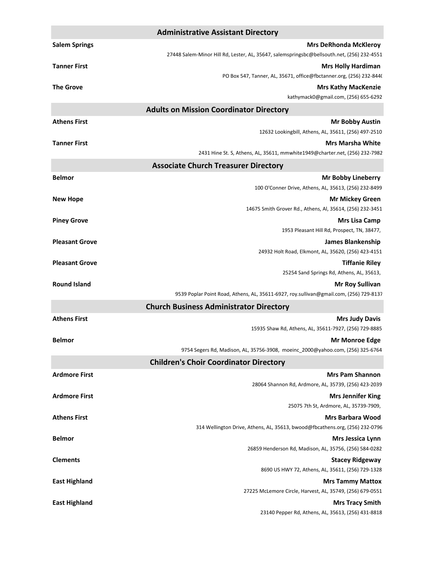| <b>Administrative Assistant Directory</b> |                                                                                            |
|-------------------------------------------|--------------------------------------------------------------------------------------------|
| <b>Salem Springs</b>                      | <b>Mrs DeRhonda McKleroy</b>                                                               |
|                                           | 27448 Salem-Minor Hill Rd, Lester, AL, 35647, salemspringsbc@bellsouth.net, (256) 232-4551 |
| <b>Tanner First</b>                       | <b>Mrs Holly Hardiman</b>                                                                  |
|                                           | PO Box 547, Tanner, AL, 35671, office@fbctanner.org, (256) 232-844(                        |
| <b>The Grove</b>                          | <b>Mrs Kathy MacKenzie</b>                                                                 |
|                                           | kathymack0@gmail.com, (256) 655-6292                                                       |
|                                           | <b>Adults on Mission Coordinator Directory</b>                                             |
| <b>Athens First</b>                       | <b>Mr Bobby Austin</b>                                                                     |
|                                           | 12632 Lookingbill, Athens, AL, 35611, (256) 497-2510                                       |
| <b>Tanner First</b>                       | <b>Mrs Marsha White</b>                                                                    |
|                                           | 2431 Hine St. S, Athens, AL, 35611, mmwhite1949@charter.net, (256) 232-7982                |
|                                           | <b>Associate Church Treasurer Directory</b>                                                |
| <b>Belmor</b>                             | <b>Mr Bobby Lineberry</b>                                                                  |
|                                           | 100 O'Conner Drive, Athens, AL, 35613, (256) 232-8499                                      |
| <b>New Hope</b>                           | <b>Mr Mickey Green</b>                                                                     |
|                                           | 14675 Smith Grover Rd., Athens, Al, 35614, (256) 232-3451                                  |
| <b>Piney Grove</b>                        | <b>Mrs Lisa Camp</b><br>1953 Pleasant Hill Rd, Prospect, TN, 38477,                        |
| <b>Pleasant Grove</b>                     | James Blankenship                                                                          |
|                                           | 24932 Holt Road, Elkmont, AL, 35620, (256) 423-4151                                        |
| <b>Pleasant Grove</b>                     | <b>Tiffanie Riley</b>                                                                      |
|                                           | 25254 Sand Springs Rd, Athens, AL, 35613,                                                  |
| <b>Round Island</b>                       | <b>Mr Roy Sullivan</b>                                                                     |
|                                           | 9539 Poplar Point Road, Athens, AL, 35611-6927, roy.sullivan@gmail.com, (256) 729-8137     |
|                                           | <b>Church Business Administrator Directory</b>                                             |
| <b>Athens First</b>                       | <b>Mrs Judy Davis</b>                                                                      |
|                                           | 15935 Shaw Rd, Athens, AL, 35611-7927, (256) 729-8885                                      |
| <b>Belmor</b>                             | <b>Mr Monroe Edge</b>                                                                      |
|                                           | 9754 Segers Rd, Madison, AL, 35756-3908, moeinc_2000@yahoo.com, (256) 325-6764             |
|                                           | <b>Children's Choir Coordinator Directory</b>                                              |
| <b>Ardmore First</b>                      | <b>Mrs Pam Shannon</b>                                                                     |
|                                           | 28064 Shannon Rd, Ardmore, AL, 35739, (256) 423-2039                                       |
| <b>Ardmore First</b>                      | <b>Mrs Jennifer King</b>                                                                   |
|                                           | 25075 7th St, Ardmore, AL, 35739-7909,                                                     |
| <b>Athens First</b>                       | <b>Mrs Barbara Wood</b>                                                                    |
|                                           | 314 Wellington Drive, Athens, AL, 35613, bwood@fbcathens.org, (256) 232-0796               |
| <b>Belmor</b>                             | <b>Mrs Jessica Lynn</b><br>26859 Henderson Rd, Madison, AL, 35756, (256) 584-0282          |
| <b>Clements</b>                           | <b>Stacey Ridgeway</b>                                                                     |
|                                           | 8690 US HWY 72, Athens, AL, 35611, (256) 729-1328                                          |
| <b>East Highland</b>                      | <b>Mrs Tammy Mattox</b>                                                                    |
|                                           | 27225 McLemore Circle, Harvest, AL, 35749, (256) 679-0551                                  |
| <b>East Highland</b>                      | <b>Mrs Tracy Smith</b>                                                                     |
|                                           | 23140 Pepper Rd, Athens, AL, 35613, (256) 431-8818                                         |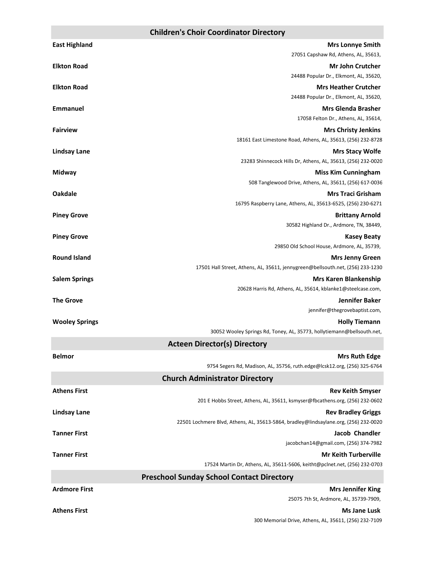### **Children's Choir Coordinator Directory**

| <b>East Highland</b>  | <b>Mrs Lonnye Smith</b>                                                                    |
|-----------------------|--------------------------------------------------------------------------------------------|
|                       | 27051 Capshaw Rd, Athens, AL, 35613,                                                       |
| <b>Elkton Road</b>    | <b>Mr John Crutcher</b>                                                                    |
|                       | 24488 Popular Dr., Elkmont, AL, 35620,                                                     |
| <b>Elkton Road</b>    | <b>Mrs Heather Crutcher</b>                                                                |
|                       | 24488 Popular Dr., Elkmont, AL, 35620,                                                     |
| Emmanuel              | <b>Mrs Glenda Brasher</b>                                                                  |
| <b>Fairview</b>       | 17058 Felton Dr., Athens, AL, 35614,                                                       |
|                       | <b>Mrs Christy Jenkins</b><br>18161 East Limestone Road, Athens, AL, 35613, (256) 232-8728 |
| <b>Lindsay Lane</b>   | <b>Mrs Stacy Wolfe</b>                                                                     |
|                       | 23283 Shinnecock Hills Dr, Athens, AL, 35613, (256) 232-0020                               |
| Midway                | <b>Miss Kim Cunningham</b>                                                                 |
|                       | 508 Tanglewood Drive, Athens, AL, 35611, (256) 617-0036                                    |
| <b>Oakdale</b>        | <b>Mrs Traci Grisham</b>                                                                   |
|                       | 16795 Raspberry Lane, Athens, AL, 35613-6525, (256) 230-6271                               |
| <b>Piney Grove</b>    | <b>Brittany Arnold</b>                                                                     |
|                       | 30582 Highland Dr., Ardmore, TN, 38449,                                                    |
| <b>Piney Grove</b>    | <b>Kasey Beaty</b>                                                                         |
|                       | 29850 Old School House, Ardmore, AL, 35739,                                                |
| <b>Round Island</b>   | <b>Mrs Jenny Green</b>                                                                     |
|                       | 17501 Hall Street, Athens, AL, 35611, jennygreen@bellsouth.net, (256) 233-1230             |
| <b>Salem Springs</b>  | <b>Mrs Karen Blankenship</b>                                                               |
| <b>The Grove</b>      | 20628 Harris Rd, Athens, AL, 35614, kblanke1@steelcase.com,<br><b>Jennifer Baker</b>       |
|                       | jennifer@thegrovebaptist.com,                                                              |
| <b>Wooley Springs</b> | <b>Holly Tiemann</b>                                                                       |
|                       | 30052 Wooley Springs Rd, Toney, AL, 35773, hollytiemann@bellsouth.net,                     |
|                       | <b>Acteen Director(s) Directory</b>                                                        |
| <b>Belmor</b>         | <b>Mrs Ruth Edge</b>                                                                       |
|                       | 9754 Segers Rd, Madison, AL, 35756, ruth.edge@lcsk12.org, (256) 325-6764                   |
|                       | <b>Church Administrator Directory</b>                                                      |
| <b>Athens First</b>   | <b>Rev Keith Smyser</b>                                                                    |
|                       | 201 E Hobbs Street, Athens, AL, 35611, ksmyser@fbcathens.org, (256) 232-0602               |
| <b>Lindsay Lane</b>   | <b>Rev Bradley Griggs</b>                                                                  |
|                       | 22501 Lochmere Blvd, Athens, AL, 35613-5864, bradley@lindsaylane.org, (256) 232-0020       |
| <b>Tanner First</b>   | <b>Jacob Chandler</b>                                                                      |
|                       | jacobchan14@gmail.com, (256) 374-7982                                                      |
| <b>Tanner First</b>   | <b>Mr Keith Turberville</b>                                                                |
|                       | 17524 Martin Dr, Athens, AL, 35611-5606, keitht@pclnet.net, (256) 232-0703                 |
|                       | <b>Preschool Sunday School Contact Directory</b>                                           |
| <b>Ardmore First</b>  | <b>Mrs Jennifer King</b>                                                                   |
|                       | 25075 7th St, Ardmore, AL, 35739-7909,                                                     |
| <b>Athens First</b>   | <b>Ms Jane Lusk</b>                                                                        |

300 Memorial Drive, Athens, AL, 35611, (256) 232-7109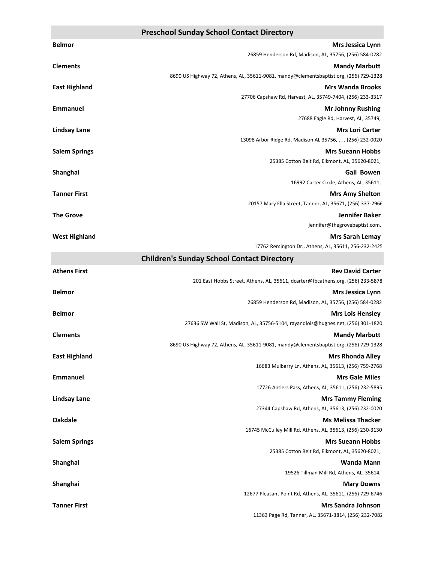### **Preschool Sunday School Contact Directory**

| <b>Belmor</b>        | Mrs Jessica Lynn                                                                      |
|----------------------|---------------------------------------------------------------------------------------|
|                      | 26859 Henderson Rd, Madison, AL, 35756, (256) 584-0282                                |
| <b>Clements</b>      | <b>Mandy Marbutt</b>                                                                  |
|                      | 8690 US Highway 72, Athens, AL, 35611-9081, mandy@clementsbaptist.org, (256) 729-1328 |
| <b>East Highland</b> | <b>Mrs Wanda Brooks</b>                                                               |
|                      | 27706 Capshaw Rd, Harvest, AL, 35749-7404, (256) 233-3317                             |
| <b>Emmanuel</b>      | <b>Mr Johnny Rushing</b>                                                              |
|                      | 27688 Eagle Rd, Harvest, AL, 35749,                                                   |
| <b>Lindsay Lane</b>  | <b>Mrs Lori Carter</b>                                                                |
|                      | 13098 Arbor Ridge Rd, Madison AL 35756, , , , (256) 232-0020                          |
| <b>Salem Springs</b> | <b>Mrs Sueann Hobbs</b>                                                               |
|                      | 25385 Cotton Belt Rd, Elkmont, AL, 35620-8021,                                        |
| Shanghai             | <b>Gail Bowen</b>                                                                     |
|                      | 16992 Carter Circle, Athens, AL, 35611,                                               |
| <b>Tanner First</b>  | <b>Mrs Amy Shelton</b>                                                                |
|                      | 20157 Mary Ella Street, Tanner, AL, 35671, (256) 337-2966                             |
| <b>The Grove</b>     | Jennifer Baker                                                                        |
|                      | jennifer@thegrovebaptist.com,                                                         |
| <b>West Highland</b> | <b>Mrs Sarah Lemay</b>                                                                |
|                      | 17762 Remington Dr., Athens, AL, 35611, 256-232-2425                                  |

|                      | <b>Children's Sunday School Contact Directory</b>                                     |
|----------------------|---------------------------------------------------------------------------------------|
| <b>Athens First</b>  | <b>Rev David Carter</b>                                                               |
|                      | 201 East Hobbs Street, Athens, AL, 35611, dcarter@fbcathens.org, (256) 233-5878       |
| <b>Belmor</b>        | <b>Mrs Jessica Lynn</b>                                                               |
|                      | 26859 Henderson Rd, Madison, AL, 35756, (256) 584-0282                                |
| <b>Belmor</b>        | <b>Mrs Lois Hensley</b>                                                               |
|                      | 27636 SW Wall St, Madison, AL, 35756-5104, rayandlois@hughes.net, (256) 301-1820      |
| <b>Clements</b>      | <b>Mandy Marbutt</b>                                                                  |
|                      | 8690 US Highway 72, Athens, AL, 35611-9081, mandy@clementsbaptist.org, (256) 729-1328 |
| <b>East Highland</b> | <b>Mrs Rhonda Alley</b>                                                               |
|                      | 16683 Mulberry Ln, Athens, AL, 35613, (256) 759-2768                                  |
| <b>Emmanuel</b>      | <b>Mrs Gale Miles</b>                                                                 |
|                      | 17726 Antlers Pass, Athens, AL, 35611, (256) 232-5895                                 |
| <b>Lindsay Lane</b>  | <b>Mrs Tammy Fleming</b>                                                              |
|                      | 27344 Capshaw Rd, Athens, AL, 35613, (256) 232-0020                                   |
| <b>Oakdale</b>       | <b>Ms Melissa Thacker</b>                                                             |
|                      | 16745 McCulley Mill Rd, Athens, AL, 35613, (256) 230-3130                             |
| <b>Salem Springs</b> | <b>Mrs Sueann Hobbs</b>                                                               |
|                      | 25385 Cotton Belt Rd, Elkmont, AL, 35620-8021,                                        |
| Shanghai             | <b>Wanda Mann</b>                                                                     |
|                      | 19526 Tillman Mill Rd, Athens, AL, 35614,                                             |
| Shanghai             | <b>Mary Downs</b>                                                                     |
|                      | 12677 Pleasant Point Rd, Athens, AL, 35611, (256) 729-6746                            |
| <b>Tanner First</b>  | <b>Mrs Sandra Johnson</b>                                                             |
|                      | 11363 Page Rd, Tanner, AL, 35671-3814, (256) 232-7082                                 |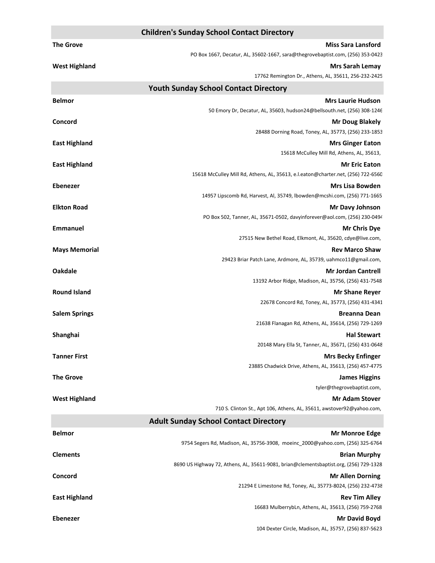|                      | <b>Children's Sunday School Contact Directory</b>                                                        |
|----------------------|----------------------------------------------------------------------------------------------------------|
| <b>The Grove</b>     | <b>Miss Sara Lansford</b>                                                                                |
|                      | PO Box 1667, Decatur, AL, 35602-1667, sara@thegrovebaptist.com, (256) 353-0423                           |
| <b>West Highland</b> | <b>Mrs Sarah Lemay</b>                                                                                   |
|                      | 17762 Remington Dr., Athens, AL, 35611, 256-232-2425                                                     |
|                      | <b>Youth Sunday School Contact Directory</b>                                                             |
| <b>Belmor</b>        | <b>Mrs Laurie Hudson</b>                                                                                 |
|                      | 50 Emory Dr, Decatur, AL, 35603, hudson24@bellsouth.net, (256) 308-1246                                  |
| Concord              | <b>Mr Doug Blakely</b>                                                                                   |
|                      | 28488 Dorning Road, Toney, AL, 35773, (256) 233-1853                                                     |
| <b>East Highland</b> | <b>Mrs Ginger Eaton</b>                                                                                  |
|                      | 15618 McCulley Mill Rd, Athens, AL, 35613,                                                               |
| <b>East Highland</b> | <b>Mr Eric Eaton</b><br>15618 McCulley Mill Rd, Athens, AL, 35613, e.l.eaton@charter.net, (256) 722-6560 |
| <b>Ebenezer</b>      | <b>Mrs Lisa Bowden</b>                                                                                   |
|                      | 14957 Lipscomb Rd, Harvest, Al, 35749, Ibowden@mcshi.com, (256) 771-1665                                 |
| <b>Elkton Road</b>   | <b>Mr Davy Johnson</b>                                                                                   |
|                      | PO Box 502, Tanner, AL, 35671-0502, davyinforever@aol.com, (256) 230-0494                                |
| <b>Emmanuel</b>      | <b>Mr Chris Dye</b>                                                                                      |
|                      | 27515 New Bethel Road, Elkmont, AL, 35620, cdye@live.com,                                                |
| <b>Mays Memorial</b> | <b>Rev Marco Shaw</b>                                                                                    |
|                      | 29423 Briar Patch Lane, Ardmore, AL, 35739, uahmco11@gmail.com,                                          |
| <b>Oakdale</b>       | <b>Mr Jordan Cantrell</b>                                                                                |
|                      | 13192 Arbor Ridge, Madison, AL, 35756, (256) 431-7548                                                    |
| <b>Round Island</b>  | <b>Mr Shane Reyer</b>                                                                                    |
|                      | 22678 Concord Rd, Toney, AL, 35773, (256) 431-4341                                                       |
| <b>Salem Springs</b> | <b>Breanna Dean</b>                                                                                      |
|                      | 21638 Flanagan Rd, Athens, AL, 35614, (256) 729-1269                                                     |
| Shanghai             | <b>Hal Stewart</b>                                                                                       |
|                      | 20148 Mary Ella St, Tanner, AL, 35671, (256) 431-0648                                                    |
| <b>Tanner First</b>  | <b>Mrs Becky Enfinger</b>                                                                                |
|                      | 23885 Chadwick Drive, Athens, AL, 35613, (256) 457-4775                                                  |
| <b>The Grove</b>     | <b>James Higgins</b>                                                                                     |
|                      | tyler@thegrovebaptist.com,                                                                               |
| <b>West Highland</b> | <b>Mr Adam Stover</b>                                                                                    |
|                      | 710 S. Clinton St., Apt 106, Athens, AL, 35611, awstover92@yahoo.com,                                    |
|                      | <b>Adult Sunday School Contact Directory</b>                                                             |
| <b>Belmor</b>        | <b>Mr Monroe Edge</b>                                                                                    |
|                      | 9754 Segers Rd, Madison, AL, 35756-3908, moeinc_2000@yahoo.com, (256) 325-6764                           |
| <b>Clements</b>      | <b>Brian Murphy</b>                                                                                      |
|                      | 8690 US Highway 72, Athens, AL, 35611-9081, brian@clementsbaptist.org, (256) 729-1328                    |
| Concord              | <b>Mr Allen Dorning</b>                                                                                  |
|                      | 21294 E Limestone Rd, Toney, AL, 35773-8024, (256) 232-4738                                              |
| <b>East Highland</b> | <b>Rev Tim Alley</b>                                                                                     |
|                      | 16683 MulberrybLn, Athens, AL, 35613, (256) 759-2768                                                     |
| <b>Ebenezer</b>      | <b>Mr David Boyd</b>                                                                                     |
|                      | 104 Dexter Circle, Madison, AL, 35757, (256) 837-5623                                                    |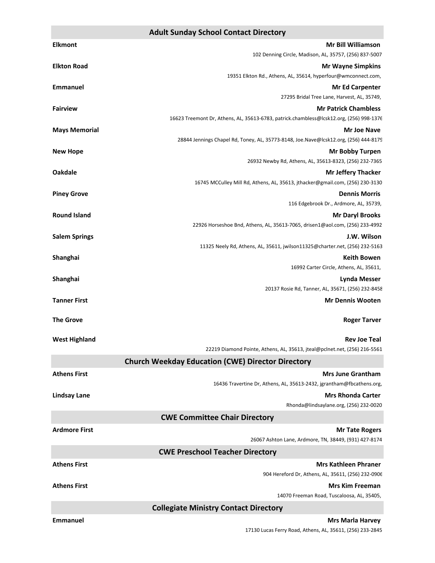#### **Adult Sunday School Contact Directory**

| <b>Elkmont</b>       | <b>Mr Bill Williamson</b>                                                                                  |
|----------------------|------------------------------------------------------------------------------------------------------------|
|                      | 102 Denning Circle, Madison, AL, 35757, (256) 837-5007                                                     |
| <b>Elkton Road</b>   | <b>Mr Wayne Simpkins</b>                                                                                   |
|                      | 19351 Elkton Rd., Athens, AL, 35614, hyperfour@wmconnect.com,                                              |
| <b>Emmanuel</b>      | <b>Mr Ed Carpenter</b><br>27295 Bridal Tree Lane, Harvest, AL, 35749,                                      |
| <b>Fairview</b>      | <b>Mr Patrick Chambless</b>                                                                                |
|                      | 16623 Treemont Dr, Athens, AL, 35613-6783, patrick.chambless@lcsk12.org, (256) 998-1376                    |
| <b>Mays Memorial</b> | <b>Mr Joe Nave</b>                                                                                         |
|                      | 28844 Jennings Chapel Rd, Toney, AL, 35773-8148, Joe.Nave@lcsk12.org, (256) 444-8179                       |
| <b>New Hope</b>      | <b>Mr Bobby Turpen</b>                                                                                     |
|                      | 26932 Newby Rd, Athens, AL, 35613-8323, (256) 232-7365                                                     |
| <b>Oakdale</b>       | <b>Mr Jeffery Thacker</b><br>16745 MCCulley Mill Rd, Athens, AL, 35613, jthacker@gmail.com, (256) 230-3130 |
| <b>Piney Grove</b>   | <b>Dennis Morris</b>                                                                                       |
|                      | 116 Edgebrook Dr., Ardmore, AL, 35739,                                                                     |
| <b>Round Island</b>  | <b>Mr Daryl Brooks</b>                                                                                     |
|                      | 22926 Horseshoe Bnd, Athens, AL, 35613-7065, drisen1@aol.com, (256) 233-4992                               |
| <b>Salem Springs</b> | J.W. Wilson                                                                                                |
|                      | 11325 Neely Rd, Athens, AL, 35611, jwilson11325@charter.net, (256) 232-5163                                |
| Shanghai             | <b>Keith Bowen</b>                                                                                         |
|                      | 16992 Carter Circle, Athens, AL, 35611,                                                                    |
| Shanghai             | Lynda Messer<br>20137 Rosie Rd, Tanner, AL, 35671, (256) 232-8458                                          |
| <b>Tanner First</b>  | <b>Mr Dennis Wooten</b>                                                                                    |
|                      |                                                                                                            |
| <b>The Grove</b>     | <b>Roger Tarver</b>                                                                                        |
|                      |                                                                                                            |
| <b>West Highland</b> | <b>Rev Joe Teal</b><br>22219 Diamond Pointe, Athens, AL, 35613, jteal@pclnet.net, (256) 216-5561           |
|                      | <b>Church Weekday Education (CWE) Director Directory</b>                                                   |
| <b>Athens First</b>  | <b>Mrs June Grantham</b>                                                                                   |
|                      | 16436 Travertine Dr, Athens, AL, 35613-2432, jgrantham@fbcathens.org,                                      |
| <b>Lindsay Lane</b>  | <b>Mrs Rhonda Carter</b>                                                                                   |
|                      | Rhonda@lindsaylane.org, (256) 232-0020                                                                     |
|                      | <b>CWE Committee Chair Directory</b>                                                                       |
| <b>Ardmore First</b> | <b>Mr Tate Rogers</b>                                                                                      |
|                      | 26067 Ashton Lane, Ardmore, TN, 38449, (931) 427-8174                                                      |
|                      | <b>CWE Preschool Teacher Directory</b>                                                                     |
| <b>Athens First</b>  | <b>Mrs Kathleen Phraner</b>                                                                                |
|                      | 904 Hereford Dr, Athens, AL, 35611, (256) 232-0906                                                         |
| <b>Athens First</b>  | <b>Mrs Kim Freeman</b>                                                                                     |
|                      | 14070 Freeman Road, Tuscaloosa, AL, 35405,                                                                 |
|                      | <b>Collegiate Ministry Contact Directory</b>                                                               |
| <b>Emmanuel</b>      | <b>Mrs Marla Harvey</b>                                                                                    |

17130 Lucas Ferry Road, Athens, AL, 35611, (256) 233-2845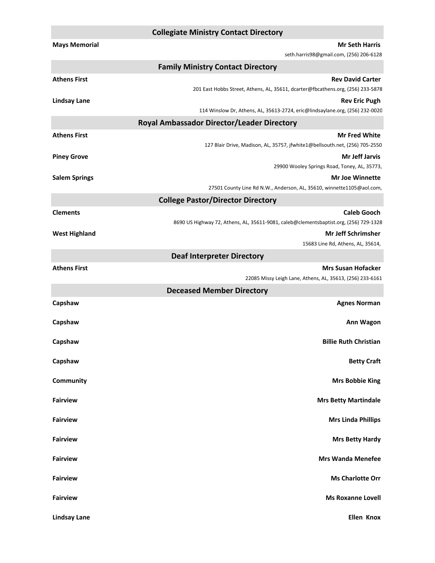#### **Collegiate Ministry Contact Directory**

| <b>Mays Memorial</b> | <b>Mr Seth Harris</b>                                                                                |
|----------------------|------------------------------------------------------------------------------------------------------|
|                      | seth.harris98@gmail.com, (256) 206-6128                                                              |
|                      | <b>Family Ministry Contact Directory</b>                                                             |
| <b>Athens First</b>  | <b>Rev David Carter</b>                                                                              |
|                      | 201 East Hobbs Street, Athens, AL, 35611, dcarter@fbcathens.org, (256) 233-5878                      |
| <b>Lindsay Lane</b>  | <b>Rev Eric Pugh</b><br>114 Winslow Dr, Athens, AL, 35613-2724, eric@lindsaylane.org, (256) 232-0020 |
|                      | <b>Royal Ambassador Director/Leader Directory</b>                                                    |
| <b>Athens First</b>  | <b>Mr Fred White</b>                                                                                 |
|                      | 127 Blair Drive, Madison, AL, 35757, jfwhite1@bellsouth.net, (256) 705-2550                          |
| <b>Piney Grove</b>   | <b>Mr Jeff Jarvis</b>                                                                                |
|                      | 29900 Wooley Springs Road, Toney, AL, 35773,                                                         |
| <b>Salem Springs</b> | <b>Mr Joe Winnette</b>                                                                               |
|                      | 27501 County Line Rd N.W., Anderson, AL, 35610, winnette1105@aol.com,                                |
|                      | <b>College Pastor/Director Directory</b>                                                             |
| <b>Clements</b>      | <b>Caleb Gooch</b>                                                                                   |
|                      | 8690 US Highway 72, Athens, AL, 35611-9081, caleb@clementsbaptist.org, (256) 729-1328                |
| <b>West Highland</b> | <b>Mr Jeff Schrimsher</b>                                                                            |
|                      | 15683 Line Rd, Athens, AL, 35614,                                                                    |
|                      | <b>Deaf Interpreter Directory</b>                                                                    |
| <b>Athens First</b>  | <b>Mrs Susan Hofacker</b>                                                                            |
|                      | 22085 Missy Leigh Lane, Athens, AL, 35613, (256) 233-6161                                            |
|                      | <b>Deceased Member Directory</b>                                                                     |
| Capshaw              | <b>Agnes Norman</b>                                                                                  |
| Capshaw              | Ann Wagon                                                                                            |
|                      |                                                                                                      |
| Capshaw              | <b>Billie Ruth Christian</b>                                                                         |
|                      |                                                                                                      |
| Capshaw              | <b>Betty Craft</b>                                                                                   |
| Community            | <b>Mrs Bobbie King</b>                                                                               |
|                      |                                                                                                      |
| <b>Fairview</b>      | <b>Mrs Betty Martindale</b>                                                                          |
|                      |                                                                                                      |
| <b>Fairview</b>      | <b>Mrs Linda Phillips</b>                                                                            |
| <b>Fairview</b>      | <b>Mrs Betty Hardy</b>                                                                               |
|                      |                                                                                                      |
| <b>Fairview</b>      | <b>Mrs Wanda Menefee</b>                                                                             |
|                      |                                                                                                      |
| <b>Fairview</b>      | <b>Ms Charlotte Orr</b>                                                                              |
| <b>Fairview</b>      | <b>Ms Roxanne Lovell</b>                                                                             |
|                      |                                                                                                      |
| <b>Lindsay Lane</b>  | <b>Ellen Knox</b>                                                                                    |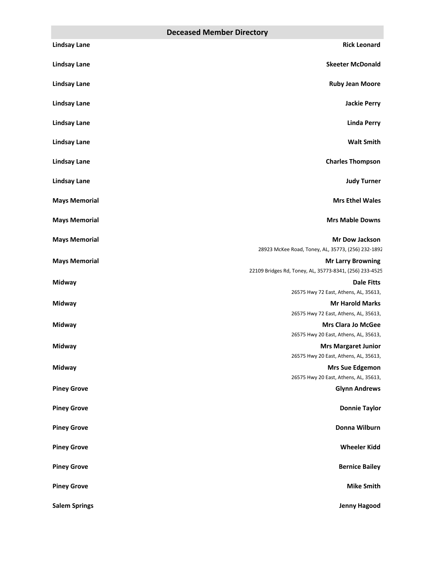|                      | <b>Deceased Member Directory</b>                                                    |
|----------------------|-------------------------------------------------------------------------------------|
| <b>Lindsay Lane</b>  | <b>Rick Leonard</b>                                                                 |
| <b>Lindsay Lane</b>  | <b>Skeeter McDonald</b>                                                             |
| <b>Lindsay Lane</b>  | <b>Ruby Jean Moore</b>                                                              |
| <b>Lindsay Lane</b>  | <b>Jackie Perry</b>                                                                 |
| <b>Lindsay Lane</b>  | <b>Linda Perry</b>                                                                  |
| <b>Lindsay Lane</b>  | <b>Walt Smith</b>                                                                   |
| <b>Lindsay Lane</b>  | <b>Charles Thompson</b>                                                             |
| <b>Lindsay Lane</b>  | <b>Judy Turner</b>                                                                  |
| <b>Mays Memorial</b> | <b>Mrs Ethel Wales</b>                                                              |
| <b>Mays Memorial</b> | <b>Mrs Mable Downs</b>                                                              |
| <b>Mays Memorial</b> | Mr Dow Jackson                                                                      |
|                      | 28923 McKee Road, Toney, AL, 35773, (256) 232-1892                                  |
| <b>Mays Memorial</b> | <b>Mr Larry Browning</b><br>22109 Bridges Rd, Toney, AL, 35773-8341, (256) 233-4525 |
| Midway               | <b>Dale Fitts</b>                                                                   |
|                      | 26575 Hwy 72 East, Athens, AL, 35613,                                               |
| <b>Midway</b>        | <b>Mr Harold Marks</b>                                                              |
|                      | 26575 Hwy 72 East, Athens, AL, 35613,                                               |
| <b>Midway</b>        | <b>Mrs Clara Jo McGee</b>                                                           |
|                      | 26575 Hwy 20 East, Athens, AL, 35613,                                               |
| Midway               | <b>Mrs Margaret Junior</b>                                                          |
|                      | 26575 Hwy 20 East, Athens, AL, 35613,                                               |
| <b>Midway</b>        | <b>Mrs Sue Edgemon</b>                                                              |
|                      | 26575 Hwy 20 East, Athens, AL, 35613,                                               |
| <b>Piney Grove</b>   | <b>Glynn Andrews</b>                                                                |
| <b>Piney Grove</b>   | <b>Donnie Taylor</b>                                                                |
| <b>Piney Grove</b>   | Donna Wilburn                                                                       |
| <b>Piney Grove</b>   | <b>Wheeler Kidd</b>                                                                 |
| <b>Piney Grove</b>   | <b>Bernice Bailey</b>                                                               |
| <b>Piney Grove</b>   | <b>Mike Smith</b>                                                                   |
| <b>Salem Springs</b> | Jenny Hagood                                                                        |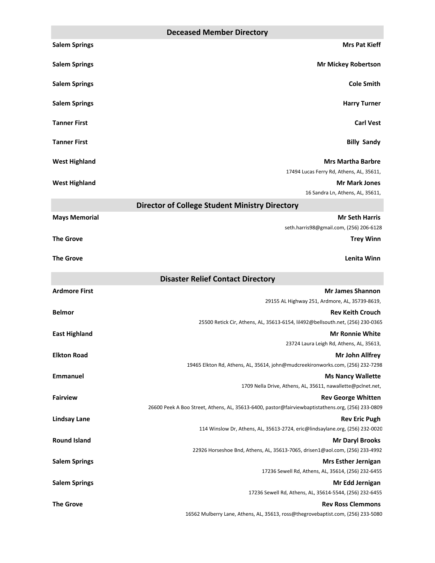|                      | <b>Deceased Member Directory</b>                                                                       |
|----------------------|--------------------------------------------------------------------------------------------------------|
| <b>Salem Springs</b> | <b>Mrs Pat Kieff</b>                                                                                   |
| <b>Salem Springs</b> | <b>Mr Mickey Robertson</b>                                                                             |
| <b>Salem Springs</b> | <b>Cole Smith</b>                                                                                      |
| <b>Salem Springs</b> | <b>Harry Turner</b>                                                                                    |
| <b>Tanner First</b>  | <b>Carl Vest</b>                                                                                       |
| <b>Tanner First</b>  | <b>Billy Sandy</b>                                                                                     |
| <b>West Highland</b> | <b>Mrs Martha Barbre</b><br>17494 Lucas Ferry Rd, Athens, AL, 35611,                                   |
| <b>West Highland</b> | <b>Mr Mark Jones</b>                                                                                   |
|                      | 16 Sandra Ln, Athens, AL, 35611,                                                                       |
|                      | <b>Director of College Student Ministry Directory</b>                                                  |
| <b>Mays Memorial</b> | <b>Mr Seth Harris</b>                                                                                  |
|                      | seth.harris98@gmail.com, (256) 206-6128                                                                |
| <b>The Grove</b>     | <b>Trey Winn</b>                                                                                       |
| <b>The Grove</b>     | <b>Lenita Winn</b>                                                                                     |
|                      |                                                                                                        |
|                      | <b>Disaster Relief Contact Directory</b>                                                               |
| <b>Ardmore First</b> | <b>Mr James Shannon</b><br>29155 AL Highway 251, Ardmore, AL, 35739-8619,                              |
| <b>Belmor</b>        | <b>Rev Keith Crouch</b>                                                                                |
|                      | 25500 Retick Cir, Athens, AL, 35613-6154, lil492@bellsouth.net, (256) 230-0365                         |
| <b>East Highland</b> | <b>Mr Ronnie White</b>                                                                                 |
|                      | 23724 Laura Leigh Rd, Athens, AL, 35613,                                                               |
| <b>Elkton Road</b>   | Mr John Allfrey<br>19465 Elkton Rd, Athens, AL, 35614, john@mudcreekironworks.com, (256) 232-7298      |
| <b>Emmanuel</b>      | <b>Ms Nancy Wallette</b>                                                                               |
|                      | 1709 Nella Drive, Athens, AL, 35611, nawallette@pclnet.net,                                            |
| <b>Fairview</b>      | <b>Rev George Whitten</b>                                                                              |
|                      | 26600 Peek A Boo Street, Athens, AL, 35613-6400, pastor@fairviewbaptistathens.org, (256) 233-0809      |
| <b>Lindsay Lane</b>  | <b>Rev Eric Pugh</b>                                                                                   |
|                      | 114 Winslow Dr, Athens, AL, 35613-2724, eric@lindsaylane.org, (256) 232-0020                           |
| <b>Round Island</b>  | <b>Mr Daryl Brooks</b><br>22926 Horseshoe Bnd, Athens, AL, 35613-7065, drisen1@aol.com, (256) 233-4992 |
| <b>Salem Springs</b> | <b>Mrs Esther Jernigan</b>                                                                             |
|                      | 17236 Sewell Rd, Athens, AL, 35614, (256) 232-6455                                                     |
| <b>Salem Springs</b> | Mr Edd Jernigan                                                                                        |
| <b>The Grove</b>     | 17236 Sewell Rd, Athens, AL, 35614-5544, (256) 232-6455<br><b>Rev Ross Clemmons</b>                    |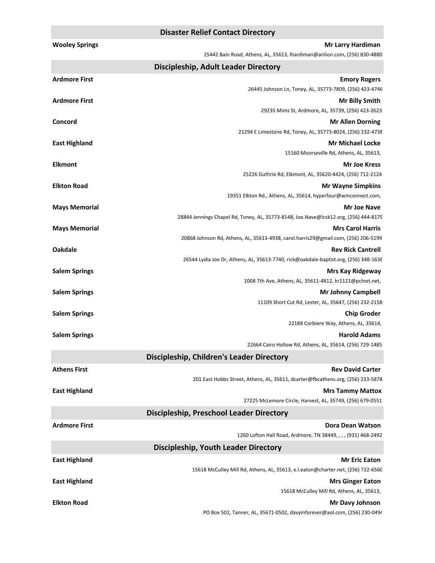|                       | <b>Disaster Relief Contact Directory</b>                                             |
|-----------------------|--------------------------------------------------------------------------------------|
| <b>Wooley Springs</b> | <b>Mr Larry Hardiman</b>                                                             |
|                       | 25442 Bain Road, Athens, AL, 35613, Ihardiman@arilion.com, (256) 830-4880            |
|                       | Discipleship, Adult Leader Directory                                                 |
| <b>Ardmore First</b>  | <b>Emory Rogers</b>                                                                  |
|                       | 26445 Johnson Ln, Toney, AL, 35773-7809, (256) 423-4746                              |
| <b>Ardmore First</b>  | <b>Mr Billy Smith</b>                                                                |
|                       | 29235 Mims St, Ardmore, AL, 35739, (256) 423-2623                                    |
| Concord               | <b>Mr Allen Dorning</b>                                                              |
|                       | 21294 E Limestone Rd, Toney, AL, 35773-8024, (256) 232-4738                          |
| <b>East Highland</b>  | <b>Mr Michael Locke</b>                                                              |
|                       | 15160 Moorseville Rd, Athens, AL, 35613,                                             |
| <b>Elkmont</b>        | <b>Mr Joe Kress</b>                                                                  |
|                       | 25226 Guthrie Rd, Elkmont, AL, 35620-4424, (256) 712-2124                            |
| <b>Elkton Road</b>    | <b>Mr Wayne Simpkins</b>                                                             |
|                       | 19351 Elkton Rd., Athens, AL, 35614, hyperfour@wmconnect.com,                        |
| <b>Mays Memorial</b>  | Mr Joe Nave                                                                          |
|                       | 28844 Jennings Chapel Rd, Toney, AL, 35773-8148, Joe.Nave@lcsk12.org, (256) 444-8179 |
| <b>Mays Memorial</b>  | <b>Mrs Carol Harris</b>                                                              |
|                       | 20868 Johnson Rd, Athens, AL, 35613-4938, carol.harris29@gmail.com, (256) 206-5199   |
| <b>Oakdale</b>        | <b>Rev Rick Cantrell</b>                                                             |
|                       | 26544 Lydia Joe Dr, Athens, AL, 35613-7740, rick@oakdale-baptist.org, (256) 348-1636 |
| <b>Salem Springs</b>  | <b>Mrs Kay Ridgeway</b>                                                              |
|                       | 1008 7th Ave, Athens, AL, 35611-4812, kr1121@pclnet.net,                             |
| <b>Salem Springs</b>  | <b>Mr Johnny Campbell</b><br>11109 Short Cut Rd, Lester, AL, 35647, (256) 232-2158   |
| <b>Salem Springs</b>  | <b>Chip Groder</b>                                                                   |
|                       | 22188 Corbiere Way, Athens, AL, 35614,                                               |
| <b>Salem Springs</b>  | <b>Harold Adams</b>                                                                  |
|                       | 22664 Cairo Hollow Rd, Athens, AL, 35614, (256) 729-1485                             |
|                       | <b>Discipleship, Children's Leader Directory</b>                                     |
| <b>Athens First</b>   | <b>Rev David Carter</b>                                                              |
|                       | 201 East Hobbs Street, Athens, AL, 35611, dcarter@fbcathens.org, (256) 233-5878      |
| <b>East Highland</b>  | <b>Mrs Tammy Mattox</b>                                                              |
|                       | 27225 McLemore Circle, Harvest, AL, 35749, (256) 679-0551                            |
|                       | <b>Discipleship, Preschool Leader Directory</b>                                      |
| <b>Ardmore First</b>  |                                                                                      |
|                       | Dora Dean Watson<br>1260 Lofton Hall Road, Ardmore, TN 38449, , , , (931) 468-2492   |
|                       |                                                                                      |
|                       | <b>Discipleship, Youth Leader Directory</b>                                          |
| <b>East Highland</b>  | <b>Mr Eric Eaton</b>                                                                 |
|                       | 15618 McCulley Mill Rd, Athens, AL, 35613, e.l.eaton@charter.net, (256) 722-6560     |

**East Highland Mrs Ginger Eaton** 

15618 McCulley Mill Rd, Athens, AL, 35613,

#### **Elkton Road Mr Davy Johnson**

PO Box 502, Tanner, AL, 35671-0502, davyinforever@aol.com, (256) 230-0494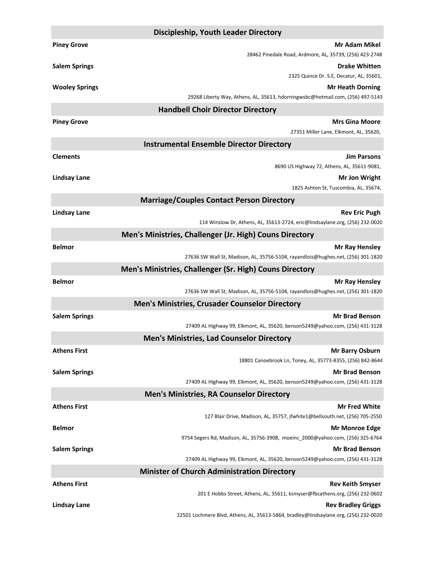|                       | <b>Discipleship, Youth Leader Directory</b>                                                             |
|-----------------------|---------------------------------------------------------------------------------------------------------|
| <b>Piney Grove</b>    | <b>Mr Adam Mikel</b>                                                                                    |
|                       | 28462 Pinedale Road, Ardmore, AL, 35739, (256) 423-2748                                                 |
| <b>Salem Springs</b>  | <b>Drake Whitten</b>                                                                                    |
|                       | 2325 Quince Dr. S.E, Decatur, AL, 35601,                                                                |
| <b>Wooley Springs</b> | <b>Mr Heath Dorning</b>                                                                                 |
|                       | 29268 Liberty Way, Athens, AL, 35613, hdorningwsbc@hotmail.com, (256) 497-5143                          |
|                       | <b>Handbell Choir Director Directory</b>                                                                |
| <b>Piney Grove</b>    | <b>Mrs Gina Moore</b>                                                                                   |
|                       | 27351 Miller Lane, Elkmont, AL, 35620,                                                                  |
|                       | <b>Instrumental Ensemble Director Directory</b>                                                         |
| <b>Clements</b>       | <b>Jim Parsons</b>                                                                                      |
|                       | 8690 US Highway 72, Athens, AL, 35611-9081,                                                             |
| <b>Lindsay Lane</b>   | Mr Jon Wright                                                                                           |
|                       | 1825 Ashton St, Tuscombia, AL, 35674,                                                                   |
|                       | <b>Marriage/Couples Contact Person Directory</b>                                                        |
| <b>Lindsay Lane</b>   | <b>Rev Eric Pugh</b>                                                                                    |
|                       | 114 Winslow Dr, Athens, AL, 35613-2724, eric@lindsaylane.org, (256) 232-0020                            |
|                       | Men's Ministries, Challenger (Jr. High) Couns Directory                                                 |
| <b>Belmor</b>         | <b>Mr Ray Hensley</b>                                                                                   |
|                       | 27636 SW Wall St, Madison, AL, 35756-5104, rayandlois@hughes.net, (256) 301-1820                        |
|                       | Men's Ministries, Challenger (Sr. High) Couns Directory                                                 |
| <b>Belmor</b>         | <b>Mr Ray Hensley</b>                                                                                   |
|                       | 27636 SW Wall St, Madison, AL, 35756-5104, rayandlois@hughes.net, (256) 301-1820                        |
|                       | <b>Men's Ministries, Crusader Counselor Directory</b>                                                   |
| <b>Salem Springs</b>  | <b>Mr Brad Benson</b>                                                                                   |
|                       | 27409 AL Highway 99, Elkmont, AL, 35620, benson5249@yahoo.com, (256) 431-3128                           |
|                       | <b>Men's Ministries, Lad Counselor Directory</b>                                                        |
| <b>Athens First</b>   |                                                                                                         |
|                       | <b>Mr Barry Osburn</b><br>18801 Canoebrook Ln, Toney, AL, 35773-8355, (256) 842-8644                    |
| <b>Salem Springs</b>  | <b>Mr Brad Benson</b>                                                                                   |
|                       | 27409 AL Highway 99, Elkmont, AL, 35620, benson5249@yahoo.com, (256) 431-3128                           |
|                       | <b>Men's Ministries, RA Counselor Directory</b>                                                         |
|                       |                                                                                                         |
| <b>Athens First</b>   | <b>Mr Fred White</b><br>127 Blair Drive, Madison, AL, 35757, jfwhite1@bellsouth.net, (256) 705-2550     |
| <b>Belmor</b>         |                                                                                                         |
|                       | <b>Mr Monroe Edge</b><br>9754 Segers Rd, Madison, AL, 35756-3908, moeinc 2000@yahoo.com, (256) 325-6764 |
| <b>Salem Springs</b>  | <b>Mr Brad Benson</b>                                                                                   |
|                       | 27409 AL Highway 99, Elkmont, AL, 35620, benson5249@yahoo.com, (256) 431-3128                           |
|                       | <b>Minister of Church Administration Directory</b>                                                      |
|                       |                                                                                                         |
| <b>Athens First</b>   | <b>Rev Keith Smyser</b><br>201 E Hobbs Street, Athens, AL, 35611, ksmyser@fbcathens.org, (256) 232-0602 |
| <b>Lindsay Lane</b>   | <b>Rev Bradley Griggs</b>                                                                               |
|                       | 22501 Lochmere Blvd, Athens, AL, 35613-5864, bradley@lindsaylane.org, (256) 232-0020                    |
|                       |                                                                                                         |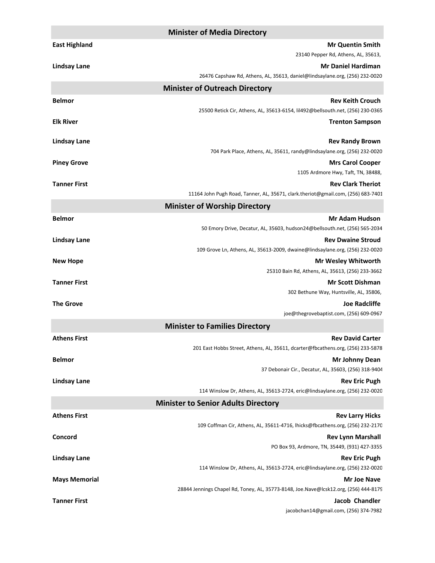|                      | <b>Minister of Media Directory</b>                                                                         |
|----------------------|------------------------------------------------------------------------------------------------------------|
| <b>East Highland</b> | <b>Mr Quentin Smith</b>                                                                                    |
|                      | 23140 Pepper Rd, Athens, AL, 35613,                                                                        |
| <b>Lindsay Lane</b>  | <b>Mr Daniel Hardiman</b>                                                                                  |
|                      | 26476 Capshaw Rd, Athens, AL, 35613, daniel@lindsaylane.org, (256) 232-0020                                |
|                      | <b>Minister of Outreach Directory</b>                                                                      |
| <b>Belmor</b>        | <b>Rev Keith Crouch</b>                                                                                    |
|                      | 25500 Retick Cir, Athens, AL, 35613-6154, lil492@bellsouth.net, (256) 230-0365                             |
| <b>Elk River</b>     | <b>Trenton Sampson</b>                                                                                     |
|                      |                                                                                                            |
| <b>Lindsay Lane</b>  | <b>Rev Randy Brown</b><br>704 Park Place, Athens, AL, 35611, randy@lindsaylane.org, (256) 232-0020         |
| <b>Piney Grove</b>   | <b>Mrs Carol Cooper</b>                                                                                    |
|                      | 1105 Ardmore Hwy, Taft, TN, 38488,                                                                         |
| <b>Tanner First</b>  | <b>Rev Clark Theriot</b>                                                                                   |
|                      | 11164 John Pugh Road, Tanner, AL, 35671, clark.theriot@gmail.com, (256) 683-7401                           |
|                      | <b>Minister of Worship Directory</b>                                                                       |
| <b>Belmor</b>        | <b>Mr Adam Hudson</b>                                                                                      |
|                      | 50 Emory Drive, Decatur, AL, 35603, hudson24@bellsouth.net, (256) 565-2034                                 |
| <b>Lindsay Lane</b>  | <b>Rev Dwaine Stroud</b>                                                                                   |
|                      | 109 Grove Ln, Athens, AL, 35613-2009, dwaine@lindsaylane.org, (256) 232-0020                               |
| <b>New Hope</b>      | <b>Mr Wesley Whitworth</b>                                                                                 |
|                      | 25310 Bain Rd, Athens, AL, 35613, (256) 233-3662                                                           |
| <b>Tanner First</b>  | <b>Mr Scott Dishman</b>                                                                                    |
|                      | 302 Bethune Way, Huntsville, AL, 35806,                                                                    |
| <b>The Grove</b>     | <b>Joe Radcliffe</b><br>joe@thegrovebaptist.com, (256) 609-0967                                            |
|                      | <b>Minister to Families Directory</b>                                                                      |
| <b>Athens First</b>  | <b>Rev David Carter</b>                                                                                    |
|                      | 201 East Hobbs Street, Athens, AL, 35611, dcarter@fbcathens.org, (256) 233-5878                            |
| <b>Belmor</b>        | <b>Mr Johnny Dean</b>                                                                                      |
|                      | 37 Debonair Cir., Decatur, AL, 35603, (256) 318-9404                                                       |
| <b>Lindsay Lane</b>  | <b>Rev Eric Pugh</b>                                                                                       |
|                      | 114 Winslow Dr, Athens, AL, 35613-2724, eric@lindsaylane.org, (256) 232-0020                               |
|                      | <b>Minister to Senior Adults Directory</b>                                                                 |
| <b>Athens First</b>  | <b>Rev Larry Hicks</b>                                                                                     |
|                      | 109 Coffman Cir, Athens, AL, 35611-4716, lhicks@fbcathens.org, (256) 232-2170                              |
| Concord              | <b>Rev Lynn Marshall</b>                                                                                   |
|                      | PO Box 93, Ardmore, TN, 35449, (931) 427-3355                                                              |
| <b>Lindsay Lane</b>  | <b>Rev Eric Pugh</b>                                                                                       |
|                      | 114 Winslow Dr, Athens, AL, 35613-2724, eric@lindsaylane.org, (256) 232-0020                               |
| <b>Mays Memorial</b> | <b>Mr Joe Nave</b><br>28844 Jennings Chapel Rd, Toney, AL, 35773-8148, Joe.Nave@lcsk12.org, (256) 444-8179 |
| <b>Tanner First</b>  | Jacob Chandler                                                                                             |
|                      | jacobchan14@gmail.com, (256) 374-7982                                                                      |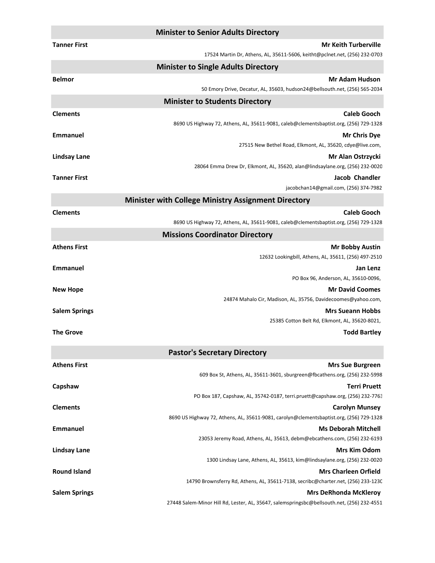|                      | <b>Minister to Senior Adults Directory</b>                                                        |
|----------------------|---------------------------------------------------------------------------------------------------|
| <b>Tanner First</b>  | <b>Mr Keith Turberville</b>                                                                       |
|                      | 17524 Martin Dr, Athens, AL, 35611-5606, keitht@pclnet.net, (256) 232-0703                        |
|                      | <b>Minister to Single Adults Directory</b>                                                        |
| <b>Belmor</b>        | <b>Mr Adam Hudson</b>                                                                             |
|                      | 50 Emory Drive, Decatur, AL, 35603, hudson24@bellsouth.net, (256) 565-2034                        |
|                      | <b>Minister to Students Directory</b>                                                             |
| <b>Clements</b>      | <b>Caleb Gooch</b>                                                                                |
|                      | 8690 US Highway 72, Athens, AL, 35611-9081, caleb@clementsbaptist.org, (256) 729-1328             |
| <b>Emmanuel</b>      | <b>Mr Chris Dye</b>                                                                               |
|                      | 27515 New Bethel Road, Elkmont, AL, 35620, cdye@live.com,                                         |
| <b>Lindsay Lane</b>  | Mr Alan Ostrzycki<br>28064 Emma Drew Dr, Elkmont, AL, 35620, alan@lindsaylane.org, (256) 232-0020 |
| <b>Tanner First</b>  | Jacob Chandler                                                                                    |
|                      | jacobchan14@gmail.com, (256) 374-7982                                                             |
|                      | <b>Minister with College Ministry Assignment Directory</b>                                        |
| <b>Clements</b>      | <b>Caleb Gooch</b>                                                                                |
|                      | 8690 US Highway 72, Athens, AL, 35611-9081, caleb@clementsbaptist.org, (256) 729-1328             |
|                      | <b>Missions Coordinator Directory</b>                                                             |
| <b>Athens First</b>  | <b>Mr Bobby Austin</b>                                                                            |
|                      | 12632 Lookingbill, Athens, AL, 35611, (256) 497-2510                                              |
| <b>Emmanuel</b>      | Jan Lenz                                                                                          |
|                      | PO Box 96, Anderson, AL, 35610-0096,                                                              |
| <b>New Hope</b>      | <b>Mr David Coomes</b>                                                                            |
|                      | 24874 Mahalo Cir, Madison, AL, 35756, Davidecoomes@yahoo.com,                                     |
| <b>Salem Springs</b> | <b>Mrs Sueann Hobbs</b>                                                                           |
|                      | 25385 Cotton Belt Rd, Elkmont, AL, 35620-8021,                                                    |
| The Grove            | <b>Todd Bartley</b>                                                                               |
|                      | <b>Pastor's Secretary Directory</b>                                                               |
| <b>Athens First</b>  | <b>Mrs Sue Burgreen</b>                                                                           |
|                      | 609 Box St, Athens, AL, 35611-3601, sburgreen@fbcathens.org, (256) 232-5998                       |
| Capshaw              | <b>Terri Pruett</b>                                                                               |
|                      | PO Box 187, Capshaw, AL, 35742-0187, terri.pruett@capshaw.org, (256) 232-7763                     |
| <b>Clements</b>      | <b>Carolyn Munsey</b>                                                                             |
|                      | 8690 US Highway 72, Athens, AL, 35611-9081, carolyn@clementsbaptist.org, (256) 729-1328           |
| <b>Emmanuel</b>      | <b>Ms Deborah Mitchell</b>                                                                        |
|                      | 23053 Jeremy Road, Athens, AL, 35613, debm@ebcathens.com, (256) 232-6193                          |
| <b>Lindsay Lane</b>  | <b>Mrs Kim Odom</b><br>1300 Lindsay Lane, Athens, AL, 35613, kim@lindsaylane.org, (256) 232-0020  |
| <b>Round Island</b>  | <b>Mrs Charleen Orfield</b>                                                                       |
|                      | 14790 Brownsferry Rd, Athens, AL, 35611-7138, secribc@charter.net, (256) 233-1230                 |
| <b>Salem Springs</b> | <b>Mrs DeRhonda McKleroy</b>                                                                      |
|                      | 27448 Salem-Minor Hill Rd, Lester, AL, 35647, salemspringsbc@bellsouth.net, (256) 232-4551        |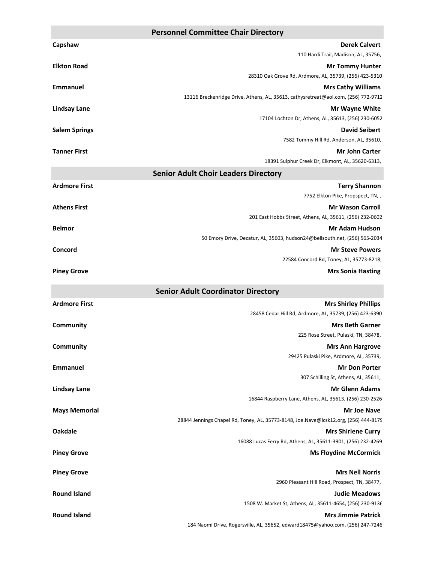|                      | <b>Personnel Committee Chair Directory</b>                                                                      |
|----------------------|-----------------------------------------------------------------------------------------------------------------|
| Capshaw              | <b>Derek Calvert</b>                                                                                            |
|                      | 110 Hardi Trail, Madison, AL, 35756,                                                                            |
| <b>Elkton Road</b>   | <b>Mr Tommy Hunter</b>                                                                                          |
|                      | 28310 Oak Grove Rd, Ardmore, AL, 35739, (256) 423-5310                                                          |
| <b>Emmanuel</b>      | <b>Mrs Cathy Williams</b><br>13116 Breckenridge Drive, Athens, AL, 35613, cathysretreat@aol.com, (256) 772-9712 |
| <b>Lindsay Lane</b>  | Mr Wayne White                                                                                                  |
|                      | 17104 Lochton Dr, Athens, AL, 35613, (256) 230-6052                                                             |
| <b>Salem Springs</b> | <b>David Seibert</b>                                                                                            |
|                      | 7582 Tommy Hill Rd, Anderson, AL, 35610,                                                                        |
| <b>Tanner First</b>  | <b>Mr John Carter</b>                                                                                           |
|                      | 18391 Sulphur Creek Dr, Elkmont, AL, 35620-6313,                                                                |
|                      | <b>Senior Adult Choir Leaders Directory</b>                                                                     |
| <b>Ardmore First</b> | <b>Terry Shannon</b>                                                                                            |
|                      | 7752 Elkton Pike, Propspect, TN,,                                                                               |
| <b>Athens First</b>  | <b>Mr Wason Carroll</b>                                                                                         |
|                      | 201 East Hobbs Street, Athens, AL, 35611, (256) 232-0602                                                        |
| <b>Belmor</b>        | Mr Adam Hudson                                                                                                  |
|                      | 50 Emory Drive, Decatur, AL, 35603, hudson24@bellsouth.net, (256) 565-2034                                      |
| Concord              | <b>Mr Steve Powers</b><br>22584 Concord Rd, Toney, AL, 35773-8218,                                              |
| <b>Piney Grove</b>   | <b>Mrs Sonia Hasting</b>                                                                                        |
|                      |                                                                                                                 |
|                      | <b>Senior Adult Coordinator Directory</b>                                                                       |
|                      |                                                                                                                 |
| <b>Ardmore First</b> | <b>Mrs Shirley Phillips</b>                                                                                     |
|                      | 28458 Cedar Hill Rd, Ardmore, AL, 35739, (256) 423-6390                                                         |
| Community            | <b>Mrs Beth Garner</b>                                                                                          |
|                      | 225 Rose Street, Pulaski, TN, 38478,                                                                            |
| Community            | <b>Mrs Ann Hargrove</b>                                                                                         |
|                      | 29425 Pulaski Pike, Ardmore, AL, 35739,                                                                         |
| <b>Emmanuel</b>      | <b>Mr Don Porter</b>                                                                                            |
|                      | 307 Schilling St, Athens, AL, 35611,                                                                            |
| <b>Lindsay Lane</b>  | <b>Mr Glenn Adams</b><br>16844 Raspberry Lane, Athens, AL, 35613, (256) 230-2526                                |
|                      | <b>Mr Joe Nave</b>                                                                                              |
| <b>Mays Memorial</b> | 28844 Jennings Chapel Rd, Toney, AL, 35773-8148, Joe.Nave@lcsk12.org, (256) 444-8179                            |
| <b>Oakdale</b>       | <b>Mrs Shirlene Curry</b>                                                                                       |
|                      | 16088 Lucas Ferry Rd, Athens, AL, 35611-3901, (256) 232-4269                                                    |
| <b>Piney Grove</b>   | <b>Ms Floydine McCormick</b>                                                                                    |
|                      |                                                                                                                 |
| <b>Piney Grove</b>   | <b>Mrs Nell Norris</b><br>2960 Pleasant Hill Road, Prospect, TN, 38477,                                         |
| <b>Round Island</b>  | <b>Judie Meadows</b>                                                                                            |
|                      | 1508 W. Market St, Athens, AL, 35611-4654, (256) 230-9136                                                       |
| <b>Round Island</b>  | <b>Mrs Jimmie Patrick</b>                                                                                       |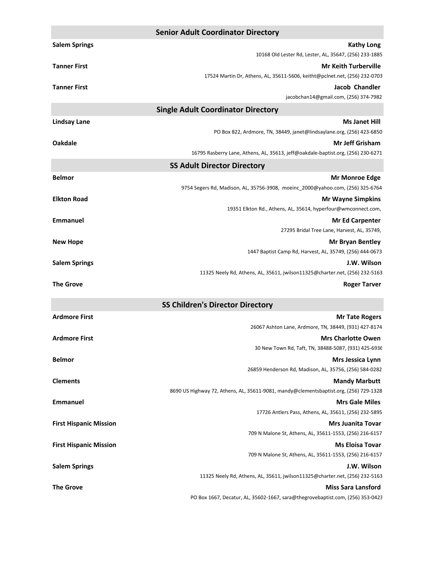|                               | <b>Senior Adult Coordinator Directory</b>                                             |
|-------------------------------|---------------------------------------------------------------------------------------|
| <b>Salem Springs</b>          | <b>Kathy Long</b>                                                                     |
|                               | 10168 Old Lester Rd, Lester, AL, 35647, (256) 233-1885                                |
| <b>Tanner First</b>           | <b>Mr Keith Turberville</b>                                                           |
|                               | 17524 Martin Dr, Athens, AL, 35611-5606, keitht@pclnet.net, (256) 232-0703            |
| <b>Tanner First</b>           | Jacob Chandler                                                                        |
|                               | jacobchan14@gmail.com, (256) 374-7982                                                 |
|                               | <b>Single Adult Coordinator Directory</b>                                             |
| <b>Lindsay Lane</b>           | <b>Ms Janet Hill</b>                                                                  |
|                               | PO Box 822, Ardmore, TN, 38449, janet@lindsaylane.org, (256) 423-6850                 |
| <b>Oakdale</b>                | <b>Mr Jeff Grisham</b>                                                                |
|                               | 16795 Rasberry Lane, Athens, AL, 35613, jeff@oakdale-baptist.org, (256) 230-6271      |
|                               | <b>SS Adult Director Directory</b>                                                    |
| <b>Belmor</b>                 | <b>Mr Monroe Edge</b>                                                                 |
|                               | 9754 Segers Rd, Madison, AL, 35756-3908, moeinc 2000@yahoo.com, (256) 325-6764        |
| <b>Elkton Road</b>            | <b>Mr Wayne Simpkins</b>                                                              |
|                               | 19351 Elkton Rd., Athens, AL, 35614, hyperfour@wmconnect.com,                         |
| <b>Emmanuel</b>               | <b>Mr Ed Carpenter</b>                                                                |
|                               | 27295 Bridal Tree Lane, Harvest, AL, 35749,                                           |
| <b>New Hope</b>               | <b>Mr Bryan Bentley</b>                                                               |
|                               | 1447 Baptist Camp Rd, Harvest, AL, 35749, (256) 444-0673                              |
| <b>Salem Springs</b>          | J.W. Wilson                                                                           |
|                               | 11325 Neely Rd, Athens, AL, 35611, jwilson11325@charter.net, (256) 232-5163           |
| <b>The Grove</b>              | <b>Roger Tarver</b>                                                                   |
|                               | <b>SS Children's Director Directory</b>                                               |
| <b>Ardmore First</b>          | <b>Mr Tate Rogers</b>                                                                 |
|                               | 26067 Ashton Lane, Ardmore, TN, 38449, (931) 427-8174                                 |
| <b>Ardmore First</b>          | <b>Mrs Charlotte Owen</b>                                                             |
|                               | 30 New Town Rd, Taft, TN, 38488-5087, (931) 425-6936                                  |
| <b>Belmor</b>                 | <b>Mrs Jessica Lynn</b>                                                               |
|                               | 26859 Henderson Rd, Madison, AL, 35756, (256) 584-0282                                |
| <b>Clements</b>               | <b>Mandy Marbutt</b>                                                                  |
|                               | 8690 US Highway 72, Athens, AL, 35611-9081, mandy@clementsbaptist.org, (256) 729-1328 |
| <b>Emmanuel</b>               | <b>Mrs Gale Miles</b>                                                                 |
|                               | 17726 Antlers Pass, Athens, AL, 35611, (256) 232-5895                                 |
| <b>First Hispanic Mission</b> | <b>Mrs Juanita Tovar</b>                                                              |
|                               | 709 N Malone St, Athens, AL, 35611-1553, (256) 216-6157                               |
| <b>First Hispanic Mission</b> | <b>Ms Eloisa Tovar</b>                                                                |
|                               | 709 N Malone St, Athens, AL, 35611-1553, (256) 216-6157                               |
| <b>Salem Springs</b>          | J.W. Wilson                                                                           |
|                               | 11325 Neely Rd, Athens, AL, 35611, jwilson11325@charter.net, (256) 232-5163           |
| <b>The Grove</b>              | <b>Miss Sara Lansford</b>                                                             |
|                               | PO Box 1667, Decatur, AL, 35602-1667, sara@thegrovebaptist.com, (256) 353-0423        |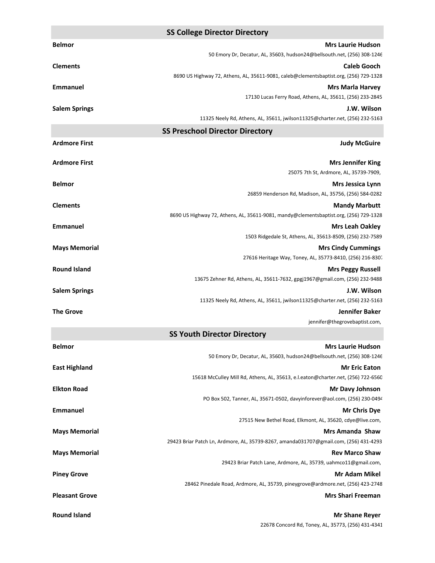|                       | <b>SS College Director Directory</b>                                                                       |
|-----------------------|------------------------------------------------------------------------------------------------------------|
| <b>Belmor</b>         | <b>Mrs Laurie Hudson</b>                                                                                   |
|                       | 50 Emory Dr, Decatur, AL, 35603, hudson24@bellsouth.net, (256) 308-1246                                    |
| <b>Clements</b>       | <b>Caleb Gooch</b>                                                                                         |
|                       | 8690 US Highway 72, Athens, AL, 35611-9081, caleb@clementsbaptist.org, (256) 729-1328                      |
| Emmanuel              | <b>Mrs Marla Harvey</b><br>17130 Lucas Ferry Road, Athens, AL, 35611, (256) 233-2845                       |
| <b>Salem Springs</b>  | J.W. Wilson                                                                                                |
|                       | 11325 Neely Rd, Athens, AL, 35611, jwilson11325@charter.net, (256) 232-5163                                |
|                       | <b>SS Preschool Director Directory</b>                                                                     |
| <b>Ardmore First</b>  | <b>Judy McGuire</b>                                                                                        |
|                       |                                                                                                            |
| <b>Ardmore First</b>  | <b>Mrs Jennifer King</b>                                                                                   |
|                       | 25075 7th St, Ardmore, AL, 35739-7909,                                                                     |
| <b>Belmor</b>         | <b>Mrs Jessica Lynn</b><br>26859 Henderson Rd, Madison, AL, 35756, (256) 584-0282                          |
| <b>Clements</b>       | <b>Mandy Marbutt</b>                                                                                       |
|                       | 8690 US Highway 72, Athens, AL, 35611-9081, mandy@clementsbaptist.org, (256) 729-1328                      |
| Emmanuel              | <b>Mrs Leah Oakley</b>                                                                                     |
|                       | 1503 Ridgedale St, Athens, AL, 35613-8509, (256) 232-7589                                                  |
| <b>Mays Memorial</b>  | <b>Mrs Cindy Cummings</b>                                                                                  |
|                       | 27616 Heritage Way, Toney, AL, 35773-8410, (256) 216-8307                                                  |
| <b>Round Island</b>   | <b>Mrs Peggy Russell</b>                                                                                   |
|                       | 13675 Zehner Rd, Athens, AL, 35611-7632, gpgj1967@gmail.com, (256) 232-9488<br>J.W. Wilson                 |
| <b>Salem Springs</b>  | 11325 Neely Rd, Athens, AL, 35611, jwilson11325@charter.net, (256) 232-5163                                |
| <b>The Grove</b>      | Jennifer Baker                                                                                             |
|                       | jennifer@thegrovebaptist.com,                                                                              |
|                       | <b>SS Youth Director Directory</b>                                                                         |
| <b>Belmor</b>         | <b>Mrs Laurie Hudson</b>                                                                                   |
|                       | 50 Emory Dr, Decatur, AL, 35603, hudson24@bellsouth.net, (256) 308-1246                                    |
| <b>East Highland</b>  | <b>Mr Eric Eaton</b>                                                                                       |
| <b>Elkton Road</b>    | 15618 McCulley Mill Rd, Athens, AL, 35613, e.l.eaton@charter.net, (256) 722-6560<br><b>Mr Davy Johnson</b> |
|                       | PO Box 502, Tanner, AL, 35671-0502, davyinforever@aol.com, (256) 230-0494                                  |
| <b>Emmanuel</b>       | <b>Mr Chris Dye</b>                                                                                        |
|                       | 27515 New Bethel Road, Elkmont, AL, 35620, cdye@live.com,                                                  |
| <b>Mays Memorial</b>  | <b>Mrs Amanda Shaw</b>                                                                                     |
|                       | 29423 Briar Patch Ln, Ardmore, AL, 35739-8267, amanda031707@gmail.com, (256) 431-4293                      |
| <b>Mays Memorial</b>  | <b>Rev Marco Shaw</b>                                                                                      |
|                       | 29423 Briar Patch Lane, Ardmore, AL, 35739, uahmco11@gmail.com,<br><b>Mr Adam Mikel</b>                    |
| <b>Piney Grove</b>    | 28462 Pinedale Road, Ardmore, AL, 35739, pineygrove@ardmore.net, (256) 423-2748                            |
| <b>Pleasant Grove</b> | <b>Mrs Shari Freeman</b>                                                                                   |
|                       |                                                                                                            |
| <b>Round Island</b>   | <b>Mr Shane Reyer</b>                                                                                      |

22678 Concord Rd, Toney, AL, 35773, (256) 431-4341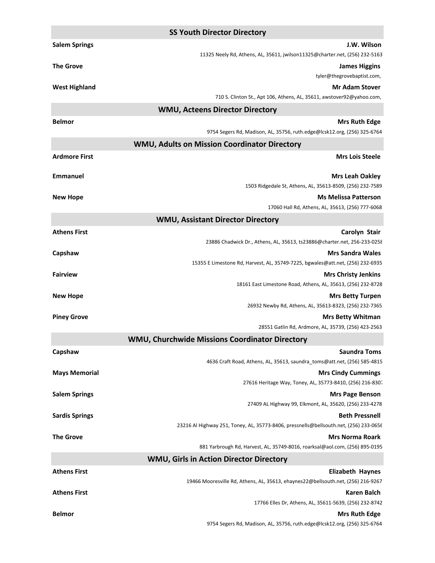|                       | <b>SS Youth Director Directory</b>                                                                    |
|-----------------------|-------------------------------------------------------------------------------------------------------|
| <b>Salem Springs</b>  | J.W. Wilson                                                                                           |
|                       | 11325 Neely Rd, Athens, AL, 35611, jwilson11325@charter.net, (256) 232-5163                           |
| <b>The Grove</b>      | <b>James Higgins</b>                                                                                  |
|                       | tyler@thegrovebaptist.com,                                                                            |
| <b>West Highland</b>  | <b>Mr Adam Stover</b>                                                                                 |
|                       | 710 S. Clinton St., Apt 106, Athens, AL, 35611, awstover92@yahoo.com,                                 |
|                       | <b>WMU, Acteens Director Directory</b>                                                                |
| <b>Belmor</b>         | <b>Mrs Ruth Edge</b>                                                                                  |
|                       | 9754 Segers Rd, Madison, AL, 35756, ruth.edge@lcsk12.org, (256) 325-6764                              |
|                       | WMU, Adults on Mission Coordinator Directory                                                          |
| <b>Ardmore First</b>  | <b>Mrs Lois Steele</b>                                                                                |
| <b>Emmanuel</b>       | <b>Mrs Leah Oakley</b><br>1503 Ridgedale St, Athens, AL, 35613-8509, (256) 232-7589                   |
| <b>New Hope</b>       | <b>Ms Melissa Patterson</b>                                                                           |
|                       | 17060 Hall Rd, Athens, AL, 35613, (256) 777-6068                                                      |
|                       | <b>WMU, Assistant Director Directory</b>                                                              |
| <b>Athens First</b>   | Carolyn Stair                                                                                         |
|                       | 23886 Chadwick Dr., Athens, AL, 35613, ts23886@charter.net, 256-233-0258                              |
| Capshaw               | <b>Mrs Sandra Wales</b>                                                                               |
|                       | 15355 E Limestone Rd, Harvest, AL, 35749-7225, bgwales@att.net, (256) 232-6935                        |
| <b>Fairview</b>       | <b>Mrs Christy Jenkins</b>                                                                            |
|                       | 18161 East Limestone Road, Athens, AL, 35613, (256) 232-8728                                          |
| <b>New Hope</b>       | <b>Mrs Betty Turpen</b>                                                                               |
|                       | 26932 Newby Rd, Athens, AL, 35613-8323, (256) 232-7365                                                |
| <b>Piney Grove</b>    | <b>Mrs Betty Whitman</b>                                                                              |
|                       | 28551 Gatlin Rd, Ardmore, AL, 35739, (256) 423-2563<br>WMU, Churchwide Missions Coordinator Directory |
|                       | <b>Saundra Toms</b>                                                                                   |
| Capshaw               | 4636 Craft Road, Athens, AL, 35613, saundra_toms@att.net, (256) 585-4815                              |
| <b>Mays Memorial</b>  | <b>Mrs Cindy Cummings</b>                                                                             |
|                       | 27616 Heritage Way, Toney, AL, 35773-8410, (256) 216-8307                                             |
| <b>Salem Springs</b>  | <b>Mrs Page Benson</b>                                                                                |
|                       | 27409 AL Highway 99, Elkmont, AL, 35620, (256) 233-4278                                               |
| <b>Sardis Springs</b> | <b>Beth Pressnell</b>                                                                                 |
|                       | 23216 Al Highway 251, Toney, AL, 35773-8406, pressnells@bellsouth.net, (256) 233-0656                 |
| <b>The Grove</b>      | <b>Mrs Norma Roark</b>                                                                                |
|                       | 881 Yarbrough Rd, Harvest, AL, 35749-8016, roarksal@aol.com, (256) 895-0195                           |
|                       | <b>WMU, Girls in Action Director Directory</b>                                                        |
| <b>Athens First</b>   | <b>Elizabeth Haynes</b>                                                                               |
|                       | 19466 Mooresville Rd, Athens, AL, 35613, ehaynes22@bellsouth.net, (256) 216-9267                      |
| <b>Athens First</b>   | <b>Karen Balch</b>                                                                                    |
|                       | 17766 Elles Dr, Athens, AL, 35611-5639, (256) 232-8742                                                |
| <b>Belmor</b>         | <b>Mrs Ruth Edge</b>                                                                                  |
|                       | 9754 Segers Rd, Madison, AL, 35756, ruth.edge@lcsk12.org, (256) 325-6764                              |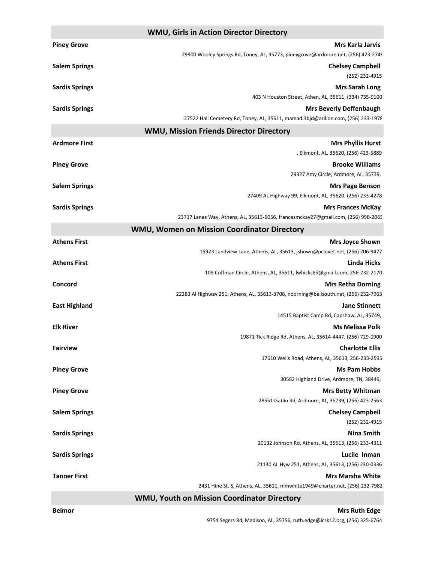| <b>WMU, Girls in Action Director Directory</b> |                                                                                      |
|------------------------------------------------|--------------------------------------------------------------------------------------|
| <b>Piney Grove</b>                             | <b>Mrs Karla Jarvis</b>                                                              |
|                                                | 29900 Wooley Springs Rd, Toney, AL, 35773, pineygrove@ardmore.net, (256) 423-2748    |
| <b>Salem Springs</b>                           | <b>Chelsey Campbell</b>                                                              |
|                                                | (252) 232-4915                                                                       |
| <b>Sardis Springs</b>                          | <b>Mrs Sarah Long</b>                                                                |
|                                                | 403 N Houston Street, Athen, AL, 35611, (334) 735-9100                               |
| <b>Sardis Springs</b>                          | <b>Mrs Beverly Deffenbaugh</b>                                                       |
|                                                | 27522 Hall Cemetery Rd, Toney, AL, 35611, mamad.3bjd@arilion.com, (256) 233-1978     |
|                                                | <b>WMU, Mission Friends Director Directory</b>                                       |
| <b>Ardmore First</b>                           | <b>Mrs Phyllis Hurst</b>                                                             |
|                                                | , Elkmont, AL, 35620, (256) 423-5889                                                 |
| <b>Piney Grove</b>                             | <b>Brooke Williams</b>                                                               |
|                                                | 29327 Amy Circle, Ardmore, AL, 35739,                                                |
| <b>Salem Springs</b>                           | <b>Mrs Page Benson</b>                                                               |
|                                                | 27409 AL Highway 99, Elkmont, AL, 35620, (256) 233-4278                              |
| <b>Sardis Springs</b>                          | <b>Mrs Frances McKay</b>                                                             |
|                                                | 23717 Lanes Way, Athens, AL, 35613-6056, francesmckay27@gmail.com, (256) 998-2065    |
|                                                | <b>WMU, Women on Mission Coordinator Directory</b>                                   |
| <b>Athens First</b>                            | <b>Mrs Joyce Shown</b>                                                               |
|                                                | 15923 Landview Lane, Athens, AL, 35613, jshown@pclovet.net, (256) 206-9477           |
| <b>Athens First</b>                            | <b>Linda Hicks</b>                                                                   |
|                                                | 109 Coffman Circle, Athens, AL, 35611, lwhicks65@gmail.com, 256-232-2170             |
| Concord                                        | <b>Mrs Retha Dorning</b>                                                             |
|                                                | 22283 Al Highway 251, Athens, AL, 35613-3708, ndorning@bellsouth.net, (256) 232-7963 |
| <b>East Highland</b>                           | <b>Jane Stinnett</b>                                                                 |
|                                                | 14515 Baptist Camp Rd, Capshaw, AL, 35749,                                           |
| <b>Elk River</b>                               | <b>Ms Melissa Polk</b>                                                               |
|                                                | 19871 Tick Ridge Rd, Athens, AL, 35614-4447, (256) 729-0900                          |
| <b>Fairview</b>                                | <b>Charlotte Ellis</b>                                                               |
|                                                | 17610 Wells Road, Athens, AL, 35613, 256-233-2595                                    |
| <b>Piney Grove</b>                             | <b>Ms Pam Hobbs</b>                                                                  |
|                                                | 30582 Highland Drive, Ardmore, TN, 38449,                                            |
| <b>Piney Grove</b>                             | <b>Mrs Betty Whitman</b>                                                             |
|                                                | 28551 Gatlin Rd, Ardmore, AL, 35739, (256) 423-2563                                  |
| <b>Salem Springs</b>                           | <b>Chelsey Campbell</b>                                                              |
|                                                | (252) 232-4915                                                                       |
| <b>Sardis Springs</b>                          | <b>Nina Smith</b>                                                                    |
|                                                | 20132 Johnson Rd, Athens, AL, 35613, (256) 233-4311                                  |
| <b>Sardis Springs</b>                          | Lucile Inman                                                                         |
|                                                | 21130 AL Hyw 251, Athens, AL, 35613, (256) 230-0336                                  |
| <b>Tanner First</b>                            | <b>Mrs Marsha White</b>                                                              |
|                                                | 2431 Hine St. S, Athens, AL, 35611, mmwhite1949@charter.net, (256) 232-7982          |

**WMU, Youth on Mission Coordinator Directory**

**Belmor Mrs** Ruth Edge **Mrs** Ruth Edge *Mrs* Ruth Edge *Mrs* Ruth Edge *Mrs* Ruth Edge *Mrs* 9754 Segers Rd, Madison, AL, 35756, ruth.edge@lcsk12.org, (256) 325-6764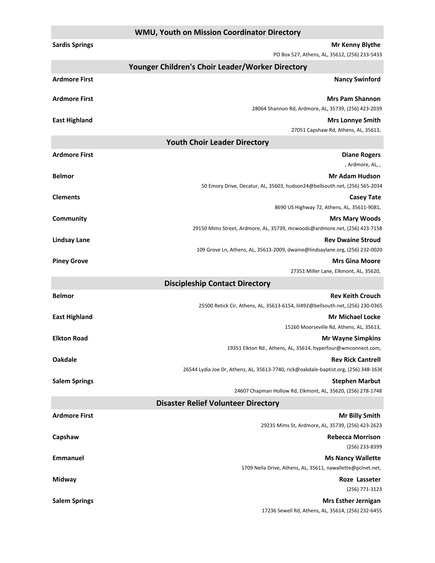|                       | <b>WMU, Youth on Mission Coordinator Directory</b>                                                        |
|-----------------------|-----------------------------------------------------------------------------------------------------------|
| <b>Sardis Springs</b> | <b>Mr Kenny Blythe</b>                                                                                    |
|                       | PO Box 527, Athens, AL, 35612, (256) 233-5433                                                             |
|                       | Younger Children's Choir Leader/Worker Directory                                                          |
| <b>Ardmore First</b>  | <b>Nancy Swinford</b>                                                                                     |
| <b>Ardmore First</b>  | <b>Mrs Pam Shannon</b>                                                                                    |
|                       | 28064 Shannon Rd, Ardmore, AL, 35739, (256) 423-2039                                                      |
| <b>East Highland</b>  | <b>Mrs Lonnye Smith</b>                                                                                   |
|                       | 27051 Capshaw Rd, Athens, AL, 35613,                                                                      |
|                       | <b>Youth Choir Leader Directory</b>                                                                       |
| <b>Ardmore First</b>  | <b>Diane Rogers</b>                                                                                       |
|                       | , Ardmore, AL, ,                                                                                          |
| <b>Belmor</b>         | <b>Mr Adam Hudson</b><br>50 Emory Drive, Decatur, AL, 35603, hudson24@bellsouth.net, (256) 565-2034       |
| <b>Clements</b>       | <b>Casey Tate</b>                                                                                         |
|                       | 8690 US Highway 72, Athens, AL, 35611-9081,                                                               |
| Community             | <b>Mrs Mary Woods</b>                                                                                     |
|                       | 29150 Mims Street, Ardmore, AL, 35739, mcwoods@ardmore.net, (256) 423-7158                                |
| <b>Lindsay Lane</b>   | <b>Rev Dwaine Stroud</b>                                                                                  |
|                       | 109 Grove Ln, Athens, AL, 35613-2009, dwaine@lindsaylane.org, (256) 232-0020                              |
| <b>Piney Grove</b>    | <b>Mrs Gina Moore</b>                                                                                     |
|                       | 27351 Miller Lane, Elkmont, AL, 35620,                                                                    |
|                       | <b>Discipleship Contact Directory</b>                                                                     |
| <b>Belmor</b>         | <b>Rev Keith Crouch</b><br>25500 Retick Cir, Athens, AL, 35613-6154, lil492@bellsouth.net, (256) 230-0365 |
| <b>East Highland</b>  | <b>Mr Michael Locke</b>                                                                                   |
|                       | 15160 Moorseville Rd, Athens, AL, 35613,                                                                  |
| <b>Elkton Road</b>    | <b>Mr Wayne Simpkins</b>                                                                                  |
|                       | 19351 Elkton Rd., Athens, AL, 35614, hyperfour@wmconnect.com,                                             |
| <b>Oakdale</b>        | <b>Rev Rick Cantrell</b>                                                                                  |
|                       | 26544 Lydia Joe Dr, Athens, AL, 35613-7740, rick@oakdale-baptist.org, (256) 348-1636                      |
| <b>Salem Springs</b>  | <b>Stephen Marbut</b>                                                                                     |
|                       | 24607 Chapman Hollow Rd, Elkmont, AL, 35620, (256) 278-1748                                               |
|                       | <b>Disaster Relief Volunteer Directory</b>                                                                |
| <b>Ardmore First</b>  | <b>Mr Billy Smith</b><br>29235 Mims St, Ardmore, AL, 35739, (256) 423-2623                                |
| Capshaw               | <b>Rebecca Morrison</b>                                                                                   |
|                       | (256) 233-8399                                                                                            |
| <b>Emmanuel</b>       | <b>Ms Nancy Wallette</b>                                                                                  |
|                       | 1709 Nella Drive, Athens, AL, 35611, nawallette@pclnet.net,                                               |
| Midway                | Roze Lasseter                                                                                             |
|                       | (256) 771-3123                                                                                            |
| <b>Salem Springs</b>  | <b>Mrs Esther Jernigan</b>                                                                                |
|                       | 17236 Sewell Rd, Athens, AL, 35614, (256) 232-6455                                                        |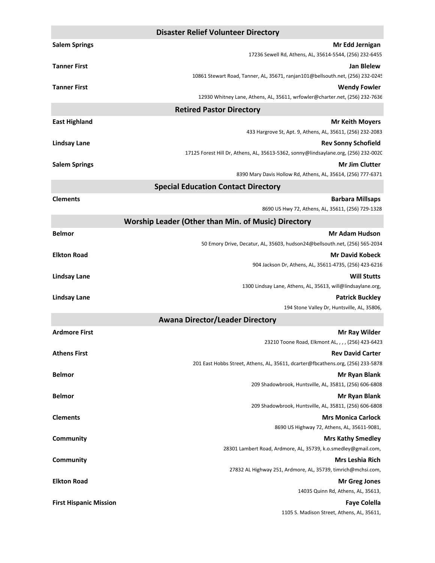|                               | <b>Disaster Relief Volunteer Directory</b>                                                                        |
|-------------------------------|-------------------------------------------------------------------------------------------------------------------|
| <b>Salem Springs</b>          | Mr Edd Jernigan                                                                                                   |
|                               | 17236 Sewell Rd, Athens, AL, 35614-5544, (256) 232-6455                                                           |
| <b>Tanner First</b>           | <b>Jan Blelew</b>                                                                                                 |
|                               | 10861 Stewart Road, Tanner, AL, 35671, ranjan101@bellsouth.net, (256) 232-0245                                    |
| <b>Tanner First</b>           | <b>Wendy Fowler</b>                                                                                               |
|                               | 12930 Whitney Lane, Athens, AL, 35611, wrfowler@charter.net, (256) 232-7636                                       |
|                               | <b>Retired Pastor Directory</b>                                                                                   |
| <b>East Highland</b>          | <b>Mr Keith Movers</b>                                                                                            |
|                               | 433 Hargrove St, Apt. 9, Athens, AL, 35611, (256) 232-2083                                                        |
| <b>Lindsay Lane</b>           | <b>Rev Sonny Schofield</b><br>17125 Forest Hill Dr, Athens, AL, 35613-5362, sonny@lindsaylane.org, (256) 232-0020 |
| <b>Salem Springs</b>          | <b>Mr Jim Clutter</b>                                                                                             |
|                               | 8390 Mary Davis Hollow Rd, Athens, AL, 35614, (256) 777-6371                                                      |
|                               | <b>Special Education Contact Directory</b>                                                                        |
| <b>Clements</b>               | <b>Barbara Millsaps</b>                                                                                           |
|                               | 8690 US Hwy 72, Athens, AL, 35611, (256) 729-1328                                                                 |
|                               | <b>Worship Leader (Other than Min. of Music) Directory</b>                                                        |
| <b>Belmor</b>                 | <b>Mr Adam Hudson</b>                                                                                             |
|                               | 50 Emory Drive, Decatur, AL, 35603, hudson24@bellsouth.net, (256) 565-2034                                        |
| <b>Elkton Road</b>            | <b>Mr David Kobeck</b>                                                                                            |
|                               | 904 Jackson Dr, Athens, AL, 35611-4735, (256) 423-6216                                                            |
| <b>Lindsay Lane</b>           | <b>Will Stutts</b>                                                                                                |
|                               | 1300 Lindsay Lane, Athens, AL, 35613, will@lindsaylane.org,                                                       |
| Lindsay Lane                  | <b>Patrick Buckley</b>                                                                                            |
|                               | 194 Stone Valley Dr, Huntsville, AL, 35806,                                                                       |
|                               | <b>Awana Director/Leader Directory</b>                                                                            |
| <b>Ardmore First</b>          | Mr Ray Wilder<br>23210 Toone Road, Elkmont AL, , , , (256) 423-6423                                               |
| <b>Athens First</b>           | <b>Rev David Carter</b>                                                                                           |
|                               | 201 East Hobbs Street, Athens, AL, 35611, dcarter@fbcathens.org, (256) 233-5878                                   |
| <b>Belmor</b>                 | Mr Ryan Blank                                                                                                     |
|                               | 209 Shadowbrook, Huntsville, AL, 35811, (256) 606-6808                                                            |
| <b>Belmor</b>                 | Mr Ryan Blank                                                                                                     |
|                               | 209 Shadowbrook, Huntsville, AL, 35811, (256) 606-6808                                                            |
| <b>Clements</b>               | <b>Mrs Monica Carlock</b>                                                                                         |
|                               | 8690 US Highway 72, Athens, AL, 35611-9081,                                                                       |
| Community                     | <b>Mrs Kathy Smedley</b>                                                                                          |
|                               | 28301 Lambert Road, Ardmore, AL, 35739, k.o.smedley@gmail.com,                                                    |
| Community                     | <b>Mrs Leshia Rich</b><br>27832 AL Highway 251, Ardmore, AL, 35739, timrich@mchsi.com,                            |
| <b>Elkton Road</b>            | <b>Mr Greg Jones</b>                                                                                              |
|                               | 14035 Quinn Rd, Athens, AL, 35613,                                                                                |
| <b>First Hispanic Mission</b> | <b>Faye Colella</b>                                                                                               |
|                               | 1105 S. Madison Street, Athens, AL, 35611,                                                                        |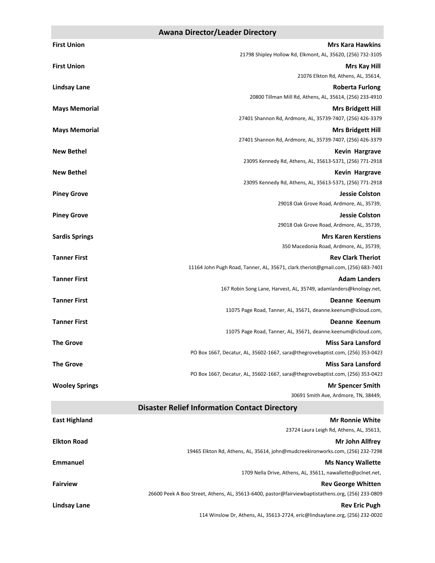#### **Awana Director/Leader Directory**

| <b>First Union</b>    | <b>Mrs Kara Hawkins</b>                                                                                      |
|-----------------------|--------------------------------------------------------------------------------------------------------------|
|                       | 21798 Shipley Hollow Rd, Elkmont, AL, 35620, (256) 732-3105                                                  |
| <b>First Union</b>    | <b>Mrs Kay Hill</b>                                                                                          |
|                       | 21076 Elkton Rd, Athens, AL, 35614,                                                                          |
| <b>Lindsay Lane</b>   | <b>Roberta Furlong</b>                                                                                       |
|                       | 20800 Tillman Mill Rd, Athens, AL, 35614, (256) 233-4910                                                     |
| <b>Mays Memorial</b>  | <b>Mrs Bridgett Hill</b><br>27401 Shannon Rd, Ardmore, AL, 35739-7407, (256) 426-3379                        |
| <b>Mays Memorial</b>  | <b>Mrs Bridgett Hill</b>                                                                                     |
|                       | 27401 Shannon Rd, Ardmore, AL, 35739-7407, (256) 426-3379                                                    |
| <b>New Bethel</b>     | <b>Kevin Hargrave</b>                                                                                        |
|                       | 23095 Kennedy Rd, Athens, AL, 35613-5371, (256) 771-2918                                                     |
| <b>New Bethel</b>     | <b>Kevin Hargrave</b>                                                                                        |
|                       | 23095 Kennedy Rd, Athens, AL, 35613-5371, (256) 771-2918                                                     |
| <b>Piney Grove</b>    | <b>Jessie Colston</b>                                                                                        |
|                       | 29018 Oak Grove Road, Ardmore, AL, 35739,                                                                    |
| <b>Piney Grove</b>    | <b>Jessie Colston</b>                                                                                        |
|                       | 29018 Oak Grove Road, Ardmore, AL, 35739,                                                                    |
| <b>Sardis Springs</b> | <b>Mrs Karen Kerstiens</b>                                                                                   |
|                       | 350 Macedonia Road, Ardmore, AL, 35739,                                                                      |
| <b>Tanner First</b>   | <b>Rev Clark Theriot</b><br>11164 John Pugh Road, Tanner, AL, 35671, clark.theriot@gmail.com, (256) 683-7401 |
| <b>Tanner First</b>   | <b>Adam Landers</b>                                                                                          |
|                       | 167 Robin Song Lane, Harvest, AL, 35749, adamlanders@knology.net,                                            |
| <b>Tanner First</b>   | Deanne Keenum                                                                                                |
|                       | 11075 Page Road, Tanner, AL, 35671, deanne.keenum@icloud.com,                                                |
| <b>Tanner First</b>   | Deanne Keenum                                                                                                |
|                       | 11075 Page Road, Tanner, AL, 35671, deanne.keenum@icloud.com,                                                |
| <b>The Grove</b>      | <b>Miss Sara Lansford</b>                                                                                    |
|                       | PO Box 1667, Decatur, AL, 35602-1667, sara@thegrovebaptist.com, (256) 353-0423                               |
| <b>The Grove</b>      | <b>Miss Sara Lansford</b>                                                                                    |
|                       | PO Box 1667, Decatur, AL, 35602-1667, sara@thegrovebaptist.com, (256) 353-0423                               |
| <b>Wooley Springs</b> | <b>Mr Spencer Smith</b><br>30691 Smith Ave, Ardmore, TN, 38449,                                              |
|                       |                                                                                                              |
|                       | <b>Disaster Relief Information Contact Directory</b>                                                         |
| <b>East Highland</b>  | <b>Mr Ronnie White</b><br>23724 Laura Leigh Rd, Athens, AL, 35613,                                           |
| <b>Elkton Road</b>    | <b>Mr John Allfrey</b>                                                                                       |
|                       | 19465 Elkton Rd, Athens, AL, 35614, john@mudcreekironworks.com, (256) 232-7298                               |
| <b>Emmanuel</b>       | <b>Ms Nancy Wallette</b>                                                                                     |
|                       | 1709 Nella Drive, Athens, AL, 35611, nawallette@pclnet.net,                                                  |
| <b>Fairview</b>       | <b>Rev George Whitten</b>                                                                                    |
|                       | 26600 Peek A Boo Street, Athens, AL, 35613-6400, pastor@fairviewbaptistathens.org, (256) 233-0809            |
| <b>Lindsay Lane</b>   | <b>Rev Eric Pugh</b>                                                                                         |
|                       | 114 Winslow Dr, Athens, AL, 35613-2724, eric@lindsaylane.org, (256) 232-0020                                 |